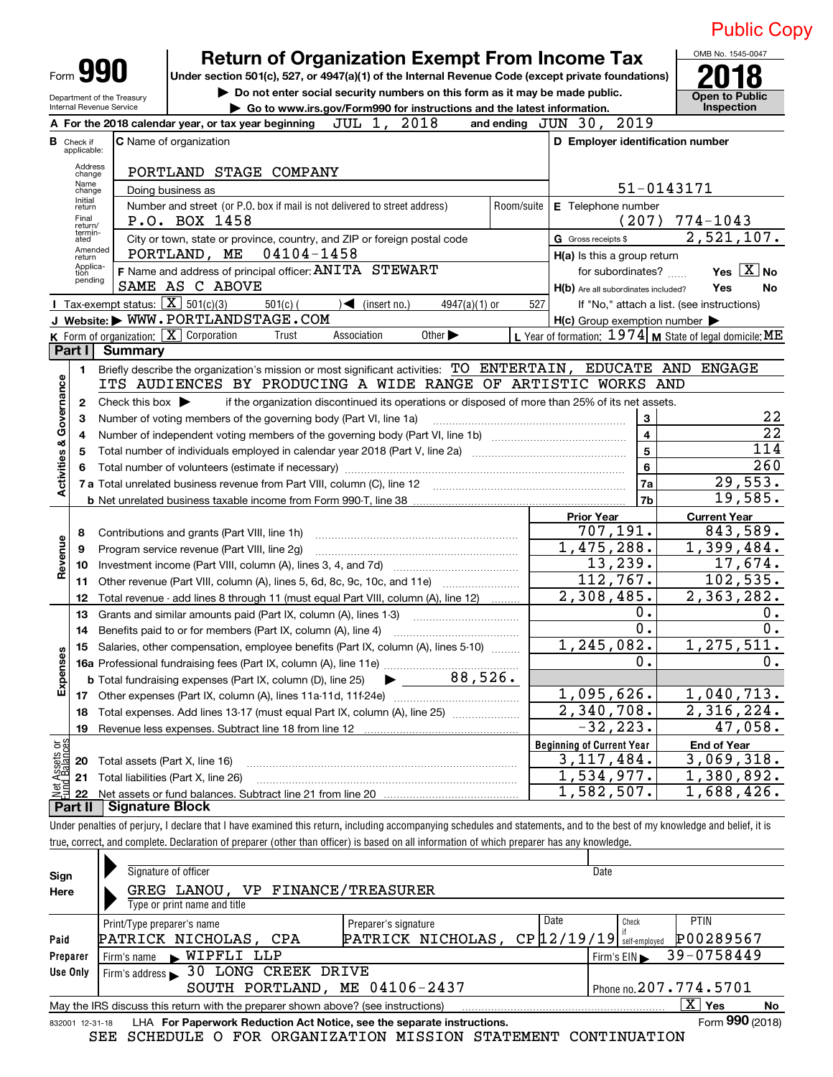|                         |                                                                                                                       |                                                        | <b>Return of Organization Exempt From Income Tax</b>                                                                                                          |                                                           | OMB No. 1545-0047                          |  |  |  |  |  |  |
|-------------------------|-----------------------------------------------------------------------------------------------------------------------|--------------------------------------------------------|---------------------------------------------------------------------------------------------------------------------------------------------------------------|-----------------------------------------------------------|--------------------------------------------|--|--|--|--|--|--|
|                         | Form <b>YYU</b><br>Under section 501(c), 527, or 4947(a)(1) of the Internal Revenue Code (except private foundations) |                                                        |                                                                                                                                                               |                                                           |                                            |  |  |  |  |  |  |
|                         |                                                                                                                       | Department of the Treasury<br>Internal Revenue Service | Do not enter social security numbers on this form as it may be made public.                                                                                   | <b>Open to Public</b><br><b>Inspection</b>                |                                            |  |  |  |  |  |  |
|                         |                                                                                                                       |                                                        | Go to www.irs.gov/Form990 for instructions and the latest information.<br>2018<br>JUL 1,<br>A For the 2018 calendar year, or tax year beginning<br>and ending | 2019<br>JUN 30,                                           |                                            |  |  |  |  |  |  |
|                         | <b>B</b> Check if                                                                                                     |                                                        | <b>C</b> Name of organization                                                                                                                                 | D Employer identification number                          |                                            |  |  |  |  |  |  |
|                         | applicable:                                                                                                           |                                                        |                                                                                                                                                               |                                                           |                                            |  |  |  |  |  |  |
|                         | Address<br>change                                                                                                     |                                                        | PORTLAND STAGE COMPANY                                                                                                                                        |                                                           |                                            |  |  |  |  |  |  |
|                         | Name<br>change<br>Initial                                                                                             |                                                        | Doing business as                                                                                                                                             |                                                           | 51-0143171                                 |  |  |  |  |  |  |
|                         | return<br>Final                                                                                                       |                                                        | Number and street (or P.O. box if mail is not delivered to street address)<br>Room/suite                                                                      | E Telephone number                                        |                                            |  |  |  |  |  |  |
|                         | return/<br>termin-                                                                                                    |                                                        | P.O. BOX 1458                                                                                                                                                 | (207)                                                     | $774 - 1043$                               |  |  |  |  |  |  |
|                         | ated<br>Amended                                                                                                       |                                                        | City or town, state or province, country, and ZIP or foreign postal code<br>04104-1458<br>PORTLAND, ME                                                        | G Gross receipts \$                                       | 2,521,107.                                 |  |  |  |  |  |  |
|                         | return<br>Applica-<br>tion                                                                                            |                                                        | F Name and address of principal officer: ANITA STEWART                                                                                                        | $H(a)$ is this a group return<br>for subordinates?        | Yes $X$ No                                 |  |  |  |  |  |  |
|                         | pending                                                                                                               |                                                        | SAME AS C ABOVE                                                                                                                                               | H(b) Are all subordinates included?                       | Yes<br>No                                  |  |  |  |  |  |  |
|                         |                                                                                                                       | <b>I</b> Tax-exempt status: $\overline{X}$ 501(c)(3)   | $501(c)$ (<br>$\blacktriangleleft$ (insert no.)<br>$4947(a)(1)$ or<br>527                                                                                     |                                                           | If "No," attach a list. (see instructions) |  |  |  |  |  |  |
|                         |                                                                                                                       |                                                        | J Website: WWW.PORTLANDSTAGE.COM                                                                                                                              | $H(c)$ Group exemption number $\blacktriangleright$       |                                            |  |  |  |  |  |  |
|                         |                                                                                                                       |                                                        | K Form of organization: X Corporation<br>Other $\blacktriangleright$<br>Association<br>Trust                                                                  | L Year of formation: $1974$ M State of legal domicile: ME |                                            |  |  |  |  |  |  |
|                         | Part I                                                                                                                | <b>Summary</b>                                         |                                                                                                                                                               |                                                           |                                            |  |  |  |  |  |  |
|                         | 1.                                                                                                                    |                                                        | Briefly describe the organization's mission or most significant activities: TO ENTERTAIN, EDUCATE AND ENGAGE                                                  |                                                           |                                            |  |  |  |  |  |  |
| Governance              |                                                                                                                       |                                                        | ITS AUDIENCES BY PRODUCING A WIDE RANGE OF ARTISTIC WORKS AND                                                                                                 |                                                           |                                            |  |  |  |  |  |  |
|                         | 2                                                                                                                     | Check this box $\blacktriangleright$                   | if the organization discontinued its operations or disposed of more than 25% of its net assets.                                                               |                                                           | 22                                         |  |  |  |  |  |  |
|                         | 3                                                                                                                     |                                                        | Number of voting members of the governing body (Part VI, line 1a)                                                                                             | 3<br>$\overline{\mathbf{4}}$                              | $\overline{22}$                            |  |  |  |  |  |  |
|                         | 4<br>5                                                                                                                |                                                        |                                                                                                                                                               | 5                                                         | 114                                        |  |  |  |  |  |  |
|                         | 6                                                                                                                     |                                                        |                                                                                                                                                               | 6                                                         | 260                                        |  |  |  |  |  |  |
| <b>Activities &amp;</b> |                                                                                                                       |                                                        |                                                                                                                                                               | 7a                                                        | 29,553.                                    |  |  |  |  |  |  |
|                         |                                                                                                                       |                                                        |                                                                                                                                                               | 7b                                                        | 19,585.                                    |  |  |  |  |  |  |
|                         |                                                                                                                       |                                                        |                                                                                                                                                               | <b>Prior Year</b>                                         | <b>Current Year</b>                        |  |  |  |  |  |  |
|                         | 8                                                                                                                     |                                                        | Contributions and grants (Part VIII, line 1h)                                                                                                                 | 707,191.                                                  | 843,589.                                   |  |  |  |  |  |  |
| Revenue                 | 9                                                                                                                     |                                                        | Program service revenue (Part VIII, line 2g)                                                                                                                  | $\overline{1}$ , 475, 288.                                | 1,399,484.                                 |  |  |  |  |  |  |
|                         | 10                                                                                                                    |                                                        |                                                                                                                                                               | 13,239.                                                   | 17,674.                                    |  |  |  |  |  |  |
|                         | 11                                                                                                                    |                                                        | Other revenue (Part VIII, column (A), lines 5, 6d, 8c, 9c, 10c, and 11e)                                                                                      | 112,767.                                                  | 102,535.                                   |  |  |  |  |  |  |
|                         | 12                                                                                                                    |                                                        | Total revenue - add lines 8 through 11 (must equal Part VIII, column (A), line 12)                                                                            | 2,308,485.                                                | 2,363,282.                                 |  |  |  |  |  |  |
|                         | 13                                                                                                                    |                                                        | Grants and similar amounts paid (Part IX, column (A), lines 1-3)<br>Benefits paid to or for members (Part IX, column (A), line 4)                             | $0$ .<br>$0$ .                                            | $0 \cdot$<br>$0$ .                         |  |  |  |  |  |  |
|                         | 14                                                                                                                    |                                                        | 15 Salaries, other compensation, employee benefits (Part IX, column (A), lines 5-10)                                                                          | 1<br>, 245, 082.                                          | 1, 275, 511.                               |  |  |  |  |  |  |
| Expenses                |                                                                                                                       |                                                        |                                                                                                                                                               | $\overline{0}$ .                                          | 0.                                         |  |  |  |  |  |  |
|                         |                                                                                                                       |                                                        | 88,526.<br><b>b</b> Total fundraising expenses (Part IX, column (D), line 25)                                                                                 |                                                           |                                            |  |  |  |  |  |  |
|                         |                                                                                                                       |                                                        | 1,095,626.                                                                                                                                                    |                                                           |                                            |  |  |  |  |  |  |
|                         | 18                                                                                                                    |                                                        | Total expenses. Add lines 13-17 (must equal Part IX, column (A), line 25) [                                                                                   | 2,340,708.                                                | 1,040,713.<br>2,316,224.                   |  |  |  |  |  |  |
|                         | 19                                                                                                                    |                                                        |                                                                                                                                                               | $-32, 223.$                                               | 47,058.                                    |  |  |  |  |  |  |
|                         |                                                                                                                       |                                                        |                                                                                                                                                               | <b>Beginning of Current Year</b>                          | <b>End of Year</b>                         |  |  |  |  |  |  |
| ssets or<br>talances    | Total assets (Part X, line 16)<br>20                                                                                  | 3, 117, 484.                                           | 3,069,318.                                                                                                                                                    |                                                           |                                            |  |  |  |  |  |  |
| ਨ੍ਹ੍ਰ                   | 21                                                                                                                    | Total liabilities (Part X, line 26)                    | 1,534,977.                                                                                                                                                    | 1,380,892.                                                |                                            |  |  |  |  |  |  |
|                         | 22                                                                                                                    |                                                        |                                                                                                                                                               | 1,582,507.                                                | 1,688,426.                                 |  |  |  |  |  |  |
|                         | Part II                                                                                                               | <b>Signature Block</b>                                 |                                                                                                                                                               |                                                           |                                            |  |  |  |  |  |  |

Under penalties of perjury, I declare that I have examined this return, including accompanying schedules and statements, and to the best of my knowledge and belief, it is true, correct, and complete. Declaration of preparer (other than officer) is based on all information of which preparer has any knowledge.

| Sign            | Signature of officer                                                                                                                                                                                                                        |                      |      | Date                                        |                 |  |  |  |  |
|-----------------|---------------------------------------------------------------------------------------------------------------------------------------------------------------------------------------------------------------------------------------------|----------------------|------|---------------------------------------------|-----------------|--|--|--|--|
| Here            | GREG LANOU, VP FINANCE/TREASURER                                                                                                                                                                                                            |                      |      |                                             |                 |  |  |  |  |
|                 | Type or print name and title                                                                                                                                                                                                                |                      |      |                                             |                 |  |  |  |  |
|                 | Print/Type preparer's name                                                                                                                                                                                                                  | Preparer's signature | Date | Check                                       | <b>PTIN</b>     |  |  |  |  |
| Paid            | PATRICK NICHOLAS, CPA                                                                                                                                                                                                                       | PATRICK NICHOLAS,    |      | $CP$ $12/19/19$ $\frac{1}{3}$ self-employed | P00289567       |  |  |  |  |
| Preparer        | Firm's name WIPFLI LLP                                                                                                                                                                                                                      |                      |      | Firm's $EIN$                                | 39-0758449      |  |  |  |  |
| Use Only        | Firm's address 30 LONG CREEK DRIVE                                                                                                                                                                                                          |                      |      |                                             |                 |  |  |  |  |
|                 | SOUTH PORTLAND, ME 04106-2437<br>Phone no. 207.774.5701                                                                                                                                                                                     |                      |      |                                             |                 |  |  |  |  |
|                 | $\overline{X}$ Yes<br>May the IRS discuss this return with the preparer shown above? (see instructions)<br>No                                                                                                                               |                      |      |                                             |                 |  |  |  |  |
| 832001 12-31-18 | LHA For Paperwork Reduction Act Notice, see the separate instructions.                                                                                                                                                                      |                      |      |                                             | Form 990 (2018) |  |  |  |  |
|                 | COURSELY OF A ROAD CRAIGE OF A LOCAL CRAIGE OF A CONTRIGUE OF A STREET OF A CONTRIGUE OF A CONTRIGUE OF A CONTRIGUE OF A CONTRIGUE OF A CONTRIGUE OF A CONTRIGUE OF A CONTRIGUE OF A CONTRIGUE OF A CONTRIGUE OF A CONTRIGUE<br>$\alpha$ mm |                      |      |                                             |                 |  |  |  |  |

SEE SCHEDULE O FOR ORGANIZATION MISSION STATEMENT CONTINUATION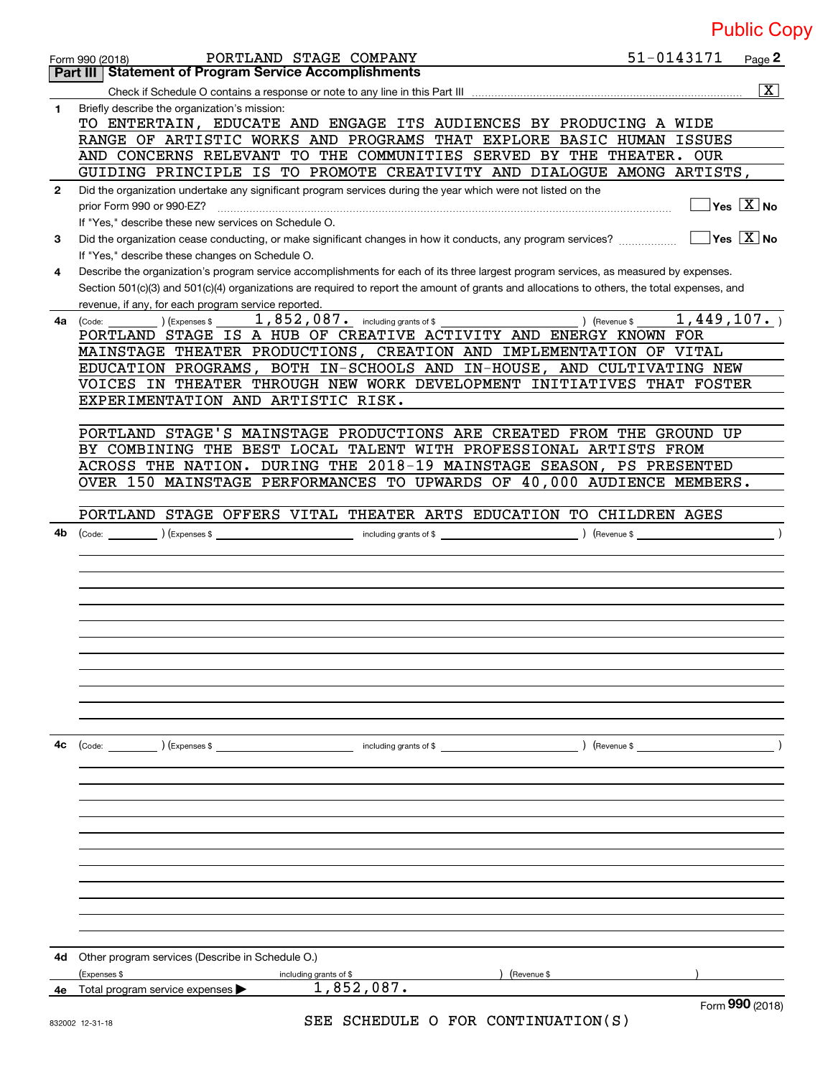|              | PORTLAND STAGE COMPANY<br>Form 990 (2018)                                                                                                                                                                                                                                            | 51-0143171 | Page 2                                 |
|--------------|--------------------------------------------------------------------------------------------------------------------------------------------------------------------------------------------------------------------------------------------------------------------------------------|------------|----------------------------------------|
|              | <b>Statement of Program Service Accomplishments</b><br>Part III                                                                                                                                                                                                                      |            |                                        |
|              |                                                                                                                                                                                                                                                                                      |            | $\overline{\mathbf{x}}$                |
| 1            | Briefly describe the organization's mission:<br>TO ENTERTAIN, EDUCATE AND ENGAGE ITS AUDIENCES BY PRODUCING A WIDE<br>RANGE OF ARTISTIC WORKS AND PROGRAMS THAT EXPLORE BASIC HUMAN ISSUES                                                                                           |            |                                        |
|              | AND CONCERNS RELEVANT TO THE COMMUNITIES SERVED BY THE THEATER. OUR                                                                                                                                                                                                                  |            |                                        |
|              | GUIDING PRINCIPLE IS TO PROMOTE CREATIVITY AND DIALOGUE AMONG ARTISTS,                                                                                                                                                                                                               |            |                                        |
| $\mathbf{2}$ | Did the organization undertake any significant program services during the year which were not listed on the<br>prior Form 990 or 990-EZ?<br>If "Yes," describe these new services on Schedule O.                                                                                    |            | $\sqrt{}$ Yes $\sqrt{}$ X $\sqrt{}$ No |
| 3            | Did the organization cease conducting, or make significant changes in how it conducts, any program services?<br>If "Yes," describe these changes on Schedule O.                                                                                                                      |            | $\overline{Y}$ es $\overline{X}$ No    |
| 4            | Describe the organization's program service accomplishments for each of its three largest program services, as measured by expenses.<br>Section 501(c)(3) and 501(c)(4) organizations are required to report the amount of grants and allocations to others, the total expenses, and |            |                                        |
|              | revenue, if any, for each program service reported.                                                                                                                                                                                                                                  |            |                                        |
| 4a           | 1,852,087. including grants of \$<br>) (Expenses \$<br>) (Revenue \$<br>(Code:<br>PORTLAND STAGE IS A HUB OF CREATIVE ACTIVITY AND ENERGY KNOWN FOR                                                                                                                                  | 1,449,107. |                                        |
|              | MAINSTAGE THEATER PRODUCTIONS, CREATION AND IMPLEMENTATION OF VITAL                                                                                                                                                                                                                  |            |                                        |
|              | EDUCATION PROGRAMS, BOTH IN-SCHOOLS AND IN-HOUSE, AND CULTIVATING NEW                                                                                                                                                                                                                |            |                                        |
|              | VOICES IN THEATER THROUGH NEW WORK DEVELOPMENT INITIATIVES THAT FOSTER                                                                                                                                                                                                               |            |                                        |
|              | EXPERIMENTATION AND ARTISTIC RISK.                                                                                                                                                                                                                                                   |            |                                        |
|              |                                                                                                                                                                                                                                                                                      |            |                                        |
|              | PORTLAND STAGE'S MAINSTAGE PRODUCTIONS ARE CREATED FROM THE GROUND UP<br>BY COMBINING THE BEST LOCAL TALENT WITH PROFESSIONAL ARTISTS FROM                                                                                                                                           |            |                                        |
|              | ACROSS THE NATION. DURING THE 2018-19 MAINSTAGE SEASON, PS PRESENTED                                                                                                                                                                                                                 |            |                                        |
|              | OVER 150 MAINSTAGE PERFORMANCES TO UPWARDS OF 40,000 AUDIENCE MEMBERS.                                                                                                                                                                                                               |            |                                        |
|              | PORTLAND STAGE OFFERS VITAL THEATER ARTS EDUCATION TO CHILDREN AGES                                                                                                                                                                                                                  |            |                                        |
| 4b           | (Code: <u>Code:</u> etc. Code: etc. Code: etc. Code: etc. Code: etc. Code: etc. Code: etc. Code: etc. Code: etc. Code: etc. Code: etc. Code: etc. Code: etc. Code: etc. Code: etc. Code: etc. Code: etc. Code: etc. Code: etc. Code                                                  |            |                                        |
|              |                                                                                                                                                                                                                                                                                      |            |                                        |
|              |                                                                                                                                                                                                                                                                                      |            |                                        |
|              |                                                                                                                                                                                                                                                                                      |            |                                        |
|              |                                                                                                                                                                                                                                                                                      |            |                                        |
|              |                                                                                                                                                                                                                                                                                      |            |                                        |
|              |                                                                                                                                                                                                                                                                                      |            |                                        |
|              |                                                                                                                                                                                                                                                                                      |            |                                        |
|              |                                                                                                                                                                                                                                                                                      |            |                                        |
|              |                                                                                                                                                                                                                                                                                      |            |                                        |
|              |                                                                                                                                                                                                                                                                                      |            |                                        |
| 4с           |                                                                                                                                                                                                                                                                                      |            |                                        |
|              |                                                                                                                                                                                                                                                                                      |            |                                        |
|              |                                                                                                                                                                                                                                                                                      |            |                                        |
|              |                                                                                                                                                                                                                                                                                      |            |                                        |
|              |                                                                                                                                                                                                                                                                                      |            |                                        |
|              |                                                                                                                                                                                                                                                                                      |            |                                        |
|              |                                                                                                                                                                                                                                                                                      |            |                                        |
|              |                                                                                                                                                                                                                                                                                      |            |                                        |
|              |                                                                                                                                                                                                                                                                                      |            |                                        |
|              |                                                                                                                                                                                                                                                                                      |            |                                        |
|              |                                                                                                                                                                                                                                                                                      |            |                                        |
|              |                                                                                                                                                                                                                                                                                      |            |                                        |
| 4d           | Other program services (Describe in Schedule O.)                                                                                                                                                                                                                                     |            |                                        |
|              | ) (Revenue \$<br>(Expenses \$<br>including grants of \$<br>1,852,087.                                                                                                                                                                                                                |            |                                        |
| 4е           | Total program service expenses >                                                                                                                                                                                                                                                     |            | Form 990 (2018)                        |

Form (2018) **990**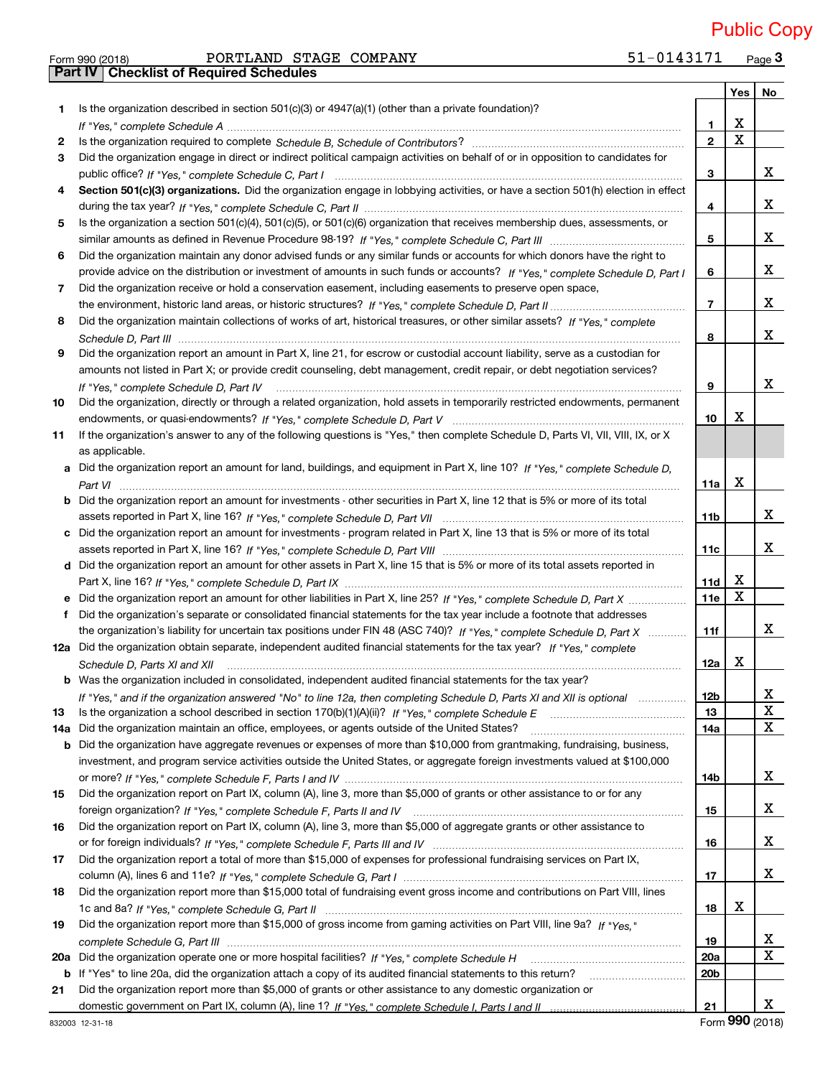Form 990 (2018) PORTLAND STAGE COMPANY 51−0143171 Page **3** PORTLAND STAGE COMPANY 51-0143171 Public Copy

|     | <b>Part IV   Checklist of Required Schedules</b>                                                                                                                                                                                    |                 |                         |        |
|-----|-------------------------------------------------------------------------------------------------------------------------------------------------------------------------------------------------------------------------------------|-----------------|-------------------------|--------|
|     |                                                                                                                                                                                                                                     |                 | Yes                     | No     |
| 1   | Is the organization described in section $501(c)(3)$ or $4947(a)(1)$ (other than a private foundation)?                                                                                                                             |                 |                         |        |
|     |                                                                                                                                                                                                                                     | 1               | X                       |        |
| 2   |                                                                                                                                                                                                                                     | $\overline{2}$  | $\overline{\mathbf{x}}$ |        |
|     |                                                                                                                                                                                                                                     |                 |                         |        |
| 3   | Did the organization engage in direct or indirect political campaign activities on behalf of or in opposition to candidates for                                                                                                     |                 |                         | x      |
|     |                                                                                                                                                                                                                                     | 3               |                         |        |
|     | Section 501(c)(3) organizations. Did the organization engage in lobbying activities, or have a section 501(h) election in effect                                                                                                    |                 |                         |        |
|     |                                                                                                                                                                                                                                     | 4               |                         | X      |
| 5   | Is the organization a section 501(c)(4), 501(c)(5), or 501(c)(6) organization that receives membership dues, assessments, or                                                                                                        |                 |                         |        |
|     |                                                                                                                                                                                                                                     | 5               |                         | X      |
| 6   | Did the organization maintain any donor advised funds or any similar funds or accounts for which donors have the right to                                                                                                           |                 |                         |        |
|     | provide advice on the distribution or investment of amounts in such funds or accounts? If "Yes," complete Schedule D, Part I                                                                                                        | 6               |                         | X      |
| 7   | Did the organization receive or hold a conservation easement, including easements to preserve open space,                                                                                                                           |                 |                         |        |
|     |                                                                                                                                                                                                                                     | $\overline{7}$  |                         | X      |
| 8   | Did the organization maintain collections of works of art, historical treasures, or other similar assets? If "Yes," complete                                                                                                        |                 |                         |        |
|     |                                                                                                                                                                                                                                     | 8               |                         | X      |
| 9   | Did the organization report an amount in Part X, line 21, for escrow or custodial account liability, serve as a custodian for                                                                                                       |                 |                         |        |
|     | amounts not listed in Part X; or provide credit counseling, debt management, credit repair, or debt negotiation services?                                                                                                           |                 |                         |        |
|     |                                                                                                                                                                                                                                     | 9               |                         | X      |
|     | If "Yes," complete Schedule D, Part IV<br>Did the organization, directly or through a related organization, hold assets in temporarily restricted endowments, permanent                                                             |                 |                         |        |
| 10  |                                                                                                                                                                                                                                     |                 | X                       |        |
|     |                                                                                                                                                                                                                                     | 10              |                         |        |
| 11  | If the organization's answer to any of the following questions is "Yes," then complete Schedule D, Parts VI, VII, VIII, IX, or X                                                                                                    |                 |                         |        |
|     | as applicable.                                                                                                                                                                                                                      |                 |                         |        |
|     | a Did the organization report an amount for land, buildings, and equipment in Part X, line 10? If "Yes," complete Schedule D,                                                                                                       |                 |                         |        |
|     |                                                                                                                                                                                                                                     | 11a             | X                       |        |
|     | <b>b</b> Did the organization report an amount for investments - other securities in Part X, line 12 that is 5% or more of its total                                                                                                |                 |                         |        |
|     |                                                                                                                                                                                                                                     | 11 <sub>b</sub> |                         | X      |
|     | c Did the organization report an amount for investments - program related in Part X, line 13 that is 5% or more of its total                                                                                                        |                 |                         |        |
|     |                                                                                                                                                                                                                                     | 11c             |                         | x      |
|     | d Did the organization report an amount for other assets in Part X, line 15 that is 5% or more of its total assets reported in                                                                                                      |                 |                         |        |
|     |                                                                                                                                                                                                                                     | 11d             | X                       |        |
|     | Did the organization report an amount for other liabilities in Part X, line 25? If "Yes," complete Schedule D, Part X                                                                                                               | 11e             | $\mathbf X$             |        |
| f   | Did the organization's separate or consolidated financial statements for the tax year include a footnote that addresses                                                                                                             |                 |                         |        |
|     | the organization's liability for uncertain tax positions under FIN 48 (ASC 740)? If "Yes," complete Schedule D, Part X                                                                                                              | 11f             |                         | x      |
|     | 12a Did the organization obtain separate, independent audited financial statements for the tax year? If "Yes," complete                                                                                                             |                 |                         |        |
|     |                                                                                                                                                                                                                                     | 12a             | х                       |        |
|     | Schedule D, Parts XI and XII <i>measurement content content and all measurement</i> and the set of the set of the set of the set of the set of the set of the set of the set of the set of the set of the set of the set of the set |                 |                         |        |
|     | b Was the organization included in consolidated, independent audited financial statements for the tax year?                                                                                                                         |                 |                         |        |
|     | If "Yes," and if the organization answered "No" to line 12a, then completing Schedule D, Parts XI and XII is optional                                                                                                               | <b>12b</b>      |                         | x      |
| 13  |                                                                                                                                                                                                                                     | 13              |                         | X      |
| 14a | Did the organization maintain an office, employees, or agents outside of the United States?                                                                                                                                         | 14a             |                         | X      |
| b   | Did the organization have aggregate revenues or expenses of more than \$10,000 from grantmaking, fundraising, business,                                                                                                             |                 |                         |        |
|     | investment, and program service activities outside the United States, or aggregate foreign investments valued at \$100,000                                                                                                          |                 |                         |        |
|     |                                                                                                                                                                                                                                     | 14b             |                         | x      |
| 15  | Did the organization report on Part IX, column (A), line 3, more than \$5,000 of grants or other assistance to or for any                                                                                                           |                 |                         |        |
|     |                                                                                                                                                                                                                                     | 15              |                         | x      |
| 16  | Did the organization report on Part IX, column (A), line 3, more than \$5,000 of aggregate grants or other assistance to                                                                                                            |                 |                         |        |
|     |                                                                                                                                                                                                                                     | 16              |                         | x      |
| 17  | Did the organization report a total of more than \$15,000 of expenses for professional fundraising services on Part IX,                                                                                                             |                 |                         |        |
|     |                                                                                                                                                                                                                                     | 17              |                         | x      |
| 18  | Did the organization report more than \$15,000 total of fundraising event gross income and contributions on Part VIII, lines                                                                                                        |                 |                         |        |
|     |                                                                                                                                                                                                                                     | 18              | х                       |        |
|     | Did the organization report more than \$15,000 of gross income from gaming activities on Part VIII, line 9a? If "Yes."                                                                                                              |                 |                         |        |
| 19  |                                                                                                                                                                                                                                     |                 |                         |        |
|     |                                                                                                                                                                                                                                     | 19              |                         | x<br>X |
| 20a |                                                                                                                                                                                                                                     | 20a             |                         |        |
|     | b If "Yes" to line 20a, did the organization attach a copy of its audited financial statements to this return?                                                                                                                      | 20 <sub>b</sub> |                         |        |
| 21  | Did the organization report more than \$5,000 of grants or other assistance to any domestic organization or                                                                                                                         |                 |                         |        |
|     |                                                                                                                                                                                                                                     | 21              |                         | x      |

Form **990** (2018)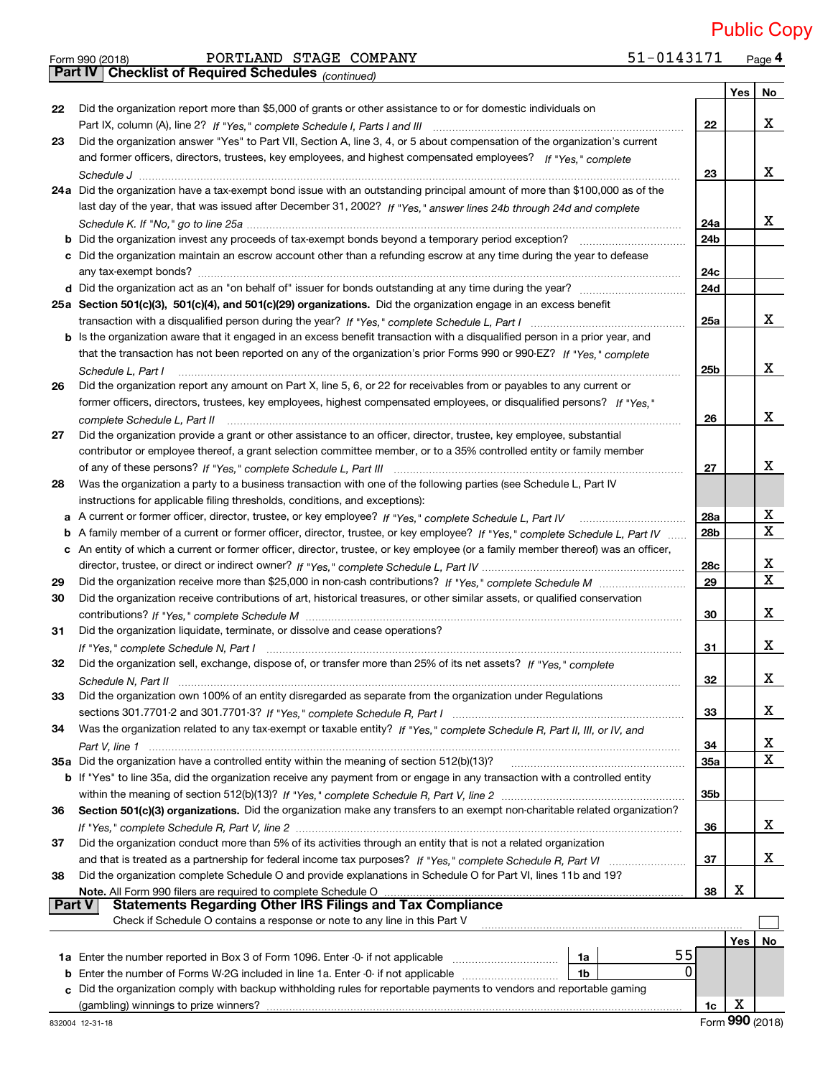$_{\rm Form}$   $_{990}$  (2018)  $_{\rm PQRTLAND}$   $_{\rm STAGE}$   $_{\rm COMPANY}$  51-0143171  $_{\rm Page}$ 51-0143171 Page 4 Public Copy

|    | <b>Part IV   Checklist of Required Schedules</b> (continued)                                                                      |                 |     |                         |
|----|-----------------------------------------------------------------------------------------------------------------------------------|-----------------|-----|-------------------------|
|    |                                                                                                                                   |                 | Yes | No                      |
| 22 | Did the organization report more than \$5,000 of grants or other assistance to or for domestic individuals on                     |                 |     |                         |
|    |                                                                                                                                   | 22              |     | x                       |
| 23 | Did the organization answer "Yes" to Part VII, Section A, line 3, 4, or 5 about compensation of the organization's current        |                 |     |                         |
|    | and former officers, directors, trustees, key employees, and highest compensated employees? If "Yes," complete                    |                 |     |                         |
|    |                                                                                                                                   |                 |     | x                       |
|    |                                                                                                                                   | 23              |     |                         |
|    | 24a Did the organization have a tax-exempt bond issue with an outstanding principal amount of more than \$100,000 as of the       |                 |     |                         |
|    | last day of the year, that was issued after December 31, 2002? If "Yes," answer lines 24b through 24d and complete                |                 |     |                         |
|    |                                                                                                                                   | 24a             |     | x                       |
|    |                                                                                                                                   | 24 <sub>b</sub> |     |                         |
|    | c Did the organization maintain an escrow account other than a refunding escrow at any time during the year to defease            |                 |     |                         |
|    |                                                                                                                                   | 24c             |     |                         |
|    |                                                                                                                                   | 24d             |     |                         |
|    | 25a Section 501(c)(3), 501(c)(4), and 501(c)(29) organizations. Did the organization engage in an excess benefit                  |                 |     |                         |
|    |                                                                                                                                   | 25a             |     | x                       |
|    | b Is the organization aware that it engaged in an excess benefit transaction with a disqualified person in a prior year, and      |                 |     |                         |
|    | that the transaction has not been reported on any of the organization's prior Forms 990 or 990-EZ? If "Yes," complete             |                 |     |                         |
|    | Schedule L. Part I                                                                                                                | 25b             |     | x                       |
|    | Did the organization report any amount on Part X, line 5, 6, or 22 for receivables from or payables to any current or             |                 |     |                         |
| 26 |                                                                                                                                   |                 |     |                         |
|    | former officers, directors, trustees, key employees, highest compensated employees, or disqualified persons? If "Yes."            |                 |     |                         |
|    | complete Schedule L, Part II                                                                                                      | 26              |     | x                       |
| 27 | Did the organization provide a grant or other assistance to an officer, director, trustee, key employee, substantial              |                 |     |                         |
|    | contributor or employee thereof, a grant selection committee member, or to a 35% controlled entity or family member               |                 |     |                         |
|    |                                                                                                                                   | 27              |     | X.                      |
| 28 | Was the organization a party to a business transaction with one of the following parties (see Schedule L, Part IV                 |                 |     |                         |
|    | instructions for applicable filing thresholds, conditions, and exceptions):                                                       |                 |     |                         |
|    |                                                                                                                                   | 28a             |     | X                       |
|    | b A family member of a current or former officer, director, trustee, or key employee? If "Yes," complete Schedule L, Part IV      | 28b             |     | $\overline{\mathbf{x}}$ |
|    | c An entity of which a current or former officer, director, trustee, or key employee (or a family member thereof) was an officer, |                 |     |                         |
|    |                                                                                                                                   | 28c             |     | X                       |
| 29 |                                                                                                                                   | 29              |     | $\overline{\mathbf{x}}$ |
| 30 | Did the organization receive contributions of art, historical treasures, or other similar assets, or qualified conservation       |                 |     |                         |
|    |                                                                                                                                   | 30              |     | x                       |
| 31 | Did the organization liquidate, terminate, or dissolve and cease operations?                                                      |                 |     |                         |
|    |                                                                                                                                   | 31              |     | x                       |
|    | If "Yes," complete Schedule N, Part I medication control control of the Schedule N, Part I medication of the S                    |                 |     |                         |
| 32 | Did the organization sell, exchange, dispose of, or transfer more than 25% of its net assets? If "Yes," complete                  |                 |     | Χ                       |
|    |                                                                                                                                   | 32              |     |                         |
| 33 | Did the organization own 100% of an entity disregarded as separate from the organization under Regulations                        |                 |     |                         |
|    |                                                                                                                                   | 33              |     | X.                      |
| 34 | Was the organization related to any tax-exempt or taxable entity? If "Yes," complete Schedule R, Part II, III, or IV, and         |                 |     |                         |
|    |                                                                                                                                   | 34              |     | x                       |
|    |                                                                                                                                   | <b>35a</b>      |     | $\mathbf X$             |
|    | b If "Yes" to line 35a, did the organization receive any payment from or engage in any transaction with a controlled entity       |                 |     |                         |
|    |                                                                                                                                   | 35b             |     |                         |
| 36 | Section 501(c)(3) organizations. Did the organization make any transfers to an exempt non-charitable related organization?        |                 |     |                         |
|    |                                                                                                                                   | 36              |     | x                       |
| 37 | Did the organization conduct more than 5% of its activities through an entity that is not a related organization                  |                 |     |                         |
|    |                                                                                                                                   | 37              |     | х                       |
| 38 | Did the organization complete Schedule O and provide explanations in Schedule O for Part VI, lines 11b and 19?                    |                 |     |                         |
|    | Note. All Form 990 filers are required to complete Schedule O                                                                     | 38              | х   |                         |
|    | <b>Statements Regarding Other IRS Filings and Tax Compliance</b><br><b>Part V</b>                                                 |                 |     |                         |
|    | Check if Schedule O contains a response or note to any line in this Part V                                                        |                 |     |                         |
|    |                                                                                                                                   |                 |     |                         |
|    | 55                                                                                                                                |                 | Yes | No                      |
|    | 1a<br>$\Omega$                                                                                                                    |                 |     |                         |
|    | <b>b</b> Enter the number of Forms W-2G included in line 1a. Enter -0- if not applicable<br>1b                                    |                 |     |                         |
|    | Did the organization comply with backup withholding rules for reportable payments to vendors and reportable gaming                |                 |     |                         |
|    | (gambling) winnings to prize winners?                                                                                             | 1c              | х   |                         |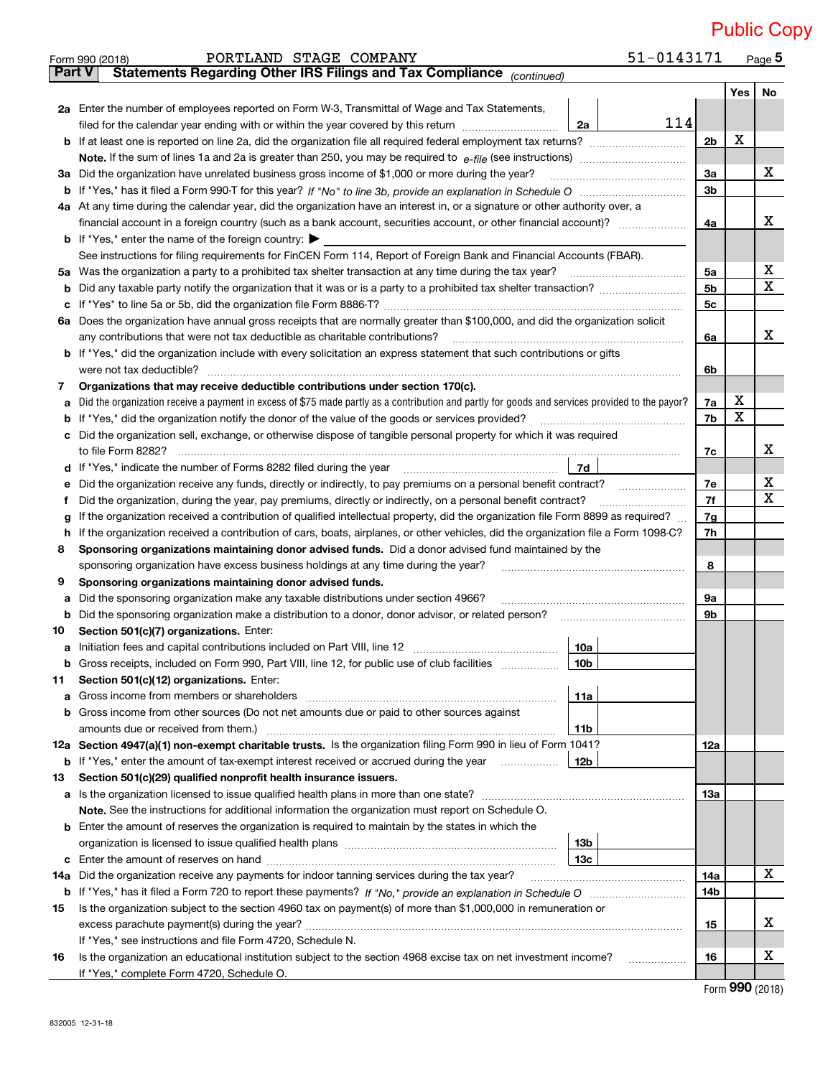|               | 51-0143171<br>PORTLAND STAGE COMPANY<br>Form 990 (2018)                                                                                                                                    |                |     | $Page$ <sup>5</sup> |
|---------------|--------------------------------------------------------------------------------------------------------------------------------------------------------------------------------------------|----------------|-----|---------------------|
| <b>Part V</b> | Statements Regarding Other IRS Filings and Tax Compliance (continued)                                                                                                                      |                |     |                     |
|               |                                                                                                                                                                                            |                | Yes | <b>No</b>           |
|               | 2a Enter the number of employees reported on Form W-3, Transmittal of Wage and Tax Statements,                                                                                             |                |     |                     |
|               | 114<br>filed for the calendar year ending with or within the year covered by this return [11] [11] filed for the calendar year ending with or within the year covered by this return<br>2a |                |     |                     |
| b             |                                                                                                                                                                                            | 2 <sub>b</sub> | X   |                     |
|               |                                                                                                                                                                                            |                |     |                     |
|               | 3a Did the organization have unrelated business gross income of \$1,000 or more during the year?                                                                                           | За             |     | x                   |
| b             |                                                                                                                                                                                            | 3 <sub>b</sub> |     |                     |
|               | 4a At any time during the calendar year, did the organization have an interest in, or a signature or other authority over, a                                                               |                |     |                     |
|               |                                                                                                                                                                                            | 4a             |     | х                   |
|               | <b>b</b> If "Yes," enter the name of the foreign country: $\blacktriangleright$                                                                                                            |                |     |                     |
|               | See instructions for filing requirements for FinCEN Form 114, Report of Foreign Bank and Financial Accounts (FBAR).                                                                        |                |     |                     |
|               | 5a Was the organization a party to a prohibited tax shelter transaction at any time during the tax year?                                                                                   | 5a             |     | х                   |
| b             | Did any taxable party notify the organization that it was or is a party to a prohibited tax shelter transaction?                                                                           | 5 <sub>b</sub> |     | X                   |
| с             |                                                                                                                                                                                            | 5c             |     |                     |
|               | 6a Does the organization have annual gross receipts that are normally greater than \$100,000, and did the organization solicit                                                             |                |     |                     |
|               | any contributions that were not tax deductible as charitable contributions?                                                                                                                | 6a             |     | x                   |
|               | b If "Yes," did the organization include with every solicitation an express statement that such contributions or gifts                                                                     |                |     |                     |
|               | were not tax deductible?                                                                                                                                                                   | 6b             |     |                     |
| 7             | Organizations that may receive deductible contributions under section 170(c).                                                                                                              |                |     |                     |
| а             | Did the organization receive a payment in excess of \$75 made partly as a contribution and partly for goods and services provided to the payor?                                            | 7a             | х   |                     |
| b             | If "Yes," did the organization notify the donor of the value of the goods or services provided?                                                                                            | 7b             | X   |                     |
| c             | Did the organization sell, exchange, or otherwise dispose of tangible personal property for which it was required                                                                          |                |     |                     |
|               |                                                                                                                                                                                            | 7c             |     | x                   |
| d             | $L$ 7d                                                                                                                                                                                     |                |     |                     |
| е             | Did the organization receive any funds, directly or indirectly, to pay premiums on a personal benefit contract?                                                                            | 7e             |     | х<br>X              |
| f             | Did the organization, during the year, pay premiums, directly or indirectly, on a personal benefit contract?                                                                               | 7f             |     |                     |
| g             | If the organization received a contribution of qualified intellectual property, did the organization file Form 8899 as required?                                                           | 7g             |     |                     |
| h             | If the organization received a contribution of cars, boats, airplanes, or other vehicles, did the organization file a Form 1098-C?                                                         | 7h             |     |                     |
| 8             | Sponsoring organizations maintaining donor advised funds. Did a donor advised fund maintained by the                                                                                       |                |     |                     |
| 9             | sponsoring organization have excess business holdings at any time during the year?                                                                                                         | 8              |     |                     |
|               | Sponsoring organizations maintaining donor advised funds.<br>Did the sponsoring organization make any taxable distributions under section 4966?                                            | 9а             |     |                     |
| а<br>b        |                                                                                                                                                                                            | 9b             |     |                     |
| 10            | Section 501(c)(7) organizations. Enter:                                                                                                                                                    |                |     |                     |
| а             | 10a<br>Initiation fees and capital contributions included on Part VIII, line 12 [111] [11] [12] [11] [12] [11] [12] [                                                                      |                |     |                     |
|               | 10b <br>Gross receipts, included on Form 990, Part VIII, line 12, for public use of club facilities                                                                                        |                |     |                     |
| 11            | Section 501(c)(12) organizations. Enter:                                                                                                                                                   |                |     |                     |
| а             | 11a<br>Gross income from members or shareholders                                                                                                                                           |                |     |                     |
| b             | Gross income from other sources (Do not net amounts due or paid to other sources against                                                                                                   |                |     |                     |
|               | amounts due or received from them.)<br>11b                                                                                                                                                 |                |     |                     |
|               | 12a Section 4947(a)(1) non-exempt charitable trusts. Is the organization filing Form 990 in lieu of Form 1041?                                                                             | 12a            |     |                     |
|               | 12b<br><b>b</b> If "Yes," enter the amount of tax-exempt interest received or accrued during the year                                                                                      |                |     |                     |
| 13            | Section 501(c)(29) qualified nonprofit health insurance issuers.                                                                                                                           |                |     |                     |
| a             | Is the organization licensed to issue qualified health plans in more than one state?                                                                                                       | 13a            |     |                     |
|               | Note. See the instructions for additional information the organization must report on Schedule O.                                                                                          |                |     |                     |
| b             | Enter the amount of reserves the organization is required to maintain by the states in which the                                                                                           |                |     |                     |
|               | 13 <sub>b</sub><br>organization is licensed to issue qualified health plans [111] matter contains an interest in the set of an in                                                          |                |     |                     |
| с             | 13с                                                                                                                                                                                        |                |     |                     |
| 14a           | Did the organization receive any payments for indoor tanning services during the tax year?                                                                                                 | 14a            |     | X                   |
|               |                                                                                                                                                                                            | 14b            |     |                     |
| 15            | Is the organization subject to the section 4960 tax on payment(s) of more than \$1,000,000 in remuneration or                                                                              |                |     |                     |
|               |                                                                                                                                                                                            | 15             |     | х                   |
|               | If "Yes," see instructions and file Form 4720, Schedule N.                                                                                                                                 |                |     |                     |
| 16            | Is the organization an educational institution subject to the section 4968 excise tax on net investment income?                                                                            | 16             |     | х                   |
|               | If "Yes," complete Form 4720, Schedule O.                                                                                                                                                  |                |     |                     |

Form (2018) **990**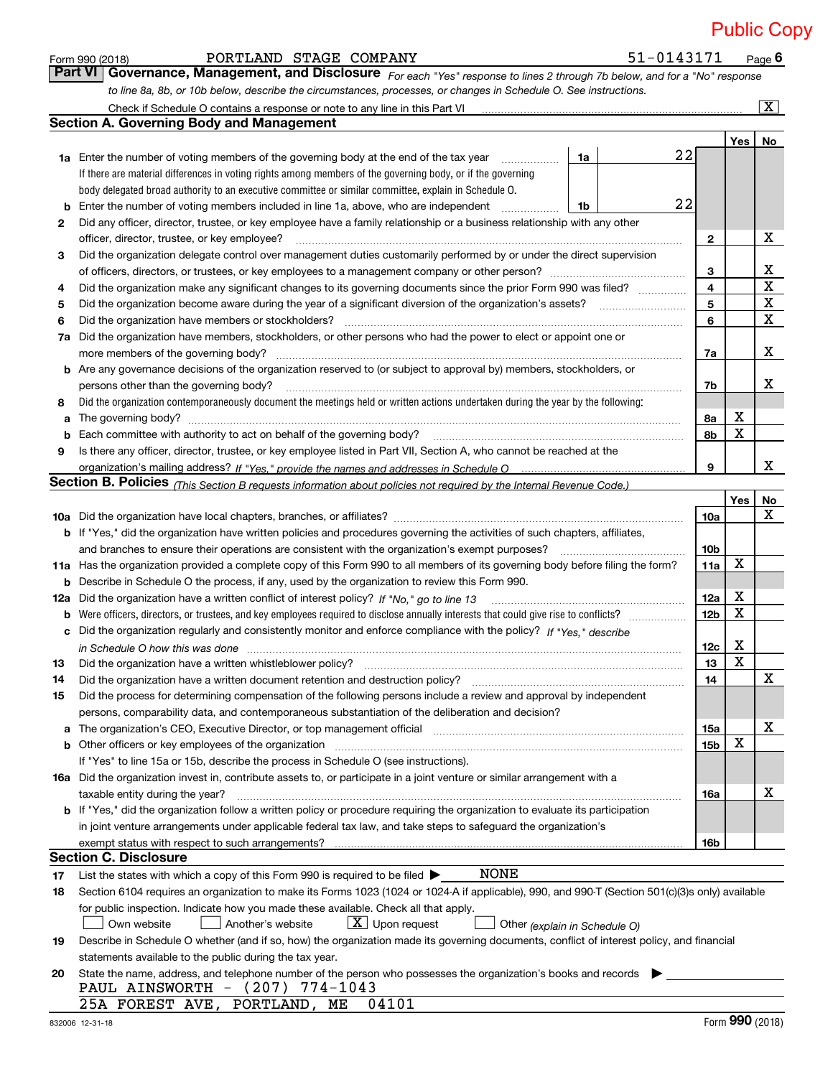51-0143171 Page 6

|     | <b>Part VI   Governance, Management, and Disclosure</b> For each "Yes" response to lines 2 through 7b below, and for a "No" response                                                                                           |                 |             |                         |
|-----|--------------------------------------------------------------------------------------------------------------------------------------------------------------------------------------------------------------------------------|-----------------|-------------|-------------------------|
|     | to line 8a, 8b, or 10b below, describe the circumstances, processes, or changes in Schedule O. See instructions.                                                                                                               |                 |             |                         |
|     |                                                                                                                                                                                                                                |                 |             | $\overline{\mathbf{x}}$ |
|     | <b>Section A. Governing Body and Management</b>                                                                                                                                                                                |                 |             |                         |
|     |                                                                                                                                                                                                                                |                 | Yes         | No                      |
|     | 22<br>1a<br><b>1a</b> Enter the number of voting members of the governing body at the end of the tax year                                                                                                                      |                 |             |                         |
|     | If there are material differences in voting rights among members of the governing body, or if the governing                                                                                                                    |                 |             |                         |
|     | body delegated broad authority to an executive committee or similar committee, explain in Schedule O.                                                                                                                          |                 |             |                         |
|     | 22<br>Enter the number of voting members included in line 1a, above, who are independent<br>1b                                                                                                                                 |                 |             |                         |
| 2   | Did any officer, director, trustee, or key employee have a family relationship or a business relationship with any other                                                                                                       |                 |             |                         |
|     | officer, director, trustee, or key employee?                                                                                                                                                                                   | $\mathbf{2}$    |             | х                       |
| з   | Did the organization delegate control over management duties customarily performed by or under the direct supervision                                                                                                          |                 |             |                         |
|     |                                                                                                                                                                                                                                | 3               |             | X                       |
| 4   | Did the organization make any significant changes to its governing documents since the prior Form 990 was filed?                                                                                                               | 4               |             | X                       |
| 5   |                                                                                                                                                                                                                                | 5               |             | x                       |
| 6   | Did the organization have members or stockholders?                                                                                                                                                                             | 6               |             | X                       |
| 7a  | Did the organization have members, stockholders, or other persons who had the power to elect or appoint one or                                                                                                                 |                 |             |                         |
|     | more members of the governing body?                                                                                                                                                                                            | 7a              |             | X                       |
| b   | Are any governance decisions of the organization reserved to (or subject to approval by) members, stockholders, or                                                                                                             |                 |             |                         |
|     | persons other than the governing body?                                                                                                                                                                                         | 7b              |             | x                       |
| 8   | Did the organization contemporaneously document the meetings held or written actions undertaken during the year by the following:                                                                                              |                 |             |                         |
| a   |                                                                                                                                                                                                                                | 8а              | х           |                         |
|     |                                                                                                                                                                                                                                | 8b              | X           |                         |
| 9   | Is there any officer, director, trustee, or key employee listed in Part VII, Section A, who cannot be reached at the                                                                                                           |                 |             |                         |
|     |                                                                                                                                                                                                                                | 9               |             | x                       |
|     | <b>Section B. Policies</b> (This Section B requests information about policies not required by the Internal Revenue Code.)                                                                                                     |                 |             |                         |
|     |                                                                                                                                                                                                                                |                 | Yes         | No                      |
|     |                                                                                                                                                                                                                                | <b>10a</b>      |             | X                       |
|     | <b>b</b> If "Yes," did the organization have written policies and procedures governing the activities of such chapters, affiliates,                                                                                            |                 |             |                         |
|     | and branches to ensure their operations are consistent with the organization's exempt purposes?                                                                                                                                | 10 <sub>b</sub> |             |                         |
|     | 11a Has the organization provided a complete copy of this Form 990 to all members of its governing body before filing the form?                                                                                                | 11a             | X           |                         |
| b   | Describe in Schedule O the process, if any, used by the organization to review this Form 990.                                                                                                                                  |                 |             |                         |
| 12a | Did the organization have a written conflict of interest policy? If "No," go to line 13                                                                                                                                        | 12a             | X           |                         |
| b   |                                                                                                                                                                                                                                | 12 <sub>b</sub> | X           |                         |
| с   | Did the organization regularly and consistently monitor and enforce compliance with the policy? If "Yes," describe                                                                                                             |                 |             |                         |
|     | in Schedule O how this was done with the control of the control of the control of the control of the control o                                                                                                                 | 12 <sub>c</sub> | X           |                         |
| 13  |                                                                                                                                                                                                                                | 13              | $\mathbf X$ |                         |
| 14  | Did the organization have a written document retention and destruction policy?                                                                                                                                                 | 14              |             | X                       |
| 15  | Did the process for determining compensation of the following persons include a review and approval by independent                                                                                                             |                 |             |                         |
|     | persons, comparability data, and contemporaneous substantiation of the deliberation and decision?                                                                                                                              |                 |             |                         |
| а   | The organization's CEO, Executive Director, or top management official manufactured contains and contained a manufactured with the organization's CEO, Executive Director, or top management official manufactured with the st | 15a             |             | х                       |
| b   | Other officers or key employees of the organization                                                                                                                                                                            | 15b             | X           |                         |
|     | If "Yes" to line 15a or 15b, describe the process in Schedule O (see instructions).                                                                                                                                            |                 |             |                         |
|     | 16a Did the organization invest in, contribute assets to, or participate in a joint venture or similar arrangement with a                                                                                                      |                 |             |                         |
|     | taxable entity during the year?                                                                                                                                                                                                | 16a             |             | х                       |
|     | <b>b</b> If "Yes," did the organization follow a written policy or procedure requiring the organization to evaluate its participation                                                                                          |                 |             |                         |
|     | in joint venture arrangements under applicable federal tax law, and take steps to safeguard the organization's                                                                                                                 |                 |             |                         |
|     | exempt status with respect to such arrangements?                                                                                                                                                                               | 16b             |             |                         |
|     | <b>Section C. Disclosure</b>                                                                                                                                                                                                   |                 |             |                         |
| 17  | NONE<br>List the states with which a copy of this Form 990 is required to be filed $\blacktriangleright$                                                                                                                       |                 |             |                         |
| 18  | Section 6104 requires an organization to make its Forms 1023 (1024 or 1024 A if applicable), 990, and 990 T (Section 501(c)(3)s only) available                                                                                |                 |             |                         |
|     | for public inspection. Indicate how you made these available. Check all that apply.<br>$X$ Upon request                                                                                                                        |                 |             |                         |
|     | Own website<br>Another's website<br>Other (explain in Schedule O)<br>Describe in Schedule O whether (and if so, how) the organization made its governing documents, conflict of interest policy, and financial                 |                 |             |                         |
| 19  | statements available to the public during the tax year.                                                                                                                                                                        |                 |             |                         |
| 20  | State the name, address, and telephone number of the person who possesses the organization's books and records                                                                                                                 |                 |             |                         |
|     | PAUL AINSWORTH - (207) 774-1043                                                                                                                                                                                                |                 |             |                         |

 $_{\rm Form}$   $_{990}$  (2018)  $_{\rm PQRTLAND}$   $_{\rm STAGE}$   $_{\rm COMPANY}$  51-0143171  $_{\rm Page}$ 

25A FOREST AVE, PORTLAND, ME 04101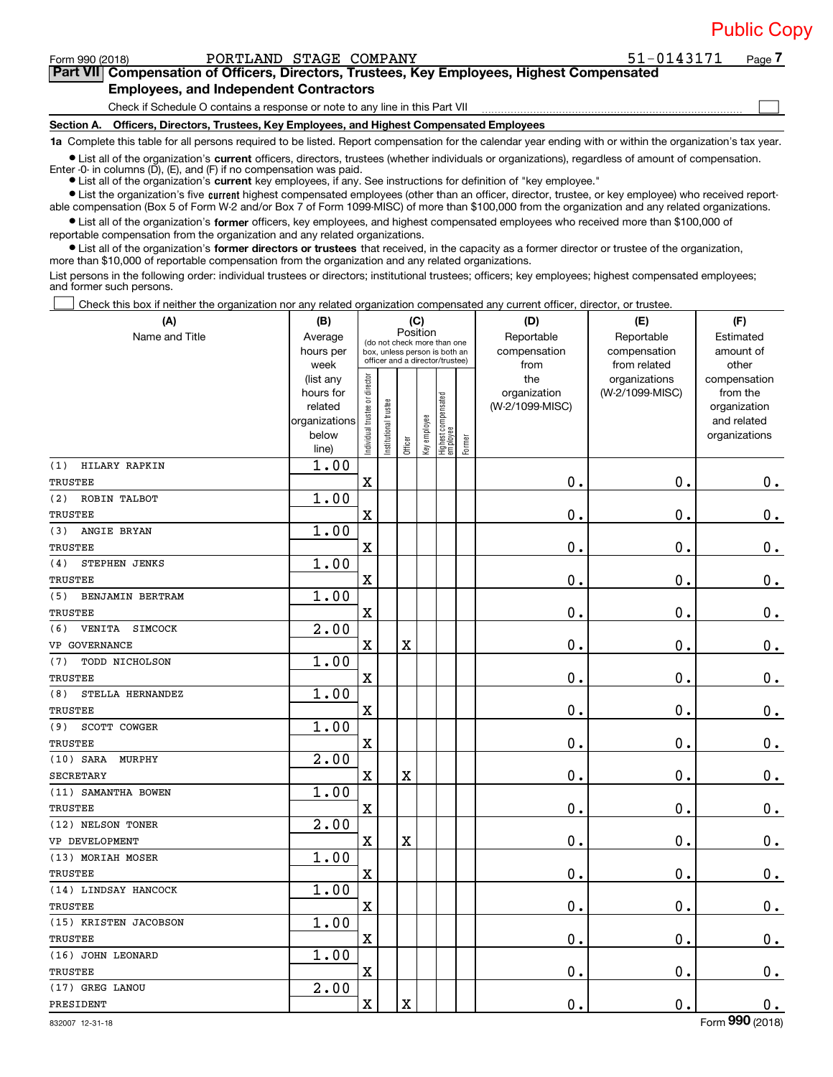Form 990 (2018) Page PORTLAND STAGE COMPANY 51‐0143171

**Part VII Compensation of Officers, Directors, Trustees, Key Employees, Highest Compensated Employees, and Independent Contractors**

Check if Schedule O contains a response or note to any line in this Part VII

**Section A. Officers, Directors, Trustees, Key Employees, and Highest Compensated Employees**

**1a**  Complete this table for all persons required to be listed. Report compensation for the calendar year ending with or within the organization's tax year.

 $\bullet$  List all of the organization's current officers, directors, trustees (whether individuals or organizations), regardless of amount of compensation. Enter  $-0$ - in columns  $(D)$ ,  $(E)$ , and  $(F)$  if no compensation was paid.

**•** List all of the organization's **current** key employees, if any. See instructions for definition of "key employee."

● List the organization's five current highest compensated employees (other than an officer, director, trustee, or key employee) who received reportable compensation (Box 5 of Form W‐2 and/or Box 7 of Form 1099‐MISC) of more than \$100,000 from the organization and any related organizations.

 $\bullet$  List all of the organization's former officers, key employees, and highest compensated employees who received more than \$100,000 of reportable compensation from the organization and any related organizations.

**•** List all of the organization's former directors or trustees that received, in the capacity as a former director or trustee of the organization, more than \$10,000 of reportable compensation from the organization and any related organizations.

List persons in the following order: individual trustees or directors; institutional trustees; officers; key employees; highest compensated employees; and former such persons.

Check this box if neither the organization nor any related organization compensated any current officer, director, or trustee. 

| Check this box if neither the organization nor any related organization compensated any current officer, director, or trustee.<br>(A) | (B)                                                                  |                                |                       |                         | (C)          |                                                                                                 |        | (D)                                    | (E)                                        | (F)                                                                      |
|---------------------------------------------------------------------------------------------------------------------------------------|----------------------------------------------------------------------|--------------------------------|-----------------------|-------------------------|--------------|-------------------------------------------------------------------------------------------------|--------|----------------------------------------|--------------------------------------------|--------------------------------------------------------------------------|
| Name and Title                                                                                                                        | Average<br>hours per<br>week                                         |                                |                       | Position                |              | (do not check more than one<br>box, unless person is both an<br>officer and a director/trustee) |        | Reportable<br>compensation<br>from     | Reportable<br>compensation<br>from related | Estimated<br>amount of<br>other                                          |
|                                                                                                                                       | (list any<br>hours for<br>related<br>organizations<br>below<br>line) | Individual trustee or director | Institutional trustee | Officer                 | Key employee | Highest compensated<br>employee                                                                 | Former | the<br>organization<br>(W-2/1099-MISC) | organizations<br>(W-2/1099-MISC)           | compensation<br>from the<br>organization<br>and related<br>organizations |
| HILARY RAPKIN<br>(1)                                                                                                                  | 1.00                                                                 |                                |                       |                         |              |                                                                                                 |        |                                        |                                            |                                                                          |
| TRUSTEE                                                                                                                               |                                                                      | $\mathbf X$                    |                       |                         |              |                                                                                                 |        | 0.                                     | 0.                                         | $0_{.}$                                                                  |
| (2)<br>ROBIN TALBOT<br>TRUSTEE                                                                                                        | 1.00                                                                 | $\mathbf X$                    |                       |                         |              |                                                                                                 |        | 0.                                     | $\mathbf 0$ .                              | $0_{.}$                                                                  |
| (3)<br>ANGIE BRYAN                                                                                                                    | 1.00                                                                 |                                |                       |                         |              |                                                                                                 |        |                                        |                                            |                                                                          |
| TRUSTEE                                                                                                                               |                                                                      | $\mathbf X$                    |                       |                         |              |                                                                                                 |        | 0.                                     | $\mathbf 0$ .                              | $0_{.}$                                                                  |
| (4)<br>STEPHEN JENKS                                                                                                                  | 1.00                                                                 |                                |                       |                         |              |                                                                                                 |        |                                        |                                            |                                                                          |
| TRUSTEE                                                                                                                               |                                                                      | $\mathbf X$                    |                       |                         |              |                                                                                                 |        | 0.                                     | $\mathbf 0$ .                              | $\mathbf 0$ .                                                            |
| (5)<br>BENJAMIN BERTRAM                                                                                                               | 1.00                                                                 |                                |                       |                         |              |                                                                                                 |        |                                        |                                            |                                                                          |
| TRUSTEE                                                                                                                               |                                                                      | $\mathbf X$                    |                       |                         |              |                                                                                                 |        | 0.                                     | $\mathbf 0$ .                              | $\mathbf 0$ .                                                            |
| VENITA SIMCOCK<br>(6)                                                                                                                 | $\overline{2.00}$                                                    |                                |                       |                         |              |                                                                                                 |        |                                        |                                            |                                                                          |
| VP GOVERNANCE                                                                                                                         |                                                                      | X                              |                       | $\mathbf x$             |              |                                                                                                 |        | 0.                                     | $\mathbf 0$ .                              | $\mathbf 0$ .                                                            |
| (7)<br>TODD NICHOLSON                                                                                                                 | 1.00                                                                 |                                |                       |                         |              |                                                                                                 |        |                                        |                                            |                                                                          |
| TRUSTEE                                                                                                                               |                                                                      | X                              |                       |                         |              |                                                                                                 |        | 0.                                     | $\mathbf 0$ .                              | $\mathbf 0$ .                                                            |
| (8)<br>STELLA HERNANDEZ                                                                                                               | 1.00                                                                 |                                |                       |                         |              |                                                                                                 |        |                                        |                                            |                                                                          |
| TRUSTEE                                                                                                                               |                                                                      | $\mathbf X$                    |                       |                         |              |                                                                                                 |        | 0.                                     | $\mathbf 0$ .                              | $\mathbf 0$ .                                                            |
| SCOTT COWGER<br>(9)                                                                                                                   | 1.00                                                                 |                                |                       |                         |              |                                                                                                 |        |                                        |                                            |                                                                          |
| TRUSTEE                                                                                                                               |                                                                      | $\mathbf X$                    |                       |                         |              |                                                                                                 |        | 0.                                     | $\mathbf 0$ .                              | $\mathbf 0$ .                                                            |
| $(10)$ SARA<br>MURPHY                                                                                                                 | 2.00                                                                 | $\mathbf X$                    |                       | $\overline{\textbf{X}}$ |              |                                                                                                 |        |                                        | $\mathbf 0$ .                              |                                                                          |
| <b>SECRETARY</b><br>(11) SAMANTHA BOWEN                                                                                               | 1.00                                                                 |                                |                       |                         |              |                                                                                                 |        | 0.                                     |                                            | $0_{.}$                                                                  |
| TRUSTEE                                                                                                                               |                                                                      | $\mathbf X$                    |                       |                         |              |                                                                                                 |        | 0.                                     | $\mathbf 0$ .                              | $\mathbf 0$ .                                                            |
| (12) NELSON TONER                                                                                                                     | 2.00                                                                 |                                |                       |                         |              |                                                                                                 |        |                                        |                                            |                                                                          |
| VP DEVELOPMENT                                                                                                                        |                                                                      | $\mathbf X$                    |                       | $\rm X$                 |              |                                                                                                 |        | 0.                                     | $\mathbf 0$ .                              | $\mathbf 0$ .                                                            |
| (13) MORIAH MOSER                                                                                                                     | 1.00                                                                 |                                |                       |                         |              |                                                                                                 |        |                                        |                                            |                                                                          |
| TRUSTEE                                                                                                                               |                                                                      | $\mathbf X$                    |                       |                         |              |                                                                                                 |        | 0.                                     | 0.                                         | $\mathbf 0$ .                                                            |
| (14) LINDSAY HANCOCK                                                                                                                  | 1.00                                                                 |                                |                       |                         |              |                                                                                                 |        |                                        |                                            |                                                                          |
| TRUSTEE                                                                                                                               |                                                                      | X                              |                       |                         |              |                                                                                                 |        | 0.                                     | $\mathbf 0$ .                              | $\mathbf 0$ .                                                            |
| (15) KRISTEN JACOBSON                                                                                                                 | 1.00                                                                 |                                |                       |                         |              |                                                                                                 |        |                                        |                                            |                                                                          |
| TRUSTEE                                                                                                                               |                                                                      | $\mathbf X$                    |                       |                         |              |                                                                                                 |        | $\mathbf 0$ .                          | $\mathbf 0$ .                              | 0.                                                                       |
| (16) JOHN LEONARD                                                                                                                     | 1.00                                                                 |                                |                       |                         |              |                                                                                                 |        |                                        |                                            |                                                                          |
| TRUSTEE                                                                                                                               |                                                                      | $\mathbf X$                    |                       |                         |              |                                                                                                 |        | $\mathbf 0$ .                          | $\mathbf 0$ .                              | 0.                                                                       |
| (17) GREG LANOU                                                                                                                       | 2.00                                                                 |                                |                       |                         |              |                                                                                                 |        |                                        |                                            |                                                                          |
| PRESIDENT                                                                                                                             |                                                                      | X                              |                       | $\mathbf X$             |              |                                                                                                 |        | 0.                                     | $\mathbf 0$ .                              | $\mathbf 0$ .                                                            |
| 832007 12-31-18                                                                                                                       |                                                                      |                                |                       |                         |              |                                                                                                 |        |                                        |                                            | Form 990 (2018)                                                          |

**7**

 $\begin{array}{c} \hline \end{array}$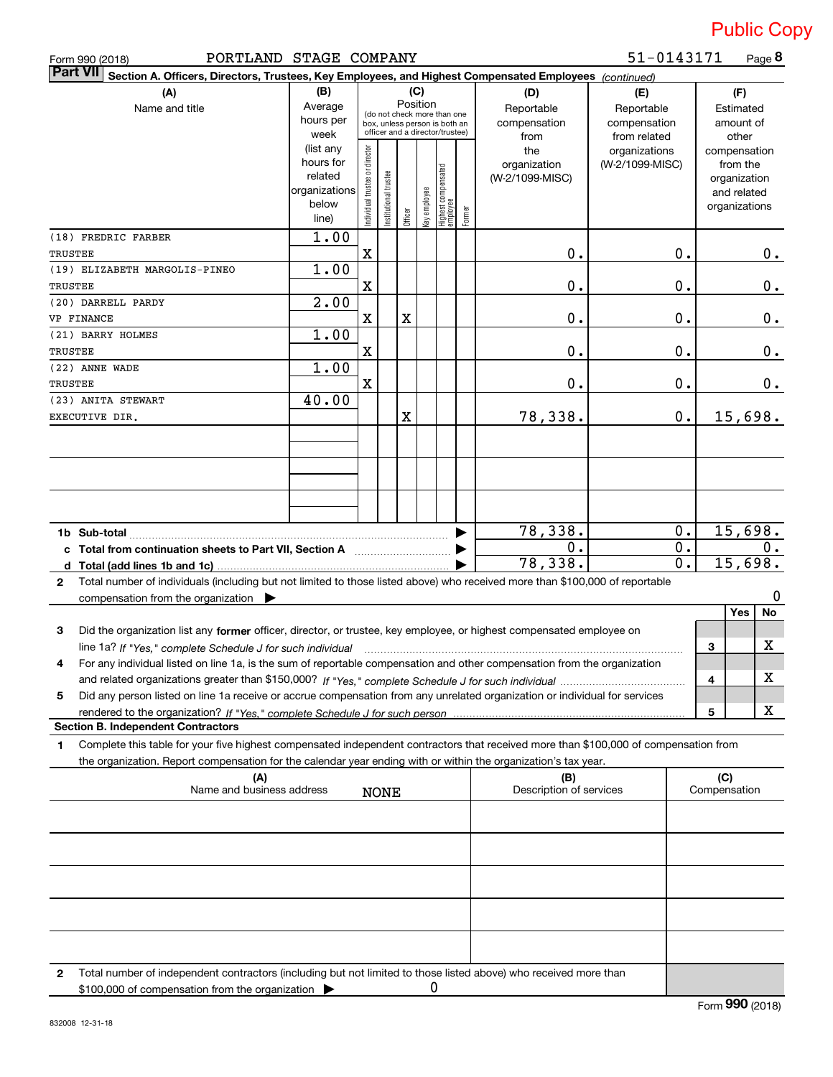| PORTLAND STAGE COMPANY<br>Form 990 (2018)                                                                                                                                                                                                                   |                                                                      |                                |                       |         | 51-0143171<br>Page 8 |                                                                                                 |        |                                           |                                                   |                                                                          |
|-------------------------------------------------------------------------------------------------------------------------------------------------------------------------------------------------------------------------------------------------------------|----------------------------------------------------------------------|--------------------------------|-----------------------|---------|----------------------|-------------------------------------------------------------------------------------------------|--------|-------------------------------------------|---------------------------------------------------|--------------------------------------------------------------------------|
| <b>Part VII</b><br>Section A. Officers, Directors, Trustees, Key Employees, and Highest Compensated Employees (continued)                                                                                                                                   |                                                                      |                                |                       |         |                      |                                                                                                 |        |                                           |                                                   |                                                                          |
| (A)<br>Name and title                                                                                                                                                                                                                                       | (B)<br>Average<br>hours per<br>week                                  |                                |                       |         | (C)<br>Position      | (do not check more than one<br>box, unless person is both an<br>officer and a director/trustee) |        | (D)<br>Reportable<br>compensation<br>from | (E)<br>Reportable<br>compensation<br>from related | (F)<br>Estimated<br>amount of<br>other                                   |
|                                                                                                                                                                                                                                                             | (list any<br>hours for<br>related<br>organizations<br>below<br>line) | Individual trustee or director | Institutional trustee | Officer | Key employee         | Highest compensated<br>employee                                                                 | Former | the<br>organization<br>(W-2/1099-MISC)    | organizations<br>(W-2/1099-MISC)                  | compensation<br>from the<br>organization<br>and related<br>organizations |
| (18) FREDRIC FARBER<br>TRUSTEE                                                                                                                                                                                                                              | 1.00                                                                 | Χ                              |                       |         |                      |                                                                                                 |        | 0.                                        | 0.                                                | $0$ .                                                                    |
| (19) ELIZABETH MARGOLIS-PINEO                                                                                                                                                                                                                               | 1.00                                                                 |                                |                       |         |                      |                                                                                                 |        |                                           |                                                   |                                                                          |
| TRUSTEE                                                                                                                                                                                                                                                     |                                                                      | X                              |                       |         |                      |                                                                                                 |        | 0.                                        | 0.                                                | $0$ .                                                                    |
| (20) DARRELL PARDY<br>VP FINANCE                                                                                                                                                                                                                            | 2.00                                                                 | $\mathbf X$                    |                       | Χ       |                      |                                                                                                 |        | 0.                                        | 0.                                                | $0$ .                                                                    |
| (21) BARRY HOLMES<br>TRUSTEE                                                                                                                                                                                                                                | 1.00                                                                 | $\mathbf X$                    |                       |         |                      |                                                                                                 |        | 0.                                        | 0.                                                | $0$ .                                                                    |
| (22) ANNE WADE<br>TRUSTEE                                                                                                                                                                                                                                   | 1.00                                                                 | $\mathbf X$                    |                       |         |                      |                                                                                                 |        | 0.                                        | 0.                                                | $0$ .                                                                    |
| (23) ANITA STEWART<br>EXECUTIVE DIR.                                                                                                                                                                                                                        | 40.00                                                                |                                |                       | X       |                      |                                                                                                 |        | 78,338.                                   | $0$ .                                             | 15,698.                                                                  |
|                                                                                                                                                                                                                                                             |                                                                      |                                |                       |         |                      |                                                                                                 |        |                                           |                                                   |                                                                          |
|                                                                                                                                                                                                                                                             |                                                                      |                                |                       |         |                      |                                                                                                 |        |                                           |                                                   |                                                                          |
| c Total from continuation sheets to Part VII, Section A [111] [12] Total from continuation sheets to Part VII, Section A                                                                                                                                    |                                                                      |                                |                       |         |                      |                                                                                                 |        | 78,338.<br>0.                             | $0$ .<br>0.                                       | 15,698.<br>$0$ .                                                         |
|                                                                                                                                                                                                                                                             |                                                                      |                                |                       |         |                      |                                                                                                 |        | 78,338.                                   | $\overline{\mathbf{0}}$ .                         | 15,698.                                                                  |
| Total number of individuals (including but not limited to those listed above) who received more than \$100,000 of reportable<br>2<br>compensation from the organization $\blacktriangleright$                                                               |                                                                      |                                |                       |         |                      |                                                                                                 |        |                                           |                                                   | 0                                                                        |
| Did the organization list any former officer, director, or trustee, key employee, or highest compensated employee on<br>3                                                                                                                                   |                                                                      |                                |                       |         |                      |                                                                                                 |        |                                           |                                                   | No<br><b>Yes</b>                                                         |
| line 1a? If "Yes," complete Schedule J for such individual manufactured contained and the Ves," complete Schedule J for such individual                                                                                                                     |                                                                      |                                |                       |         |                      |                                                                                                 |        |                                           |                                                   | X<br>3                                                                   |
| For any individual listed on line 1a, is the sum of reportable compensation and other compensation from the organization<br>4                                                                                                                               |                                                                      |                                |                       |         |                      |                                                                                                 |        |                                           |                                                   |                                                                          |
|                                                                                                                                                                                                                                                             |                                                                      |                                |                       |         |                      |                                                                                                 |        |                                           |                                                   | х<br>4                                                                   |
| Did any person listed on line 1a receive or accrue compensation from any unrelated organization or individual for services<br>5                                                                                                                             |                                                                      |                                |                       |         |                      |                                                                                                 |        |                                           |                                                   | х<br>5                                                                   |
| <b>Section B. Independent Contractors</b>                                                                                                                                                                                                                   |                                                                      |                                |                       |         |                      |                                                                                                 |        |                                           |                                                   |                                                                          |
| Complete this table for your five highest compensated independent contractors that received more than \$100,000 of compensation from<br>1<br>the organization. Report compensation for the calendar year ending with or within the organization's tax year. |                                                                      |                                |                       |         |                      |                                                                                                 |        |                                           |                                                   |                                                                          |
| (A)<br>Name and business address                                                                                                                                                                                                                            |                                                                      |                                | <b>NONE</b>           |         |                      |                                                                                                 |        | (B)<br>Description of services            |                                                   | (C)<br>Compensation                                                      |
|                                                                                                                                                                                                                                                             |                                                                      |                                |                       |         |                      |                                                                                                 |        |                                           |                                                   |                                                                          |
|                                                                                                                                                                                                                                                             |                                                                      |                                |                       |         |                      |                                                                                                 |        |                                           |                                                   |                                                                          |
|                                                                                                                                                                                                                                                             |                                                                      |                                |                       |         |                      |                                                                                                 |        |                                           |                                                   |                                                                          |
|                                                                                                                                                                                                                                                             |                                                                      |                                |                       |         |                      |                                                                                                 |        |                                           |                                                   |                                                                          |
|                                                                                                                                                                                                                                                             |                                                                      |                                |                       |         |                      |                                                                                                 |        |                                           |                                                   |                                                                          |
|                                                                                                                                                                                                                                                             |                                                                      |                                |                       |         |                      |                                                                                                 |        |                                           |                                                   |                                                                          |

**2** Total number of independent contractors (including but not limited to those listed above) who received more than \$100,000 of compensation from the organization 0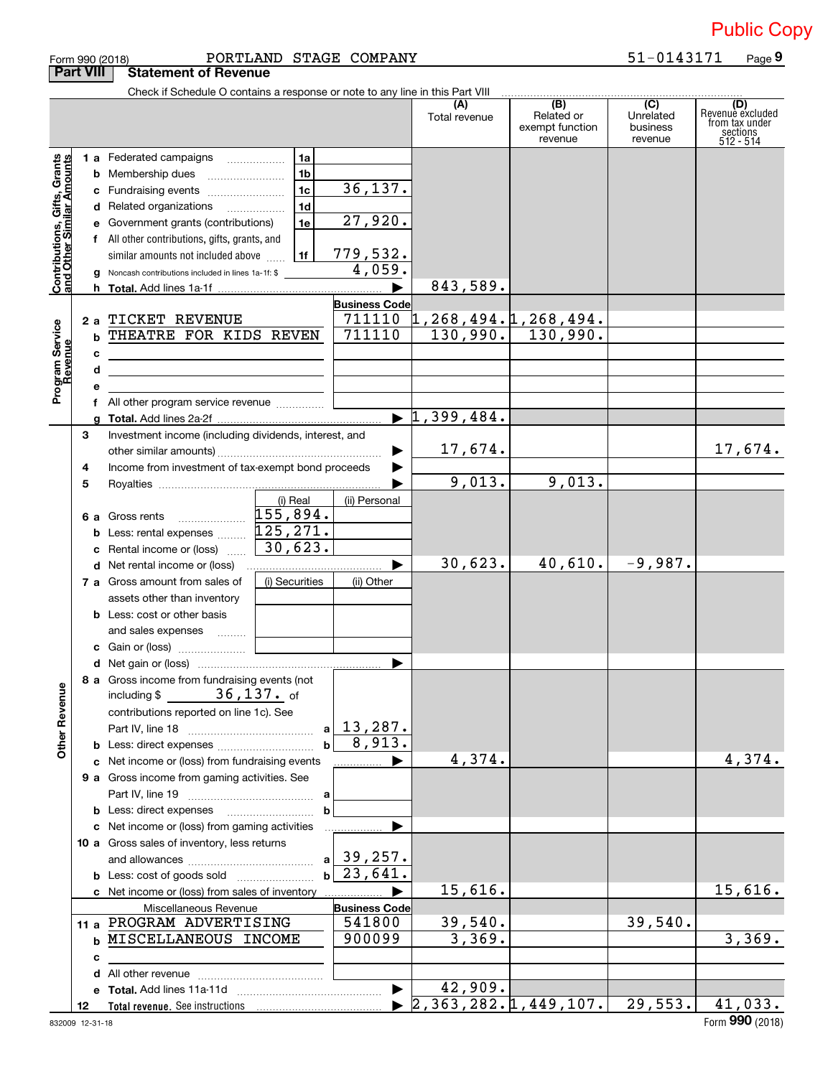| Form 990 (2018) | PORTLAN                               |
|-----------------|---------------------------------------|
|                 | <b>Part VIII Statement of Revenue</b> |

#### Form 990 (2018) PORTLAND STAGE COMPANY 51-0143171 Page

**9**

|                                                           |    | Check if Schedule O contains a response or note to any line in this Part VIII |                |                                |                                                   |                                                 |                                         |                                                                    |
|-----------------------------------------------------------|----|-------------------------------------------------------------------------------|----------------|--------------------------------|---------------------------------------------------|-------------------------------------------------|-----------------------------------------|--------------------------------------------------------------------|
|                                                           |    |                                                                               |                |                                | Total revenue                                     | (B)<br>Related or<br>exempt function<br>revenue | (C)<br>Unrelated<br>business<br>revenue | (D)<br>Revenue excluded<br>from tax under<br>sections<br>512 - 514 |
|                                                           |    | 1 a Federated campaigns                                                       | 1a             |                                |                                                   |                                                 |                                         |                                                                    |
|                                                           |    | <b>b</b> Membership dues <i></i>                                              | 1 <sub>b</sub> |                                |                                                   |                                                 |                                         |                                                                    |
|                                                           |    |                                                                               | 1 <sub>c</sub> | 36, 137.                       |                                                   |                                                 |                                         |                                                                    |
|                                                           |    | c Fundraising events                                                          | 1 <sub>d</sub> |                                |                                                   |                                                 |                                         |                                                                    |
|                                                           |    | d Related organizations                                                       | 1e             | 27,920.                        |                                                   |                                                 |                                         |                                                                    |
|                                                           |    | e Government grants (contributions)                                           |                |                                |                                                   |                                                 |                                         |                                                                    |
|                                                           |    | f All other contributions, gifts, grants, and                                 |                |                                |                                                   |                                                 |                                         |                                                                    |
|                                                           |    | similar amounts not included above                                            | 1f             | 779,532.<br>4,059.             |                                                   |                                                 |                                         |                                                                    |
| Contributions, Gifts, Grants<br>and Other Similar Amounts |    | <b>g</b> Noncash contributions included in lines 1a-1f: \$                    |                |                                | 843,589.                                          |                                                 |                                         |                                                                    |
|                                                           |    |                                                                               |                | <b>Business Code</b>           |                                                   |                                                 |                                         |                                                                    |
|                                                           |    | 2 a TICKET REVENUE                                                            |                |                                | $711110 \; \updownarrow$ , 268, 494. 1, 268, 494. |                                                 |                                         |                                                                    |
|                                                           |    | <b>b THEATRE FOR KIDS REVEN</b>                                               | 711110         |                                | $130,990.$ 130,990.                               |                                                 |                                         |                                                                    |
| Program Service<br>Revenue                                |    |                                                                               |                |                                |                                                   |                                                 |                                         |                                                                    |
|                                                           | с  |                                                                               |                |                                |                                                   |                                                 |                                         |                                                                    |
|                                                           | d  |                                                                               |                |                                |                                                   |                                                 |                                         |                                                                    |
|                                                           |    |                                                                               |                |                                |                                                   |                                                 |                                         |                                                                    |
|                                                           |    | f All other program service revenue                                           |                |                                | $\blacktriangleright$ 1,399,484.                  |                                                 |                                         |                                                                    |
|                                                           | 3  | Investment income (including dividends, interest, and                         |                |                                |                                                   |                                                 |                                         |                                                                    |
|                                                           |    |                                                                               |                | ▶                              | 17,674.                                           |                                                 |                                         | 17,674.                                                            |
|                                                           | 4  | Income from investment of tax-exempt bond proceeds                            |                |                                |                                                   |                                                 |                                         |                                                                    |
|                                                           | 5  |                                                                               |                |                                | 9,013.                                            | 9,013.                                          |                                         |                                                                    |
|                                                           |    |                                                                               | (i) Real       | (ii) Personal                  |                                                   |                                                 |                                         |                                                                    |
|                                                           |    |                                                                               |                |                                |                                                   |                                                 |                                         |                                                                    |
|                                                           |    | <b>b</b> Less: rental expenses $\ldots$ $125, 271$ .                          |                |                                |                                                   |                                                 |                                         |                                                                    |
|                                                           |    | c Rental income or (loss) $\ldots$ $\begin{bmatrix} 30 \\ 623 \end{bmatrix}$  |                |                                |                                                   |                                                 |                                         |                                                                    |
|                                                           |    |                                                                               |                |                                | 30,623.                                           | 40,610.                                         | $-9,987.$                               |                                                                    |
|                                                           |    | <b>7 a</b> Gross amount from sales of                                         | (i) Securities | (ii) Other                     |                                                   |                                                 |                                         |                                                                    |
|                                                           |    | assets other than inventory                                                   |                |                                |                                                   |                                                 |                                         |                                                                    |
|                                                           |    | <b>b</b> Less: cost or other basis                                            |                |                                |                                                   |                                                 |                                         |                                                                    |
|                                                           |    | and sales expenses                                                            |                |                                |                                                   |                                                 |                                         |                                                                    |
|                                                           |    | <b>c</b> Gain or (loss) $\ldots$ [                                            |                |                                |                                                   |                                                 |                                         |                                                                    |
|                                                           |    |                                                                               |                |                                |                                                   |                                                 |                                         |                                                                    |
| ≌                                                         |    | 8 a Gross income from fundraising events (not<br>including \$ 36, 137. of     |                |                                |                                                   |                                                 |                                         |                                                                    |
| <b>Other Revent</b>                                       |    |                                                                               |                |                                |                                                   |                                                 |                                         |                                                                    |
|                                                           |    | contributions reported on line 1c). See                                       |                |                                |                                                   |                                                 |                                         |                                                                    |
|                                                           |    |                                                                               |                | $a \mid 13,287.$<br>8,913.     |                                                   |                                                 |                                         |                                                                    |
|                                                           |    | <b>b</b> Less: direct expenses <i></i>                                        |                |                                | 4,374.                                            |                                                 |                                         | 4,374.                                                             |
|                                                           |    | c Net income or (loss) from fundraising events                                |                |                                |                                                   |                                                 |                                         |                                                                    |
|                                                           |    | 9 a Gross income from gaming activities. See                                  |                |                                |                                                   |                                                 |                                         |                                                                    |
|                                                           |    |                                                                               | a              |                                |                                                   |                                                 |                                         |                                                                    |
|                                                           |    | <b>b</b> Less: direct expenses <b>manually</b>                                | b              |                                |                                                   |                                                 |                                         |                                                                    |
|                                                           |    | c Net income or (loss) from gaming activities                                 |                |                                |                                                   |                                                 |                                         |                                                                    |
|                                                           |    | 10 a Gross sales of inventory, less returns                                   |                | $a$ 39, 257.                   |                                                   |                                                 |                                         |                                                                    |
|                                                           |    |                                                                               |                | 23,641.                        |                                                   |                                                 |                                         |                                                                    |
|                                                           |    | <b>b</b> Less: cost of goods sold                                             |                |                                |                                                   |                                                 |                                         | 15,616.                                                            |
|                                                           |    | c Net income or (loss) from sales of inventory                                |                |                                | 15,616.                                           |                                                 |                                         |                                                                    |
|                                                           |    | Miscellaneous Revenue<br>11 a PROGRAM ADVERTISING                             |                | <b>Business Code</b><br>541800 | 39,540.                                           |                                                 | 39,540.                                 |                                                                    |
|                                                           |    | <b>b MISCELLANEOUS INCOME</b>                                                 |                | 900099                         | 3,369.                                            |                                                 |                                         | 3,369.                                                             |
|                                                           |    |                                                                               |                |                                |                                                   |                                                 |                                         |                                                                    |
|                                                           | с  |                                                                               |                |                                |                                                   |                                                 |                                         |                                                                    |
|                                                           |    |                                                                               |                | $\blacktriangleright$          | 42,909.                                           |                                                 |                                         |                                                                    |
|                                                           | 12 |                                                                               |                |                                | $\blacktriangleright$ 2,363,282.1,449,107.        |                                                 | 29,553.                                 | 41,033.                                                            |
|                                                           |    |                                                                               |                |                                |                                                   |                                                 |                                         |                                                                    |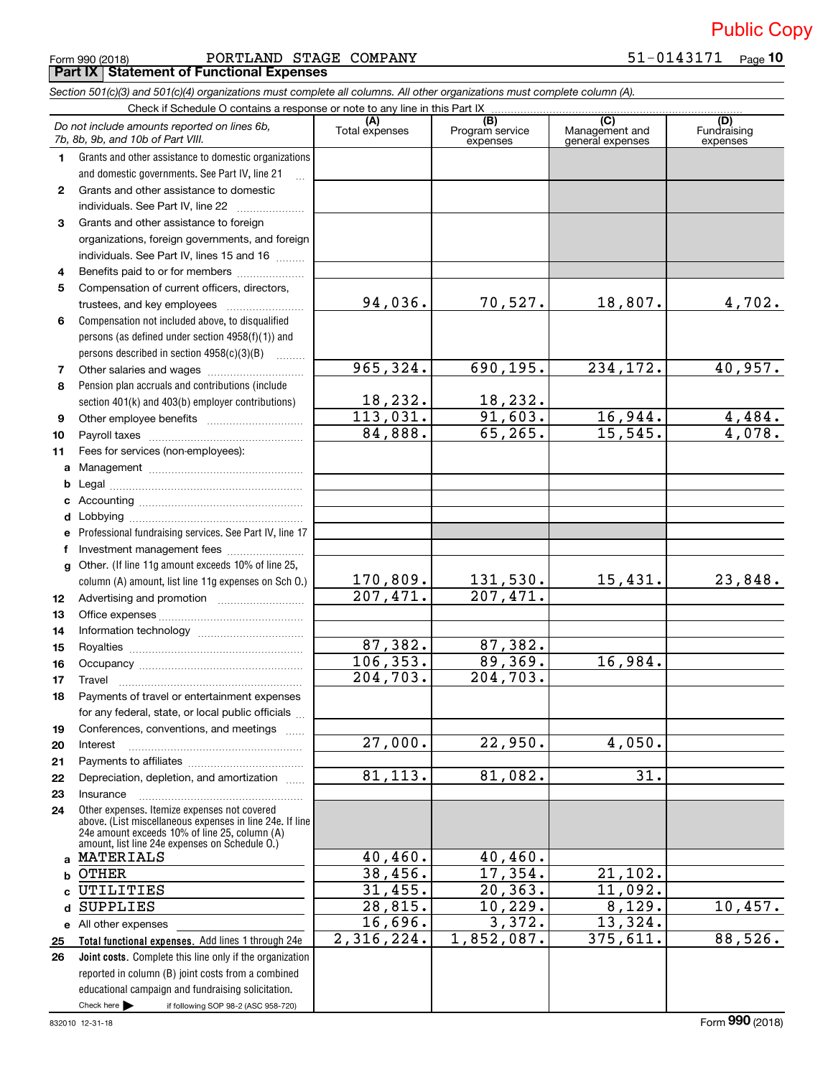|  | Form 990 (2018) |
|--|-----------------|
|  |                 |

Form 990 (2018) Page PORTLAND STAGE COMPANY 51‐0143171 **Part IX Statement of Functional Expenses**

*Section 501(c)(3) and 501(c)(4) organizations must complete all columns. All other organizations must complete column (A).*

if following SOP 98-2 (ASC 958-720) **Total functional expenses.**  Add lines 1 through 24e **Joint costs.** Complete this line only if the organization **(A) (B) (C) (D) 1 2 3 4 5 6 7 8 9 10 11 a b c d e f g 12 13 14 15 16 17 18 19 20 21 22 23 24 a b c d e** All other expenses **25 26** Grants and other assistance to domestic organizations and domestic governments. See Part IV, line 21 Compensation not included above, to disqualified persons (as defined under section 4958(f)(1)) and persons described in section  $4958(c)(3)(B)$  ......... Pension plan accruals and contributions (include section 401(k) and 403(b) employer contributions) Professional fundraising services. See Part IV, line 17 Other. (If line 11g amount exceeds 10% of line 25, column (A) amount, list line 11g expenses on Sch O.) Other expenses. Itemize expenses not covered above. (List miscellaneous expenses in line 24e. If line 24e amount exceeds 10% of line 25, column (A) amount, list line 24e expenses on Schedule O.) reported in column (B) joint costs from a combined educational campaign and fundraising solicitation. Check if Schedule O contains a response or note to any line in this Part IX (C) (C) (C) (C) (C) (C) (A) (B)<br>Total expenses Program service expenses Management and general expenses Fundraising expenses .<br>... Grants and other assistance to domestic individuals. See Part IV, line 22 ~~~~~~~ Grants and other assistance to foreign organizations, foreign governments, and foreign individuals. See Part IV, lines 15 and 16  $\ldots$ Benefits paid to or for members .................... Compensation of current officers, directors, trustees, and key employees  $\ldots$   $\ldots$   $\ldots$   $\ldots$   $\ldots$   $\ldots$ Other salaries and wages ~~~~~~~~~~ Other employee benefits ~~~~~~~~~~ Payroll taxes ~~~~~~~~~~~~~~~~ Fees for services (non-employees): Management ~~~~~~~~~~~~~~~~ Legal ~~~~~~~~~~~~~~~~~~~~ Accounting ~~~~~~~~~~~~~~~~~ Lobbying ~~~~~~~~~~~~~~~~~~ Investment management fees ....................... Advertising and promotion *www.community.com* Office expenses ~~~~~~~~~~~~~~~ Information technology ~~~~~~~~~~~ Royalties ~~~~~~~~~~~~~~~~~~ Occupancy ~~~~~~~~~~~~~~~~~ Travel ………………………………………………………… Payments of travel or entertainment expenses for any federal, state, or local public officials ... Conferences, conventions, and meetings Interest Payments to affiliates ~~~~~~~~~~~~ ~~~~~~~~~~~~~~~~~~ Depreciation, depletion, and amortization Insurance ~~~~~~~~~~~~~~~~~ Check here  $\blacktriangleright$ *Do not include amounts reported on lines 6b, 7b, 8b, 9b, and 10b of Part VIII.* 94,036. 965,324. 18,232. 113,031. 84,888. 170,809. 207,471. 87,382. 106,353. 204,703. 27,000. 81,113. 40,460. 38,456. 31,455. 28,815. 16,696. 2,316,224.  $70,527.$  18,807. 4,702. 690,195. 234,172. 40,957. 18,232. 91,603. 16,944. 4,484. 65,265. 15,545. 4,078. 131,530. 15,431. 23,848. 207,471. 87,382. 89,369. 16,984. 204,703. 22,950. 4,050. 81.082. 31. 40,460. 17,354. 21,102. 20,363. 11,092. 10,229. 8,129. 10,457. 3,372. 13,324. 1,852,087. 375,611. 88,526. MATERIALS **OTHER** UTILITIES SUPPLIES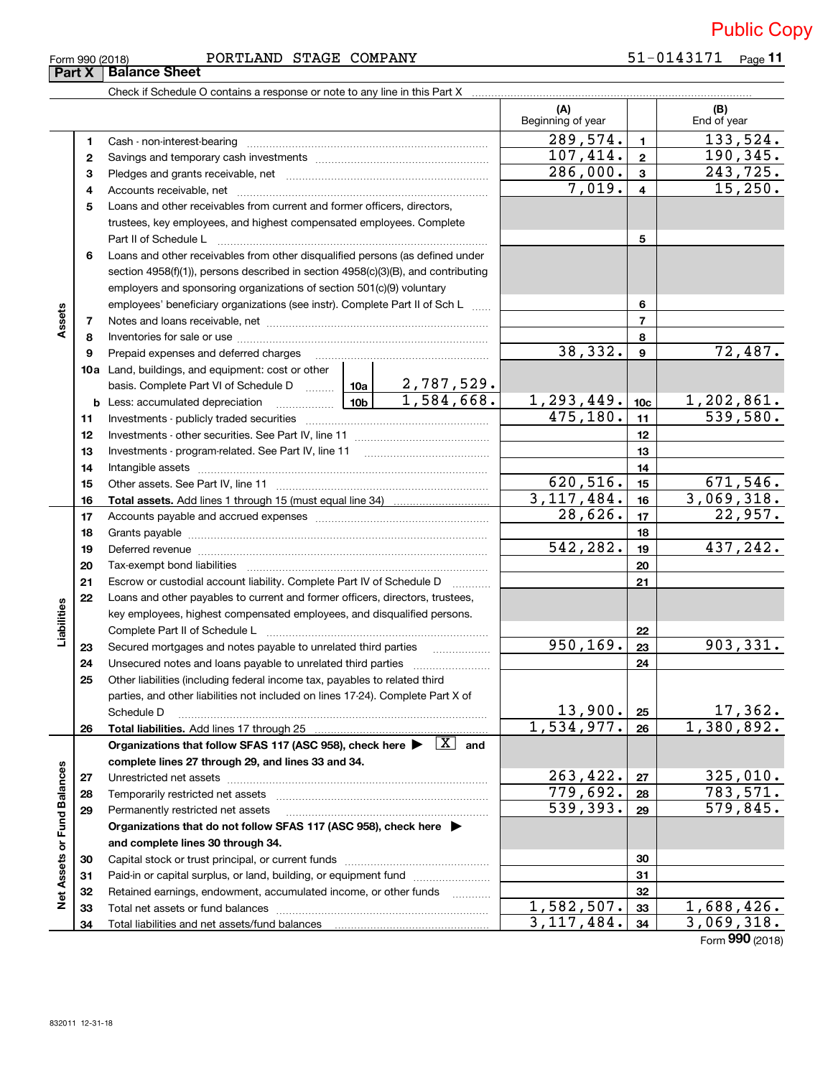| Form 990 (2018) |  |
|-----------------|--|
| Part X   Bal    |  |

### Form 990 (2018) Page PORTLAND STAGE COMPANY 51‐0143171

51-0143171 Page 11

| гт да правное эпеет                                                        |
|----------------------------------------------------------------------------|
| Check if Schedule O contains a response or note to any line in this Part X |
|                                                                            |

|                             |          |                                                                                                                                                                                                                               |                        |                     | (A)<br>Beginning of year |                 | (B)<br>End of year          |
|-----------------------------|----------|-------------------------------------------------------------------------------------------------------------------------------------------------------------------------------------------------------------------------------|------------------------|---------------------|--------------------------|-----------------|-----------------------------|
|                             | 1        |                                                                                                                                                                                                                               |                        |                     | 289,574.                 | $\mathbf{1}$    | 133,524.                    |
|                             | 2        |                                                                                                                                                                                                                               |                        |                     | 107,414.                 | $\mathbf{2}$    | 190, 345.                   |
|                             | 3        |                                                                                                                                                                                                                               | $\overline{286,000}$ . | $\mathbf{3}$        | 243, 725.                |                 |                             |
|                             |          |                                                                                                                                                                                                                               |                        |                     | 7,019.                   | $\overline{4}$  | 15,250.                     |
|                             | 4<br>5   | Loans and other receivables from current and former officers, directors,                                                                                                                                                      |                        |                     |                          |                 |                             |
|                             |          |                                                                                                                                                                                                                               |                        |                     |                          |                 |                             |
|                             |          | trustees, key employees, and highest compensated employees. Complete<br>Part II of Schedule L                                                                                                                                 |                        |                     |                          | 5               |                             |
|                             | 6        | Loans and other receivables from other disqualified persons (as defined under                                                                                                                                                 |                        |                     |                          |                 |                             |
|                             |          | section $4958(f)(1)$ , persons described in section $4958(c)(3)(B)$ , and contributing                                                                                                                                        |                        |                     |                          |                 |                             |
|                             |          | employers and sponsoring organizations of section 501(c)(9) voluntary                                                                                                                                                         |                        |                     |                          |                 |                             |
|                             |          | employees' beneficiary organizations (see instr). Complete Part II of Sch L                                                                                                                                                   |                        |                     |                          | 6               |                             |
| Assets                      | 7        |                                                                                                                                                                                                                               |                        |                     |                          | $\overline{7}$  |                             |
|                             | 8        |                                                                                                                                                                                                                               |                        |                     |                          | 8               |                             |
|                             | 9        | Prepaid expenses and deferred charges                                                                                                                                                                                         |                        |                     | 38,332.                  | 9               | 72,487.                     |
|                             |          | <b>10a</b> Land, buildings, and equipment: cost or other                                                                                                                                                                      |                        |                     |                          |                 |                             |
|                             |          | basis. Complete Part VI of Schedule D    10a   2,787,529.                                                                                                                                                                     |                        |                     |                          |                 |                             |
|                             |          | <b>b</b> Less: accumulated depreciation                                                                                                                                                                                       |                        | $10b$ $1,584,668$ . | 1,293,449.               | 10 <sub>c</sub> | $\frac{1,202,861}{539,580}$ |
|                             | 11       |                                                                                                                                                                                                                               |                        |                     | 475, 180.                | 11              |                             |
|                             | 12       |                                                                                                                                                                                                                               |                        |                     |                          | 12              |                             |
|                             | 13       |                                                                                                                                                                                                                               |                        |                     |                          | 13              |                             |
|                             | 14       |                                                                                                                                                                                                                               |                        |                     | 14                       |                 |                             |
|                             | 15       |                                                                                                                                                                                                                               |                        |                     | 620,516.                 | 15              | 671,546.                    |
|                             | 16       |                                                                                                                                                                                                                               |                        |                     | 3,117,484.               | 16              | 3,069,318.                  |
|                             | 17       |                                                                                                                                                                                                                               | 28,626.                | 17                  | 22,957.                  |                 |                             |
|                             | 18       |                                                                                                                                                                                                                               |                        |                     |                          | 18              |                             |
|                             | 19       | Deferred revenue manual contracts and contracts are all the manual contracts and contracts are all the contracts of the contracts of the contracts of the contracts of the contracts of the contracts of the contracts of the |                        |                     | 542,282.                 | 19              | 437,242.                    |
|                             | 20       |                                                                                                                                                                                                                               |                        |                     |                          | 20              |                             |
|                             | 21       | Escrow or custodial account liability. Complete Part IV of Schedule D                                                                                                                                                         |                        |                     |                          | 21              |                             |
|                             | 22       | Loans and other payables to current and former officers, directors, trustees,                                                                                                                                                 |                        |                     |                          |                 |                             |
| Liabilities                 |          | key employees, highest compensated employees, and disqualified persons.                                                                                                                                                       |                        |                     |                          |                 |                             |
|                             |          |                                                                                                                                                                                                                               |                        |                     | 950, 169.                | 22              | 903, 331.                   |
|                             | 23<br>24 | Secured mortgages and notes payable to unrelated third parties                                                                                                                                                                |                        |                     |                          | 23<br>24        |                             |
|                             | 25       | Unsecured notes and loans payable to unrelated third parties                                                                                                                                                                  |                        |                     |                          |                 |                             |
|                             |          | Other liabilities (including federal income tax, payables to related third<br>parties, and other liabilities not included on lines 17-24). Complete Part X of                                                                 |                        |                     |                          |                 |                             |
|                             |          | Schedule D                                                                                                                                                                                                                    |                        |                     | 13,900.                  | 25              | 17,362.                     |
|                             | 26       | Total liabilities. Add lines 17 through 25                                                                                                                                                                                    |                        |                     | 1,534,977.               | 26              | 1,380,892.                  |
|                             |          | Organizations that follow SFAS 117 (ASC 958), check here $\blacktriangleright \begin{array}{ c } \hline X \end{array}$ and                                                                                                    |                        |                     |                          |                 |                             |
|                             |          | complete lines 27 through 29, and lines 33 and 34.                                                                                                                                                                            |                        |                     |                          |                 |                             |
|                             | 27       |                                                                                                                                                                                                                               |                        |                     | 263,422.                 | 27              | 325,010.                    |
|                             | 28       | Temporarily restricted net assets                                                                                                                                                                                             |                        |                     | 779,692.                 | 28              | 783,571.                    |
|                             | 29       | Permanently restricted net assets                                                                                                                                                                                             |                        |                     | 539,393.                 | 29              | $\overline{579,845}$ .      |
| Net Assets or Fund Balances |          | Organizations that do not follow SFAS 117 (ASC 958), check here ▶                                                                                                                                                             |                        |                     |                          |                 |                             |
|                             |          | and complete lines 30 through 34.                                                                                                                                                                                             |                        |                     |                          |                 |                             |
|                             | 30       |                                                                                                                                                                                                                               |                        |                     |                          | 30              |                             |
|                             | 31       | Paid-in or capital surplus, or land, building, or equipment fund                                                                                                                                                              |                        |                     |                          | 31              |                             |
|                             | 32       | Retained earnings, endowment, accumulated income, or other funds                                                                                                                                                              |                        |                     |                          | 32              |                             |
|                             | 33       |                                                                                                                                                                                                                               |                        |                     | 1,582,507.               | 33              | 1,688,426.                  |
|                             | 34       |                                                                                                                                                                                                                               |                        |                     | 3,117,484.               | 34              | 3,069,318.                  |

Form (2018) **990**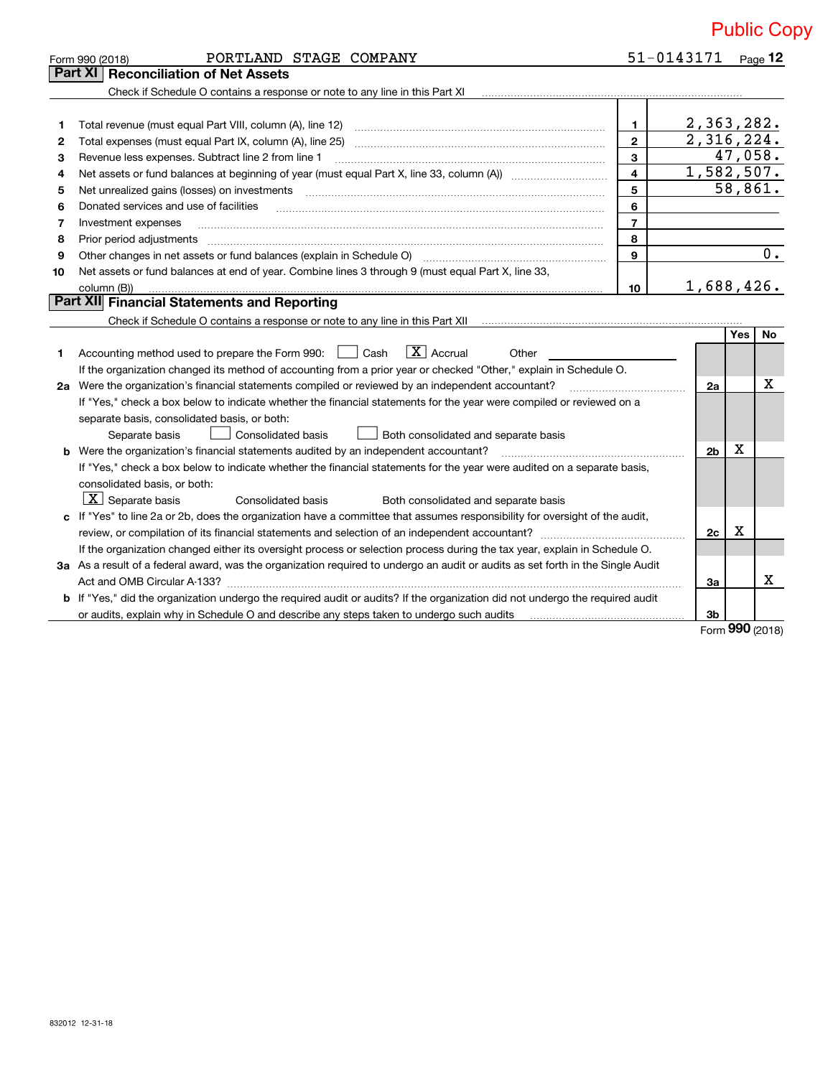|    | PORTLAND STAGE COMPANY<br>Form 990 (2018)                                                                                                                                                                                                                                                                                                                                                                                                                                    | 51-0143171     |                |            | Page $12$        |
|----|------------------------------------------------------------------------------------------------------------------------------------------------------------------------------------------------------------------------------------------------------------------------------------------------------------------------------------------------------------------------------------------------------------------------------------------------------------------------------|----------------|----------------|------------|------------------|
|    | <b>Reconciliation of Net Assets</b><br>Part XI                                                                                                                                                                                                                                                                                                                                                                                                                               |                |                |            |                  |
|    | Check if Schedule O contains a response or note to any line in this Part XI [11] [12] [12] Check if Schedule O contains a response or note to any line in this Part XI                                                                                                                                                                                                                                                                                                       |                |                |            |                  |
|    |                                                                                                                                                                                                                                                                                                                                                                                                                                                                              |                |                |            |                  |
| 1  | Total revenue (must equal Part VIII, column (A), line 12)                                                                                                                                                                                                                                                                                                                                                                                                                    | $\mathbf{1}$   | 2,363,282.     |            |                  |
| 2  |                                                                                                                                                                                                                                                                                                                                                                                                                                                                              | $\overline{2}$ | 2,316,224.     |            |                  |
| з  | $\overline{\mathbf{3}}$<br>Revenue less expenses. Subtract line 2 from line 1                                                                                                                                                                                                                                                                                                                                                                                                |                |                |            | 47,058.          |
| 4  |                                                                                                                                                                                                                                                                                                                                                                                                                                                                              | $\overline{4}$ | 1,582,507.     |            |                  |
| 5  | 5<br>Net unrealized gains (losses) on investments                                                                                                                                                                                                                                                                                                                                                                                                                            |                |                |            | 58,861.          |
| 6  | 6<br>Donated services and use of facilities                                                                                                                                                                                                                                                                                                                                                                                                                                  |                |                |            |                  |
| 7  | $\overline{7}$<br>Investment expenses                                                                                                                                                                                                                                                                                                                                                                                                                                        |                |                |            |                  |
| 8  | 8<br>Prior period adjustments<br>$\begin{minipage}{0.5\textwidth} \begin{tabular}{ l l l } \hline \multicolumn{1}{ l l l } \hline \multicolumn{1}{ l l } \multicolumn{1}{ l } \multicolumn{1}{ l } \multicolumn{1}{ l } \multicolumn{1}{ l } \multicolumn{1}{ l } \multicolumn{1}{ l } \multicolumn{1}{ l } \multicolumn{1}{ l } \multicolumn{1}{ l } \multicolumn{1}{ l } \multicolumn{1}{ l } \multicolumn{1}{ l } \multicolumn{1}{ l } \multicolumn{1}{ l } \multicolumn$ |                |                |            |                  |
| 9  | $\mathbf{q}$                                                                                                                                                                                                                                                                                                                                                                                                                                                                 |                |                |            | $\overline{0}$ . |
| 10 | Net assets or fund balances at end of year. Combine lines 3 through 9 (must equal Part X, line 33,                                                                                                                                                                                                                                                                                                                                                                           |                |                |            |                  |
|    | 10<br>column (B))                                                                                                                                                                                                                                                                                                                                                                                                                                                            |                | 1,688,426.     |            |                  |
|    | Part XII Financial Statements and Reporting                                                                                                                                                                                                                                                                                                                                                                                                                                  |                |                |            |                  |
|    | Check if Schedule O contains a response or note to any line in this Part XII munder intervent contains the Check                                                                                                                                                                                                                                                                                                                                                             |                |                |            |                  |
|    |                                                                                                                                                                                                                                                                                                                                                                                                                                                                              |                |                | <b>Yes</b> | <b>No</b>        |
| 1  | Accounting method used to prepare the Form 990: $\Box$ Cash $\Box$ Accrual<br>Other                                                                                                                                                                                                                                                                                                                                                                                          |                |                |            |                  |
|    | If the organization changed its method of accounting from a prior year or checked "Other," explain in Schedule O.                                                                                                                                                                                                                                                                                                                                                            |                |                |            |                  |
|    | 2a Were the organization's financial statements compiled or reviewed by an independent accountant?                                                                                                                                                                                                                                                                                                                                                                           |                | 2a             |            | X                |
|    | If "Yes," check a box below to indicate whether the financial statements for the year were compiled or reviewed on a                                                                                                                                                                                                                                                                                                                                                         |                |                |            |                  |
|    | separate basis, consolidated basis, or both:                                                                                                                                                                                                                                                                                                                                                                                                                                 |                |                |            |                  |
|    | Consolidated basis<br>Both consolidated and separate basis<br>Separate basis                                                                                                                                                                                                                                                                                                                                                                                                 |                |                |            |                  |
| b  | Were the organization's financial statements audited by an independent accountant?                                                                                                                                                                                                                                                                                                                                                                                           |                | 2 <sub>b</sub> | х          |                  |
|    | If "Yes," check a box below to indicate whether the financial statements for the year were audited on a separate basis,                                                                                                                                                                                                                                                                                                                                                      |                |                |            |                  |
|    | consolidated basis, or both:                                                                                                                                                                                                                                                                                                                                                                                                                                                 |                |                |            |                  |
|    | $\lfloor x \rfloor$ Separate basis<br><b>Consolidated basis</b><br>Both consolidated and separate basis                                                                                                                                                                                                                                                                                                                                                                      |                |                |            |                  |
|    | c If "Yes" to line 2a or 2b, does the organization have a committee that assumes responsibility for oversight of the audit,                                                                                                                                                                                                                                                                                                                                                  |                |                |            |                  |
|    |                                                                                                                                                                                                                                                                                                                                                                                                                                                                              |                | 2c             | X          |                  |
|    | If the organization changed either its oversight process or selection process during the tax year, explain in Schedule O.                                                                                                                                                                                                                                                                                                                                                    |                |                |            |                  |

**3 a** As a result of a federal award, was the organization required to undergo an audit or audits as set forth in the Single Audit **b** If "Yes," did the organization undergo the required audit or audits? If the organization did not undergo the required audit Act and OMB Circular A‐133? ~~~~~~~~~~~~~~~~~~~~~~~~~~~~~~~~~~~~~~~~~~~~~~~

or audits, explain why in Schedule O and describe any steps taken to undergo such audits

Form (2018) **990**

X

**3a**

**3b**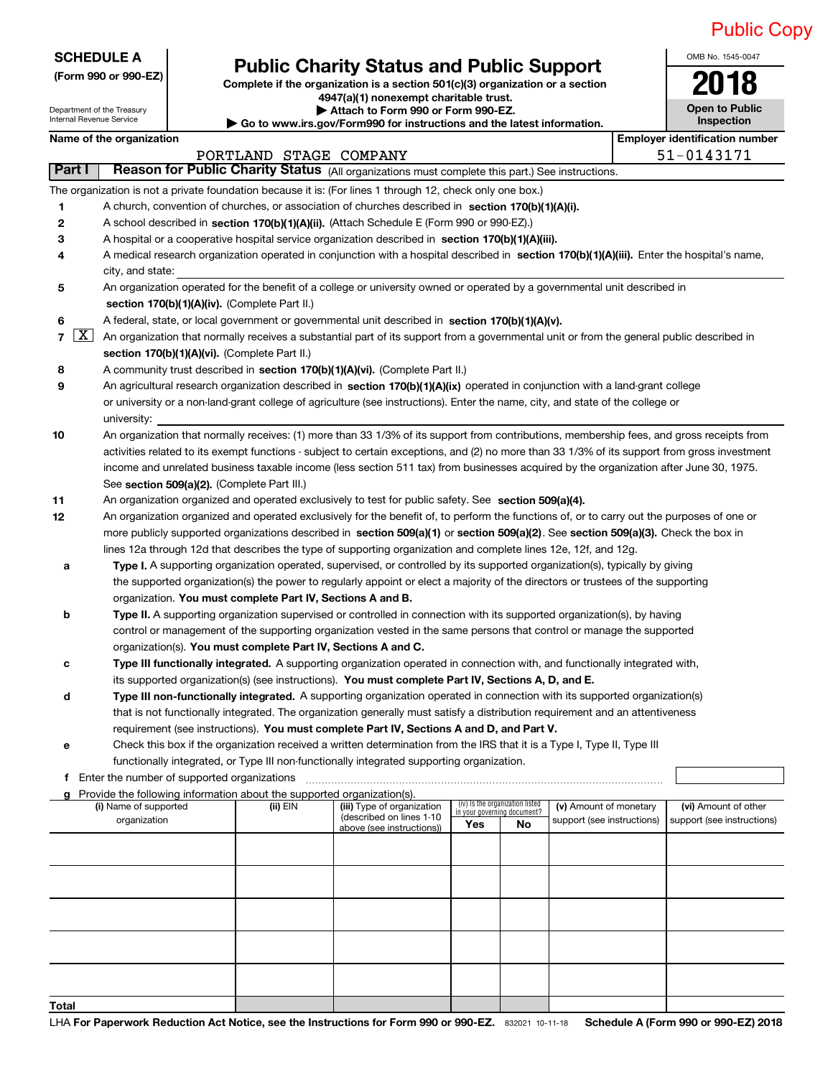OMB No. 1545‐0047

**Open to Public**

| <b>SCHEDULE A</b> |
|-------------------|
|                   |

### **(Form 990 or 990‐EZ) Complete if the organization is a section 501(c)(3) organization or a section Public Charity Status and Public Support**<br> **Expansive if the organization is a section 501(c)(3) organization or a section**

Department of the Treasury

Internal Revenue Service

**4947(a)(1) nonexempt charitable trust. | Attach to Form 990 or Form 990‐EZ.** 

|                                       | Internal Revenue Service<br>Inspection<br>Go to www.irs.gov/Form990 for instructions and the latest information.                              |          |                                                                                                                                                                                                                          |                             |                                 |                            |  |                                       |
|---------------------------------------|-----------------------------------------------------------------------------------------------------------------------------------------------|----------|--------------------------------------------------------------------------------------------------------------------------------------------------------------------------------------------------------------------------|-----------------------------|---------------------------------|----------------------------|--|---------------------------------------|
|                                       | Name of the organization                                                                                                                      |          |                                                                                                                                                                                                                          |                             |                                 |                            |  | <b>Employer identification number</b> |
|                                       | 51-0143171<br>PORTLAND STAGE COMPANY                                                                                                          |          |                                                                                                                                                                                                                          |                             |                                 |                            |  |                                       |
| Part I                                |                                                                                                                                               |          | Reason for Public Charity Status (All organizations must complete this part.) See instructions.                                                                                                                          |                             |                                 |                            |  |                                       |
|                                       | The organization is not a private foundation because it is: (For lines 1 through 12, check only one box.)                                     |          |                                                                                                                                                                                                                          |                             |                                 |                            |  |                                       |
| 1                                     | A church, convention of churches, or association of churches described in section 170(b)(1)(A)(i).                                            |          |                                                                                                                                                                                                                          |                             |                                 |                            |  |                                       |
| 2                                     | A school described in section 170(b)(1)(A)(ii). (Attach Schedule E (Form 990 or 990-EZ).)                                                     |          |                                                                                                                                                                                                                          |                             |                                 |                            |  |                                       |
| 3                                     | A hospital or a cooperative hospital service organization described in section 170(b)(1)(A)(iii).                                             |          |                                                                                                                                                                                                                          |                             |                                 |                            |  |                                       |
| 4                                     | A medical research organization operated in conjunction with a hospital described in section 170(b)(1)(A)(iii). Enter the hospital's name,    |          |                                                                                                                                                                                                                          |                             |                                 |                            |  |                                       |
|                                       | city, and state:                                                                                                                              |          |                                                                                                                                                                                                                          |                             |                                 |                            |  |                                       |
| 5                                     | An organization operated for the benefit of a college or university owned or operated by a governmental unit described in                     |          |                                                                                                                                                                                                                          |                             |                                 |                            |  |                                       |
|                                       | section 170(b)(1)(A)(iv). (Complete Part II.)                                                                                                 |          |                                                                                                                                                                                                                          |                             |                                 |                            |  |                                       |
| 6                                     | A federal, state, or local government or governmental unit described in section 170(b)(1)(A)(v).                                              |          |                                                                                                                                                                                                                          |                             |                                 |                            |  |                                       |
| $\lfloor x \rfloor$<br>$\overline{7}$ | An organization that normally receives a substantial part of its support from a governmental unit or from the general public described in     |          |                                                                                                                                                                                                                          |                             |                                 |                            |  |                                       |
|                                       | section 170(b)(1)(A)(vi). (Complete Part II.)                                                                                                 |          |                                                                                                                                                                                                                          |                             |                                 |                            |  |                                       |
| 8                                     | A community trust described in section 170(b)(1)(A)(vi). (Complete Part II.)                                                                  |          |                                                                                                                                                                                                                          |                             |                                 |                            |  |                                       |
| 9                                     | An agricultural research organization described in section 170(b)(1)(A)(ix) operated in conjunction with a land-grant college                 |          |                                                                                                                                                                                                                          |                             |                                 |                            |  |                                       |
|                                       | or university or a non-land-grant college of agriculture (see instructions). Enter the name, city, and state of the college or                |          |                                                                                                                                                                                                                          |                             |                                 |                            |  |                                       |
|                                       | university:                                                                                                                                   |          |                                                                                                                                                                                                                          |                             |                                 |                            |  |                                       |
| 10                                    | An organization that normally receives: (1) more than 33 1/3% of its support from contributions, membership fees, and gross receipts from     |          |                                                                                                                                                                                                                          |                             |                                 |                            |  |                                       |
|                                       | activities related to its exempt functions - subject to certain exceptions, and (2) no more than 33 1/3% of its support from gross investment |          |                                                                                                                                                                                                                          |                             |                                 |                            |  |                                       |
|                                       | income and unrelated business taxable income (less section 511 tax) from businesses acquired by the organization after June 30, 1975.         |          |                                                                                                                                                                                                                          |                             |                                 |                            |  |                                       |
|                                       | See section 509(a)(2). (Complete Part III.)                                                                                                   |          |                                                                                                                                                                                                                          |                             |                                 |                            |  |                                       |
| 11                                    | An organization organized and operated exclusively to test for public safety. See section 509(a)(4).                                          |          |                                                                                                                                                                                                                          |                             |                                 |                            |  |                                       |
| 12                                    | An organization organized and operated exclusively for the benefit of, to perform the functions of, or to carry out the purposes of one or    |          |                                                                                                                                                                                                                          |                             |                                 |                            |  |                                       |
|                                       | more publicly supported organizations described in section 509(a)(1) or section 509(a)(2). See section 509(a)(3). Check the box in            |          |                                                                                                                                                                                                                          |                             |                                 |                            |  |                                       |
|                                       | lines 12a through 12d that describes the type of supporting organization and complete lines 12e, 12f, and 12g.                                |          |                                                                                                                                                                                                                          |                             |                                 |                            |  |                                       |
| а                                     |                                                                                                                                               |          | Type I. A supporting organization operated, supervised, or controlled by its supported organization(s), typically by giving                                                                                              |                             |                                 |                            |  |                                       |
|                                       |                                                                                                                                               |          | the supported organization(s) the power to regularly appoint or elect a majority of the directors or trustees of the supporting                                                                                          |                             |                                 |                            |  |                                       |
|                                       | organization. You must complete Part IV, Sections A and B.                                                                                    |          |                                                                                                                                                                                                                          |                             |                                 |                            |  |                                       |
| b                                     |                                                                                                                                               |          | Type II. A supporting organization supervised or controlled in connection with its supported organization(s), by having                                                                                                  |                             |                                 |                            |  |                                       |
|                                       |                                                                                                                                               |          | control or management of the supporting organization vested in the same persons that control or manage the supported                                                                                                     |                             |                                 |                            |  |                                       |
|                                       | organization(s). You must complete Part IV, Sections A and C.                                                                                 |          |                                                                                                                                                                                                                          |                             |                                 |                            |  |                                       |
| с                                     |                                                                                                                                               |          | Type III functionally integrated. A supporting organization operated in connection with, and functionally integrated with,                                                                                               |                             |                                 |                            |  |                                       |
|                                       |                                                                                                                                               |          | its supported organization(s) (see instructions). You must complete Part IV, Sections A, D, and E.                                                                                                                       |                             |                                 |                            |  |                                       |
| d                                     |                                                                                                                                               |          | Type III non-functionally integrated. A supporting organization operated in connection with its supported organization(s)                                                                                                |                             |                                 |                            |  |                                       |
|                                       |                                                                                                                                               |          | that is not functionally integrated. The organization generally must satisfy a distribution requirement and an attentiveness<br>requirement (see instructions). You must complete Part IV, Sections A and D, and Part V. |                             |                                 |                            |  |                                       |
| е                                     |                                                                                                                                               |          | Check this box if the organization received a written determination from the IRS that it is a Type I, Type II, Type III                                                                                                  |                             |                                 |                            |  |                                       |
|                                       |                                                                                                                                               |          | functionally integrated, or Type III non-functionally integrated supporting organization.                                                                                                                                |                             |                                 |                            |  |                                       |
|                                       | f Enter the number of supported organizations                                                                                                 |          |                                                                                                                                                                                                                          |                             |                                 |                            |  |                                       |
| g                                     | Provide the following information about the supported organization(s).                                                                        |          |                                                                                                                                                                                                                          |                             |                                 |                            |  |                                       |
|                                       | (i) Name of supported                                                                                                                         | (ii) EIN | (iii) Type of organization                                                                                                                                                                                               | in your governing document? | (iv) Is the organization listed | (v) Amount of monetary     |  | (vi) Amount of other                  |
|                                       | organization                                                                                                                                  |          | (described on lines 1-10<br>above (see instructions))                                                                                                                                                                    | Yes                         | No                              | support (see instructions) |  | support (see instructions)            |
|                                       |                                                                                                                                               |          |                                                                                                                                                                                                                          |                             |                                 |                            |  |                                       |
|                                       |                                                                                                                                               |          |                                                                                                                                                                                                                          |                             |                                 |                            |  |                                       |
|                                       |                                                                                                                                               |          |                                                                                                                                                                                                                          |                             |                                 |                            |  |                                       |
|                                       |                                                                                                                                               |          |                                                                                                                                                                                                                          |                             |                                 |                            |  |                                       |
|                                       |                                                                                                                                               |          |                                                                                                                                                                                                                          |                             |                                 |                            |  |                                       |
|                                       |                                                                                                                                               |          |                                                                                                                                                                                                                          |                             |                                 |                            |  |                                       |
|                                       |                                                                                                                                               |          |                                                                                                                                                                                                                          |                             |                                 |                            |  |                                       |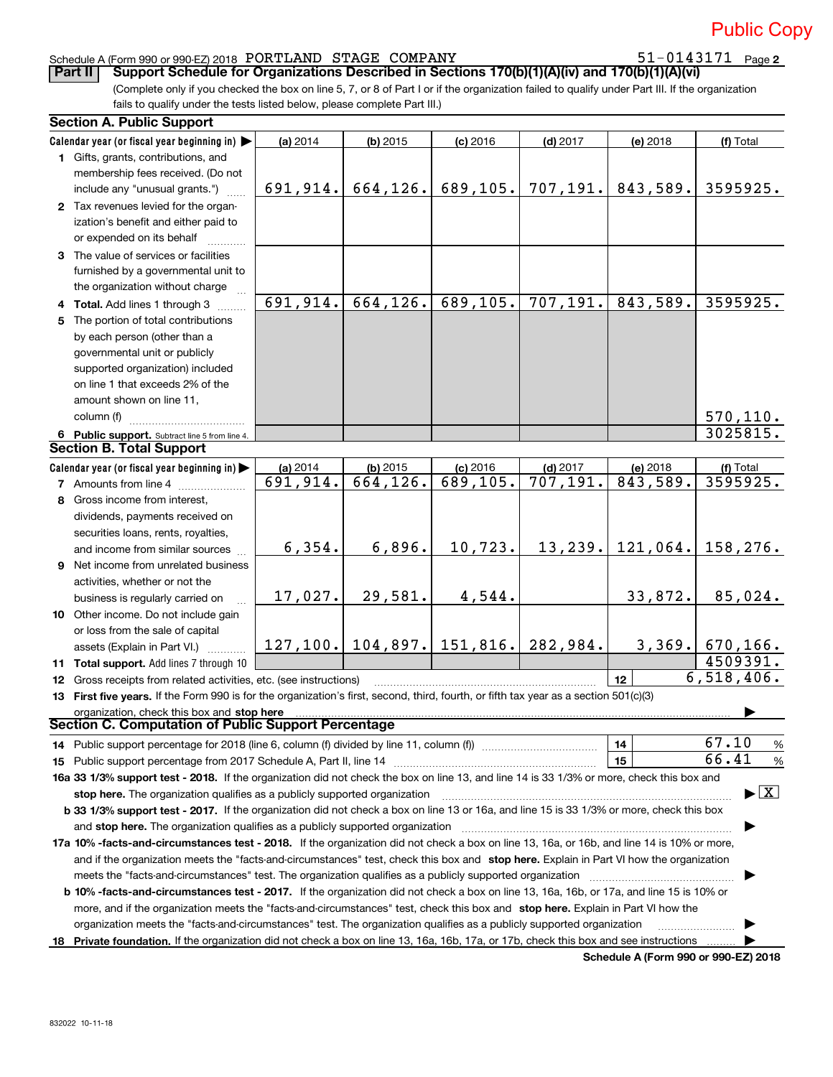# 51-0143171 Page 2

Public Copy

### Schedule A (Form 990 or 990‐EZ) 2018 Page PORTLAND STAGE COMPANY 51‐0143171

**Part II** | Support Schedule for Organizations Described in Sections 170(b)(1)(A)(iv) and 170(b)(1)(A)(vi)

(Complete only if you checked the box on line 5, 7, or 8 of Part I or if the organization failed to qualify under Part III. If the organization fails to qualify under the tests listed below, please complete Part III.)

|    | <b>Section A. Public Support</b>                                                                                                                                                                                             |           |                                 |            |            |          |                                          |
|----|------------------------------------------------------------------------------------------------------------------------------------------------------------------------------------------------------------------------------|-----------|---------------------------------|------------|------------|----------|------------------------------------------|
|    | Calendar year (or fiscal year beginning in)                                                                                                                                                                                  | (a) 2014  | $(b)$ 2015                      | $(c)$ 2016 | $(d)$ 2017 | (e) 2018 | (f) Total                                |
|    | 1 Gifts, grants, contributions, and                                                                                                                                                                                          |           |                                 |            |            |          |                                          |
|    | membership fees received. (Do not                                                                                                                                                                                            |           |                                 |            |            |          |                                          |
|    | include any "unusual grants.")                                                                                                                                                                                               | 691,914.  | 664, 126.                       | 689,105.   | 707, 191.  | 843,589. | 3595925.                                 |
|    | 2 Tax revenues levied for the organ-                                                                                                                                                                                         |           |                                 |            |            |          |                                          |
|    | ization's benefit and either paid to                                                                                                                                                                                         |           |                                 |            |            |          |                                          |
|    | or expended on its behalf                                                                                                                                                                                                    |           |                                 |            |            |          |                                          |
|    | 3 The value of services or facilities                                                                                                                                                                                        |           |                                 |            |            |          |                                          |
|    | furnished by a governmental unit to                                                                                                                                                                                          |           |                                 |            |            |          |                                          |
|    | the organization without charge                                                                                                                                                                                              |           |                                 |            |            |          |                                          |
|    | 4 Total. Add lines 1 through 3                                                                                                                                                                                               | 691, 914. | 664, 126.                       | 689, 105.  | 707, 191.  | 843,589. | 3595925.                                 |
|    | 5 The portion of total contributions                                                                                                                                                                                         |           |                                 |            |            |          |                                          |
|    | by each person (other than a                                                                                                                                                                                                 |           |                                 |            |            |          |                                          |
|    | governmental unit or publicly                                                                                                                                                                                                |           |                                 |            |            |          |                                          |
|    | supported organization) included                                                                                                                                                                                             |           |                                 |            |            |          |                                          |
|    | on line 1 that exceeds 2% of the                                                                                                                                                                                             |           |                                 |            |            |          |                                          |
|    | amount shown on line 11,                                                                                                                                                                                                     |           |                                 |            |            |          |                                          |
|    | column (f)                                                                                                                                                                                                                   |           |                                 |            |            |          | 570, 110.                                |
|    | 6 Public support. Subtract line 5 from line 4.                                                                                                                                                                               |           |                                 |            |            |          | 3025815.                                 |
|    | <b>Section B. Total Support</b>                                                                                                                                                                                              |           |                                 |            |            |          |                                          |
|    | Calendar year (or fiscal year beginning in)                                                                                                                                                                                  | (a) 2014  | $(b)$ 2015                      | $(c)$ 2016 | $(d)$ 2017 | (e) 2018 | (f) Total                                |
|    | <b>7</b> Amounts from line 4                                                                                                                                                                                                 | 691, 914. | 664,126.                        | 689, 105.  | 707, 191.  | 843,589. | 3595925.                                 |
|    | 8 Gross income from interest,                                                                                                                                                                                                |           |                                 |            |            |          |                                          |
|    | dividends, payments received on                                                                                                                                                                                              |           |                                 |            |            |          |                                          |
|    |                                                                                                                                                                                                                              |           |                                 |            |            |          |                                          |
|    | securities loans, rents, royalties,                                                                                                                                                                                          | 6,354.    | 6,896.                          | 10,723.    | 13, 239.   | 121,064. | 158,276.                                 |
|    | and income from similar sources                                                                                                                                                                                              |           |                                 |            |            |          |                                          |
|    | <b>9</b> Net income from unrelated business                                                                                                                                                                                  |           |                                 |            |            |          |                                          |
|    | activities, whether or not the                                                                                                                                                                                               |           | 29,581.                         | 4,544.     |            | 33,872.  | 85,024.                                  |
|    | business is regularly carried on                                                                                                                                                                                             | 17,027.   |                                 |            |            |          |                                          |
|    | 10 Other income. Do not include gain                                                                                                                                                                                         |           |                                 |            |            |          |                                          |
|    | or loss from the sale of capital                                                                                                                                                                                             |           |                                 |            | 282,984.   |          | $3,369.$ 670, 166.                       |
|    | assets (Explain in Part VI.)                                                                                                                                                                                                 |           | $127, 100.$ 104, 897. 151, 816. |            |            |          | 4509391.                                 |
|    | 11 Total support. Add lines 7 through 10                                                                                                                                                                                     |           |                                 |            |            |          | 6,518,406.                               |
|    | 12 Gross receipts from related activities, etc. (see instructions)                                                                                                                                                           |           |                                 |            |            | 12       |                                          |
|    | 13 First five years. If the Form 990 is for the organization's first, second, third, fourth, or fifth tax year as a section 501(c)(3)                                                                                        |           |                                 |            |            |          |                                          |
|    | organization, check this box and stop here<br><b>Section C. Computation of Public Support Percentage</b>                                                                                                                     |           |                                 |            |            |          |                                          |
|    | 14 Public support percentage for 2018 (line 6, column (f) divided by line 11, column (f) <i></i>                                                                                                                             |           |                                 |            |            | 14       | 67.10<br>$\frac{9}{6}$                   |
|    |                                                                                                                                                                                                                              |           |                                 |            |            | 15       | 66.41<br>$\frac{9}{6}$                   |
|    | 16a 33 1/3% support test - 2018. If the organization did not check the box on line 13, and line 14 is 33 1/3% or more, check this box and                                                                                    |           |                                 |            |            |          |                                          |
|    |                                                                                                                                                                                                                              |           |                                 |            |            |          | $\blacktriangleright$ $\boxed{\text{X}}$ |
|    | stop here. The organization qualifies as a publicly supported organization<br>b 33 1/3% support test - 2017. If the organization did not check a box on line 13 or 16a, and line 15 is 33 1/3% or more, check this box       |           |                                 |            |            |          |                                          |
|    |                                                                                                                                                                                                                              |           |                                 |            |            |          |                                          |
|    | and stop here. The organization qualifies as a publicly supported organization<br>17a 10% -facts-and-circumstances test - 2018. If the organization did not check a box on line 13, 16a, or 16b, and line 14 is 10% or more, |           |                                 |            |            |          |                                          |
|    | and if the organization meets the "facts-and-circumstances" test, check this box and stop here. Explain in Part VI how the organization                                                                                      |           |                                 |            |            |          |                                          |
|    |                                                                                                                                                                                                                              |           |                                 |            |            |          |                                          |
|    | meets the "facts-and-circumstances" test. The organization qualifies as a publicly supported organization                                                                                                                    |           |                                 |            |            |          |                                          |
|    | <b>b 10% -facts-and-circumstances test - 2017.</b> If the organization did not check a box on line 13, 16a, 16b, or 17a, and line 15 is 10% or                                                                               |           |                                 |            |            |          |                                          |
|    | more, and if the organization meets the "facts-and-circumstances" test, check this box and stop here. Explain in Part VI how the                                                                                             |           |                                 |            |            |          |                                          |
|    | organization meets the "facts-and-circumstances" test. The organization qualifies as a publicly supported organization                                                                                                       |           |                                 |            |            |          |                                          |
| 18 | Private foundation. If the organization did not check a box on line 13, 16a, 16b, 17a, or 17b, check this box and see instructions                                                                                           |           |                                 |            |            |          |                                          |

**Schedule A (Form 990 or 990‐EZ) 2018**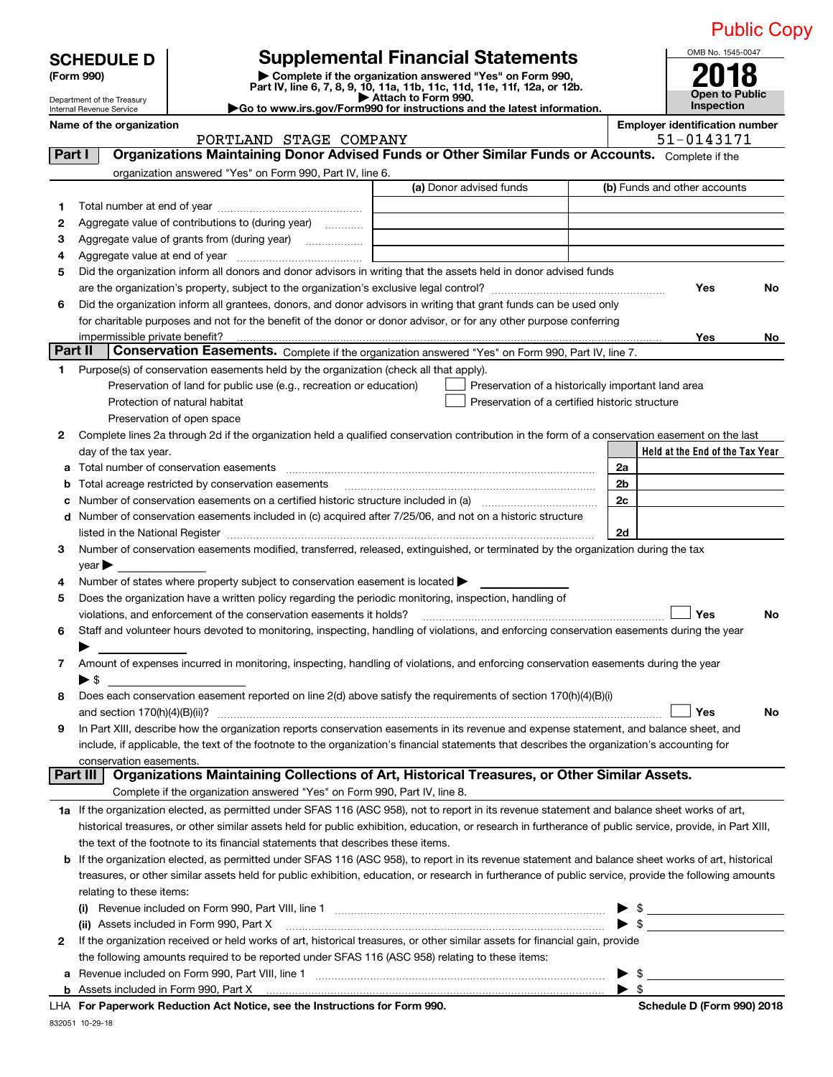|  | <b>Public Copy</b> |  |
|--|--------------------|--|
|  |                    |  |
|  |                    |  |
|  |                    |  |

| <b>SCHEDULE D</b><br>(Form 990)<br>Department of the Treasury<br>Internal Revenue Service |                                                                                                                                    | <b>Supplemental Financial Statements</b><br>Complete if the organization answered "Yes" on Form 990,<br>Part IV, line 6, 7, 8, 9, 10, 11a, 11b, 11c, 11d, 11e, 11f, 12a, or 12b.<br>▶ Attach to Form 990.<br>Go to www.irs.gov/Form990 for instructions and the latest information. |                | OMB No. 1545-0047<br><b>Open to Public</b><br>Inspection | <b>Public Co</b> |
|-------------------------------------------------------------------------------------------|------------------------------------------------------------------------------------------------------------------------------------|-------------------------------------------------------------------------------------------------------------------------------------------------------------------------------------------------------------------------------------------------------------------------------------|----------------|----------------------------------------------------------|------------------|
| Name of the organization                                                                  |                                                                                                                                    |                                                                                                                                                                                                                                                                                     |                | <b>Employer identification number</b>                    |                  |
|                                                                                           | PORTLAND STAGE COMPANY                                                                                                             |                                                                                                                                                                                                                                                                                     |                | 51-0143171                                               |                  |
| Part I                                                                                    |                                                                                                                                    | Organizations Maintaining Donor Advised Funds or Other Similar Funds or Accounts. Complete if the                                                                                                                                                                                   |                |                                                          |                  |
|                                                                                           | organization answered "Yes" on Form 990, Part IV, line 6.                                                                          |                                                                                                                                                                                                                                                                                     |                |                                                          |                  |
|                                                                                           |                                                                                                                                    | (a) Donor advised funds                                                                                                                                                                                                                                                             |                | (b) Funds and other accounts                             |                  |
| 1                                                                                         |                                                                                                                                    |                                                                                                                                                                                                                                                                                     |                |                                                          |                  |
| 2                                                                                         | Aggregate value of contributions to (during year)                                                                                  |                                                                                                                                                                                                                                                                                     |                |                                                          |                  |
| 3                                                                                         |                                                                                                                                    |                                                                                                                                                                                                                                                                                     |                |                                                          |                  |
| 4                                                                                         |                                                                                                                                    |                                                                                                                                                                                                                                                                                     |                |                                                          |                  |
| 5                                                                                         |                                                                                                                                    | Did the organization inform all donors and donor advisors in writing that the assets held in donor advised funds                                                                                                                                                                    |                |                                                          |                  |
|                                                                                           |                                                                                                                                    |                                                                                                                                                                                                                                                                                     |                | Yes                                                      | No               |
| 6                                                                                         |                                                                                                                                    | Did the organization inform all grantees, donors, and donor advisors in writing that grant funds can be used only                                                                                                                                                                   |                |                                                          |                  |
|                                                                                           |                                                                                                                                    | for charitable purposes and not for the benefit of the donor or donor advisor, or for any other purpose conferring                                                                                                                                                                  |                |                                                          |                  |
| impermissible private benefit?                                                            |                                                                                                                                    |                                                                                                                                                                                                                                                                                     |                | Yes                                                      | No               |
| Part II                                                                                   |                                                                                                                                    | Conservation Easements. Complete if the organization answered "Yes" on Form 990, Part IV, line 7.                                                                                                                                                                                   |                |                                                          |                  |
| $\mathbf{2}$                                                                              | Preservation of land for public use (e.g., recreation or education)<br>Protection of natural habitat<br>Preservation of open space | Preservation of a historically important land area<br>Preservation of a certified historic structure<br>Complete lines 2a through 2d if the organization held a qualified conservation contribution in the form of a conservation easement on the last                              |                |                                                          |                  |
| day of the tax year.                                                                      |                                                                                                                                    |                                                                                                                                                                                                                                                                                     |                | Held at the End of the Tax Year                          |                  |
| a                                                                                         | Total number of conservation easements                                                                                             |                                                                                                                                                                                                                                                                                     | 2a             |                                                          |                  |
| b                                                                                         | Total acreage restricted by conservation easements                                                                                 |                                                                                                                                                                                                                                                                                     | 2 <sub>b</sub> |                                                          |                  |
| c                                                                                         |                                                                                                                                    | Number of conservation easements on a certified historic structure included in (a) <i>manumumumumum</i>                                                                                                                                                                             | 2c             |                                                          |                  |
|                                                                                           |                                                                                                                                    | d Number of conservation easements included in (c) acquired after 7/25/06, and not on a historic structure                                                                                                                                                                          |                |                                                          |                  |
|                                                                                           |                                                                                                                                    |                                                                                                                                                                                                                                                                                     | 2d             |                                                          |                  |
| 3                                                                                         |                                                                                                                                    | Number of conservation easements modified, transferred, released, extinguished, or terminated by the organization during the tax                                                                                                                                                    |                |                                                          |                  |
| year                                                                                      |                                                                                                                                    |                                                                                                                                                                                                                                                                                     |                |                                                          |                  |
| 4                                                                                         | Number of states where property subject to conservation easement is located $\blacktriangleright$                                  |                                                                                                                                                                                                                                                                                     |                |                                                          |                  |
| 5                                                                                         | Does the organization have a written policy regarding the periodic monitoring, inspection, handling of                             |                                                                                                                                                                                                                                                                                     |                |                                                          |                  |
|                                                                                           | violations, and enforcement of the conservation easements it holds?                                                                |                                                                                                                                                                                                                                                                                     |                | Yes                                                      | No               |
| 6                                                                                         |                                                                                                                                    | Staff and volunteer hours devoted to monitoring, inspecting, handling of violations, and enforcing conservation easements during the year                                                                                                                                           |                |                                                          |                  |
|                                                                                           |                                                                                                                                    |                                                                                                                                                                                                                                                                                     |                |                                                          |                  |
| 7<br>$\blacktriangleright$ \$                                                             |                                                                                                                                    | Amount of expenses incurred in monitoring, inspecting, handling of violations, and enforcing conservation easements during the year                                                                                                                                                 |                |                                                          |                  |
| 8                                                                                         |                                                                                                                                    | Does each conservation easement reported on line 2(d) above satisfy the requirements of section 170(h)(4)(B)(i)                                                                                                                                                                     |                |                                                          |                  |
| and section $170(h)(4)(B)(ii)$ ?                                                          |                                                                                                                                    |                                                                                                                                                                                                                                                                                     |                | Yes                                                      | No               |

| 9 In Part XIII, describe how the organization reports conservation easements in its revenue and expense statement, and balance sheet, and    |
|----------------------------------------------------------------------------------------------------------------------------------------------|
| include, if applicable, the text of the footnote to the organization's financial statements that describes the organization's accounting for |
| conservation easements.                                                                                                                      |

| <b>Part III   Organizations Maintaining Collections of Art, Historical Treasures, or Other Similar Assets.</b> |
|----------------------------------------------------------------------------------------------------------------|
| Complete if the organization answered "Yes" on Form 990, Part IV, line 8.                                      |

| 1a If the organization elected, as permitted under SFAS 116 (ASC 958), not to report in its revenue statement and balance sheet works of art,             |
|-----------------------------------------------------------------------------------------------------------------------------------------------------------|
| historical treasures, or other similar assets held for public exhibition, education, or research in furtherance of public service, provide, in Part XIII. |
| the text of the footnote to its financial statements that describes these items.                                                                          |

| <b>b</b> If the organization elected, as permitted under SFAS 116 (ASC 958), to report in its revenue statement and balance sheet works of art, historical |
|------------------------------------------------------------------------------------------------------------------------------------------------------------|
| treasures, or other similar assets held for public exhibition, education, or research in furtherance of public service, provide the following amounts      |
| relating to these items:                                                                                                                                   |

| Revenue included on Form 990, Part VIII, line 1<br>$\mathbf{u}$                                                                |  |  |
|--------------------------------------------------------------------------------------------------------------------------------|--|--|
| (ii) Assets included in Form 990, Part X                                                                                       |  |  |
| 2 If the organization received or held works of art, historical treasures, or other similar assets for financial gain, provide |  |  |
| the following amounts required to be reported under SFAS 116 (ASC 958) relating to these items:                                |  |  |
| a Revenue included on Form 990, Part VIII, line 1                                                                              |  |  |
| <b>b</b> Assets included in Form 990, Part X                                                                                   |  |  |
|                                                                                                                                |  |  |

**For Paperwork Reduction Act Notice, see the Instructions for Form 990. Schedule D (Form 990) 2018** LHA

832051 10‐29‐18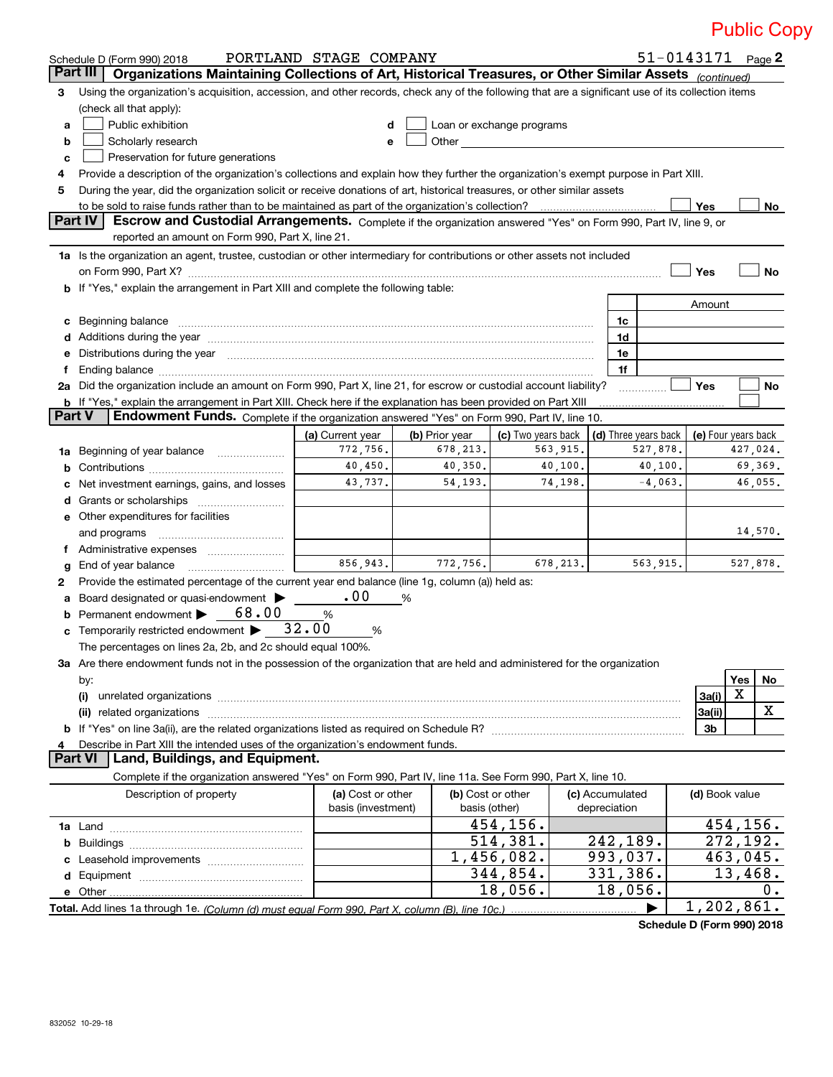|               | Schedule D (Form 990) 2018                                                                                                                                                                                                     | PORTLAND STAGE COMPANY                  |                |                                    |           |                                 | $51 - 0143171$ Page 2 |                     |          |         |  |
|---------------|--------------------------------------------------------------------------------------------------------------------------------------------------------------------------------------------------------------------------------|-----------------------------------------|----------------|------------------------------------|-----------|---------------------------------|-----------------------|---------------------|----------|---------|--|
|               | Part III<br>Organizations Maintaining Collections of Art, Historical Treasures, or Other Similar Assets (continued)                                                                                                            |                                         |                |                                    |           |                                 |                       |                     |          |         |  |
| З.            | Using the organization's acquisition, accession, and other records, check any of the following that are a significant use of its collection items                                                                              |                                         |                |                                    |           |                                 |                       |                     |          |         |  |
|               | (check all that apply):                                                                                                                                                                                                        |                                         |                |                                    |           |                                 |                       |                     |          |         |  |
| а             | Public exhibition                                                                                                                                                                                                              | d                                       |                | Loan or exchange programs          |           |                                 |                       |                     |          |         |  |
| b             | Scholarly research                                                                                                                                                                                                             | е                                       | Other          |                                    |           |                                 |                       |                     |          |         |  |
| c             | Preservation for future generations                                                                                                                                                                                            |                                         |                |                                    |           |                                 |                       |                     |          |         |  |
| 4             | Provide a description of the organization's collections and explain how they further the organization's exempt purpose in Part XIII.                                                                                           |                                         |                |                                    |           |                                 |                       |                     |          |         |  |
| 5             | During the year, did the organization solicit or receive donations of art, historical treasures, or other similar assets                                                                                                       |                                         |                |                                    |           |                                 |                       |                     |          |         |  |
|               | Yes<br>to be sold to raise funds rather than to be maintained as part of the organization's collection?<br>No                                                                                                                  |                                         |                |                                    |           |                                 |                       |                     |          |         |  |
|               | <b>Part IV</b><br>Escrow and Custodial Arrangements. Complete if the organization answered "Yes" on Form 990, Part IV, line 9, or                                                                                              |                                         |                |                                    |           |                                 |                       |                     |          |         |  |
|               | reported an amount on Form 990, Part X, line 21.                                                                                                                                                                               |                                         |                |                                    |           |                                 |                       |                     |          |         |  |
|               | 1a Is the organization an agent, trustee, custodian or other intermediary for contributions or other assets not included                                                                                                       |                                         |                |                                    |           |                                 |                       |                     |          |         |  |
|               | on Form 990, Part X? [11] matter and the contract of the contract of the contract of the contract of the contract of the contract of the contract of the contract of the contract of the contract of the contract of the contr |                                         |                |                                    |           |                                 |                       | Yes                 |          | No      |  |
|               | b If "Yes," explain the arrangement in Part XIII and complete the following table:                                                                                                                                             |                                         |                |                                    |           |                                 |                       |                     |          |         |  |
|               |                                                                                                                                                                                                                                |                                         |                |                                    |           |                                 |                       | Amount              |          |         |  |
| c             | Beginning balance                                                                                                                                                                                                              |                                         |                |                                    |           | 1c                              |                       |                     |          |         |  |
|               |                                                                                                                                                                                                                                |                                         |                |                                    |           | 1d                              |                       |                     |          |         |  |
| е             | Distributions during the year manufactured and continuum control of the state of the state of the state of the                                                                                                                 |                                         |                |                                    |           | 1e                              |                       |                     |          |         |  |
| Ť.            |                                                                                                                                                                                                                                |                                         |                |                                    |           | 1f                              |                       |                     |          |         |  |
|               | 2a Did the organization include an amount on Form 990, Part X, line 21, for escrow or custodial account liability?                                                                                                             |                                         |                |                                    |           |                                 |                       | Yes                 |          | No      |  |
|               | b If "Yes," explain the arrangement in Part XIII. Check here if the explanation has been provided on Part XIII                                                                                                                 |                                         |                |                                    |           |                                 |                       |                     |          |         |  |
| <b>Part V</b> | Endowment Funds. Complete if the organization answered "Yes" on Form 990, Part IV, line 10.                                                                                                                                    |                                         |                |                                    |           |                                 |                       |                     |          |         |  |
|               |                                                                                                                                                                                                                                | (a) Current year                        | (b) Prior year | (c) Two years back                 |           | (d) Three years back            |                       | (e) Four years back |          |         |  |
|               | 1a Beginning of year balance                                                                                                                                                                                                   | 772,756.                                | 678, 213.      |                                    | 563,915.  |                                 | 527,878.              |                     | 427,024. |         |  |
| b             |                                                                                                                                                                                                                                | 40,450.                                 | 40,350.        |                                    | 40,100.   |                                 | 40,100.               |                     |          | 69,369. |  |
| c             | Net investment earnings, gains, and losses                                                                                                                                                                                     | 43,737.                                 | 54, 193.       |                                    | 74,198.   |                                 | $-4,063$ .            |                     |          | 46,055. |  |
| d             |                                                                                                                                                                                                                                |                                         |                |                                    |           |                                 |                       |                     |          |         |  |
| е             | Other expenditures for facilities                                                                                                                                                                                              |                                         |                |                                    |           |                                 |                       |                     |          |         |  |
|               | and programs                                                                                                                                                                                                                   |                                         |                |                                    |           |                                 |                       |                     |          | 14,570. |  |
|               |                                                                                                                                                                                                                                |                                         |                |                                    |           |                                 |                       |                     |          |         |  |
| g             | End of year balance                                                                                                                                                                                                            | 856,943.                                | 772,756.       |                                    | 678, 213. |                                 | 563,915.              |                     | 527,878. |         |  |
| 2             | Provide the estimated percentage of the current year end balance (line 1g, column (a)) held as:                                                                                                                                |                                         |                |                                    |           |                                 |                       |                     |          |         |  |
| a             | Board designated or quasi-endowment >                                                                                                                                                                                          | .00                                     | %              |                                    |           |                                 |                       |                     |          |         |  |
| b             | Permanent endowment > 68.00                                                                                                                                                                                                    | %                                       |                |                                    |           |                                 |                       |                     |          |         |  |
| c             | Temporarily restricted endowment $\blacktriangleright$ 32.00                                                                                                                                                                   | %                                       |                |                                    |           |                                 |                       |                     |          |         |  |
|               | The percentages on lines 2a, 2b, and 2c should equal 100%.                                                                                                                                                                     |                                         |                |                                    |           |                                 |                       |                     |          |         |  |
|               | 3a Are there endowment funds not in the possession of the organization that are held and administered for the organization                                                                                                     |                                         |                |                                    |           |                                 |                       |                     |          |         |  |
|               | by:                                                                                                                                                                                                                            |                                         |                |                                    |           |                                 |                       |                     | Yes      | No      |  |
|               | (i)                                                                                                                                                                                                                            |                                         |                |                                    |           |                                 |                       | 3a(i)               | х        |         |  |
|               |                                                                                                                                                                                                                                |                                         |                |                                    |           |                                 |                       | 3a(ii)              |          | X       |  |
|               |                                                                                                                                                                                                                                |                                         |                |                                    |           |                                 |                       | 3b                  |          |         |  |
| 4             | Describe in Part XIII the intended uses of the organization's endowment funds.                                                                                                                                                 |                                         |                |                                    |           |                                 |                       |                     |          |         |  |
|               | <b>Part VI</b><br>Land, Buildings, and Equipment.                                                                                                                                                                              |                                         |                |                                    |           |                                 |                       |                     |          |         |  |
|               | Complete if the organization answered "Yes" on Form 990, Part IV, line 11a. See Form 990, Part X, line 10.                                                                                                                     |                                         |                |                                    |           |                                 |                       |                     |          |         |  |
|               | Description of property                                                                                                                                                                                                        | (a) Cost or other<br>basis (investment) |                | (b) Cost or other<br>basis (other) |           | (c) Accumulated<br>depreciation |                       | (d) Book value      |          |         |  |
|               |                                                                                                                                                                                                                                |                                         |                | 454,156.                           |           |                                 |                       |                     | 454,156. |         |  |
|               |                                                                                                                                                                                                                                |                                         |                | 514,381.                           |           | 242,189.                        |                       |                     | 272,192. |         |  |
| c             |                                                                                                                                                                                                                                |                                         |                | 1,456,082.                         |           | 993,037.                        |                       |                     | 463,045. |         |  |
|               |                                                                                                                                                                                                                                |                                         |                | 344,854.                           |           | 331,386.                        |                       |                     | 13,468.  |         |  |
|               |                                                                                                                                                                                                                                |                                         |                | 18,056.                            |           | 18,056.                         |                       |                     |          | 0.      |  |
|               |                                                                                                                                                                                                                                |                                         |                |                                    |           |                                 | ▶                     | 1,202,861.          |          |         |  |
|               |                                                                                                                                                                                                                                |                                         |                |                                    |           |                                 |                       |                     |          |         |  |

**Schedule D (Form 990) 2018**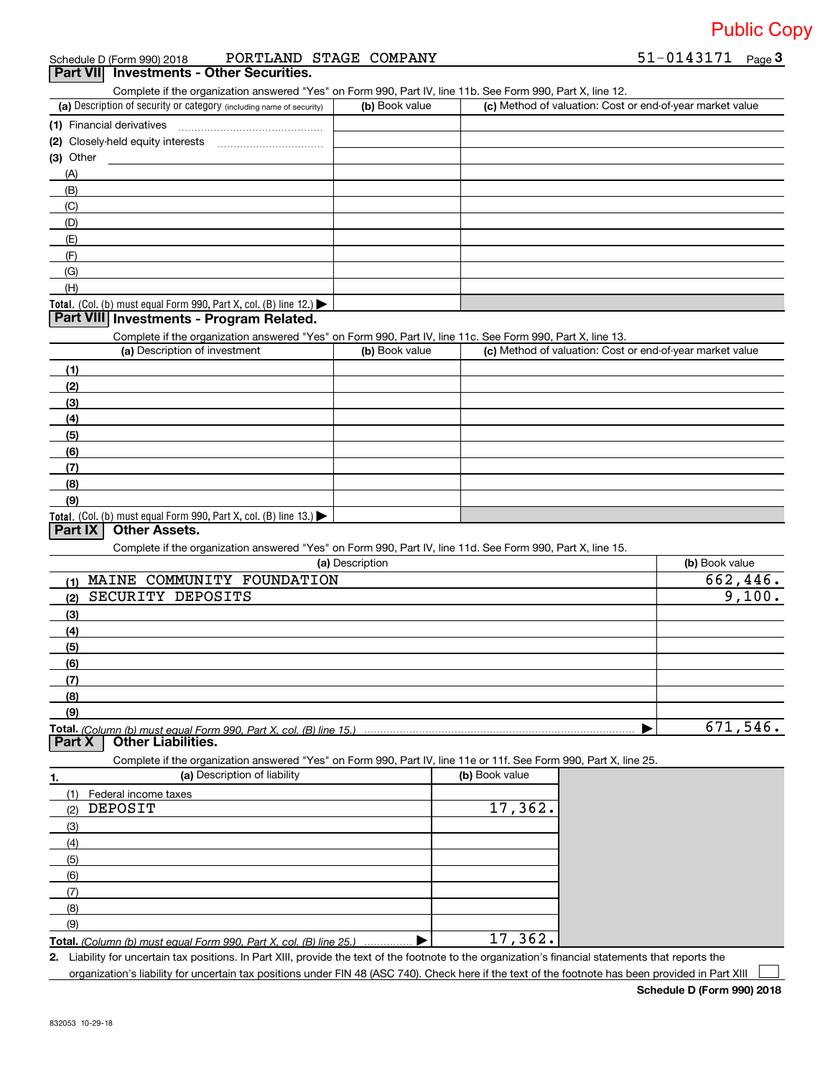**3** 51‐0143171

### Schedule D (Form 990) 2018 PORTLAND STAGE COMPANY 51-0143171 Page

**Part VII** Investments - Other Securities.

Complete if the organization answered "Yes" on Form 990, Part IV, line 11b. See Form 990, Part X, line 12.

| (a) Description of security or category (including name of security)                   | (b) Book value | (c) Method of valuation: Cost or end-of-year market value |
|----------------------------------------------------------------------------------------|----------------|-----------------------------------------------------------|
| (1) Financial derivatives                                                              |                |                                                           |
| (2) Closely-held equity interests                                                      |                |                                                           |
| $(3)$ Other                                                                            |                |                                                           |
| (A)                                                                                    |                |                                                           |
| (B)                                                                                    |                |                                                           |
| (C)                                                                                    |                |                                                           |
| (D)                                                                                    |                |                                                           |
| (E)                                                                                    |                |                                                           |
| (F)                                                                                    |                |                                                           |
| (G)                                                                                    |                |                                                           |
| (H)                                                                                    |                |                                                           |
| Total. (Col. (b) must equal Form 990, Part X, col. (B) line 12.) $\blacktriangleright$ |                |                                                           |

### **Part VIII Investments ‐ Program Related.**

Complete if the organization answered "Yes" on Form 990, Part IV, line 11c. See Form 990, Part X, line 13.

| (a) Description of investment                                                          | (b) Book value | (c) Method of valuation: Cost or end-of-year market value |
|----------------------------------------------------------------------------------------|----------------|-----------------------------------------------------------|
| (1)                                                                                    |                |                                                           |
| (2)                                                                                    |                |                                                           |
| $\left(3\right)$                                                                       |                |                                                           |
| (4)                                                                                    |                |                                                           |
| (5)                                                                                    |                |                                                           |
| (6)                                                                                    |                |                                                           |
| (7)                                                                                    |                |                                                           |
| (8)                                                                                    |                |                                                           |
| (9)                                                                                    |                |                                                           |
| Total. (Col. (b) must equal Form 990, Part X, col. (B) line 13.) $\blacktriangleright$ |                |                                                           |

### **Part IX Other Assets.**

Complete if the organization answered "Yes" on Form 990, Part IV, line 11d. See Form 990, Part X, line 15.

| (a) Description                   | (b) Book value |
|-----------------------------------|----------------|
| MAINE COMMUNITY FOUNDATION<br>(1) | 662,446.       |
| SECURITY DEPOSITS<br>(2)          | 9,100.         |
| $\frac{1}{2}$                     |                |
| (4)                               |                |
| $\left(5\right)$                  |                |
| $\frac{6}{6}$                     |                |
| $\sqrt{(7)}$                      |                |
| (8)                               |                |
| (9)                               |                |
|                                   | 671,546.       |

#### **Part X Other Liabilities.**

Complete if the organization answered "Yes" on Form 990, Part IV, line 11e or 11f. See Form 990, Part X, line 25.

| 1.  | (a) Description of liability                                            | (b) Book value |
|-----|-------------------------------------------------------------------------|----------------|
| (1) | Federal income taxes                                                    |                |
| (2) | DEPOSIT                                                                 | 17,362.        |
| (3) |                                                                         |                |
| (4) |                                                                         |                |
| (5) |                                                                         |                |
| (6) |                                                                         |                |
| (7) |                                                                         |                |
| (8) |                                                                         |                |
| (9) |                                                                         |                |
|     | Total. (Column (b) must equal Form 990, Part X, col. (B) line 25.)<br>. | 17,362.        |

**2.** Liability for uncertain tax positions. In Part XIII, provide the text of the footnote to the organization's financial statements that reports the organization's liability for uncertain tax positions under FIN 48 (ASC 740). Check here if the text of the footnote has been provided in Part XIII  $\begin{array}{c} \hline \end{array}$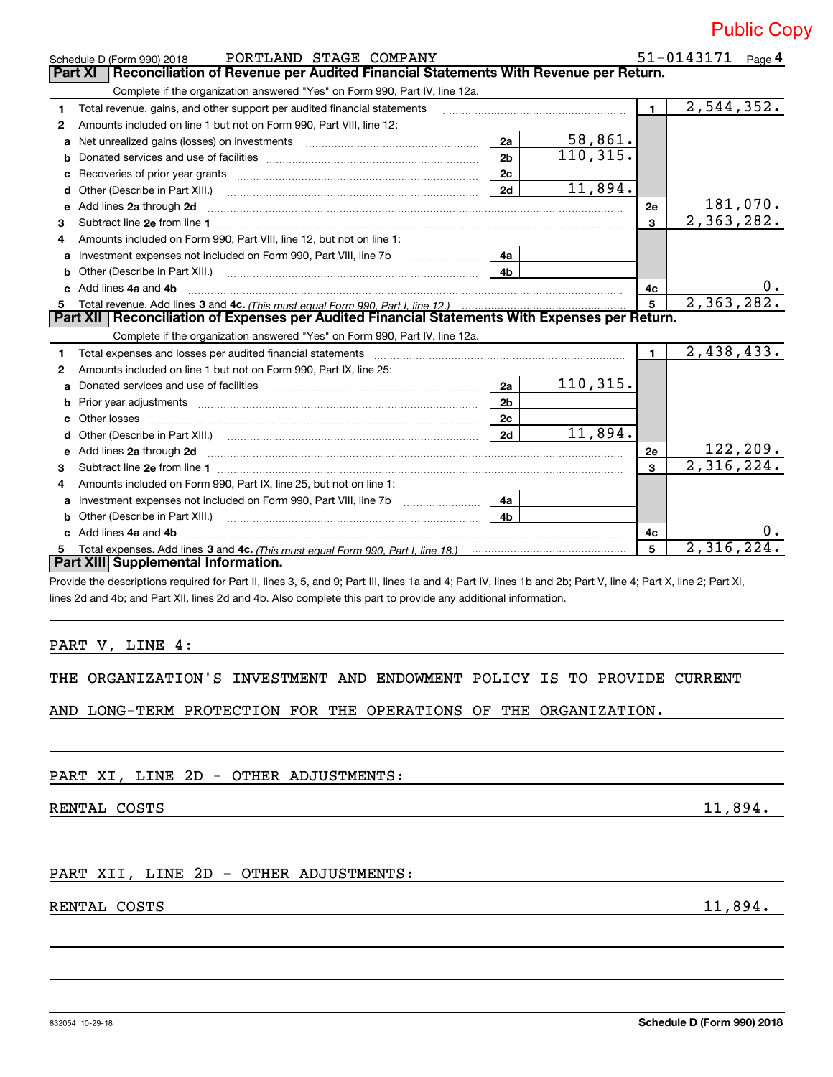|                                   | <b>Public Copy</b> |
|-----------------------------------|--------------------|
| $51 - 0143171$ P <sub>309</sub> 4 |                    |

|              | PORTLAND STAGE COMPANY<br>Schedule D (Form 990) 2018                                                                  |                |           |                | 51-0143171              | Page 4           |
|--------------|-----------------------------------------------------------------------------------------------------------------------|----------------|-----------|----------------|-------------------------|------------------|
|              | Reconciliation of Revenue per Audited Financial Statements With Revenue per Return.<br><b>Part XI</b>                 |                |           |                |                         |                  |
|              | Complete if the organization answered "Yes" on Form 990, Part IV, line 12a.                                           |                |           |                |                         |                  |
| 1.           | Total revenue, gains, and other support per audited financial statements                                              |                |           | $\blacksquare$ | 2,544,352.              |                  |
| 2            | Amounts included on line 1 but not on Form 990, Part VIII, line 12:                                                   |                |           |                |                         |                  |
| a            |                                                                                                                       | 2a             | 58,861.   |                |                         |                  |
| b            |                                                                                                                       | 2 <sub>b</sub> | 110, 315. |                |                         |                  |
| c            | Recoveries of prior year grants [111] Martin Marcoveries and prior year grants and manufacture and prior year         | 2c             |           |                |                         |                  |
| d            | Other (Describe in Part XIII.)                                                                                        | 2d             | 11,894.   |                |                         |                  |
| е            | Add lines 2a through 2d                                                                                               |                |           | 2e             |                         | 181,070.         |
| 3            |                                                                                                                       |                |           | 3              | 2,363,282.              |                  |
|              | Amounts included on Form 990, Part VIII, line 12, but not on line 1:                                                  |                |           |                |                         |                  |
| a            |                                                                                                                       | 4a             |           |                |                         |                  |
| b            | Other (Describe in Part XIII.) [100] [100] [100] [100] [100] [100] [100] [100] [100] [100] [100] [100] [100] [        | 4 <sub>b</sub> |           |                |                         |                  |
| c.           | Add lines 4a and 4b                                                                                                   |                |           | 4с             |                         | υ.               |
|              |                                                                                                                       |                |           | 5              | 2,363,282.              |                  |
|              | Part XII   Reconciliation of Expenses per Audited Financial Statements With Expenses per Return.                      |                |           |                |                         |                  |
|              | Complete if the organization answered "Yes" on Form 990, Part IV, line 12a.                                           |                |           |                |                         |                  |
| 1.           |                                                                                                                       |                |           |                |                         |                  |
| $\mathbf{2}$ | Total expenses and losses per audited financial statements                                                            |                |           | $\mathbf{1}$   | 2,438,433.              |                  |
|              | Amounts included on line 1 but not on Form 990, Part IX, line 25:                                                     |                |           |                |                         |                  |
| a            |                                                                                                                       | 2a             | 110, 315. |                |                         |                  |
| b            |                                                                                                                       | 2 <sub>b</sub> |           |                |                         |                  |
| C            |                                                                                                                       | 2c             |           |                |                         |                  |
| d            | Other (Describe in Part XIII.) (COLORGIAL CONSERVISTION) (CONSERVISTION) (CONSERVISTION)                              | 2d             | 11,894.   |                |                         |                  |
| е            | Add lines 2a through 2d                                                                                               |                |           | 2e             |                         | <u> 122,209.</u> |
| 3            |                                                                                                                       |                |           | 3              | $\overline{2,316,224.}$ |                  |
| 4            | Amounts included on Form 990, Part IX, line 25, but not on line 1:                                                    |                |           |                |                         |                  |
| a            |                                                                                                                       | 4a             |           |                |                         |                  |
| b            | Other (Describe in Part XIII.) <b>Construction Contract Construction</b> Chern Construction Construction Construction | 4 <sub>b</sub> |           |                |                         |                  |
| c.           | Add lines 4a and 4b                                                                                                   |                |           | 4с             |                         | 0.               |
| 5.           |                                                                                                                       |                |           | 5              | 2,316,224.              |                  |
|              | Part XIII Supplemental Information.                                                                                   |                |           |                |                         |                  |

lines 2d and 4b; and Part XII, lines 2d and 4b. Also complete this part to provide any additional information.

PART V, LINE 4:

THE ORGANIZATION'S INVESTMENT AND ENDOWMENT POLICY IS TO PROVIDE CURRENT

AND LONG‐TERM PROTECTION FOR THE OPERATIONS OF THE ORGANIZATION.

PART XI, LINE 2D - OTHER ADJUSTMENTS:

RENTAL COSTS 11,894.

PART XII, LINE 2D - OTHER ADJUSTMENTS:

RENTAL COSTS 11,894.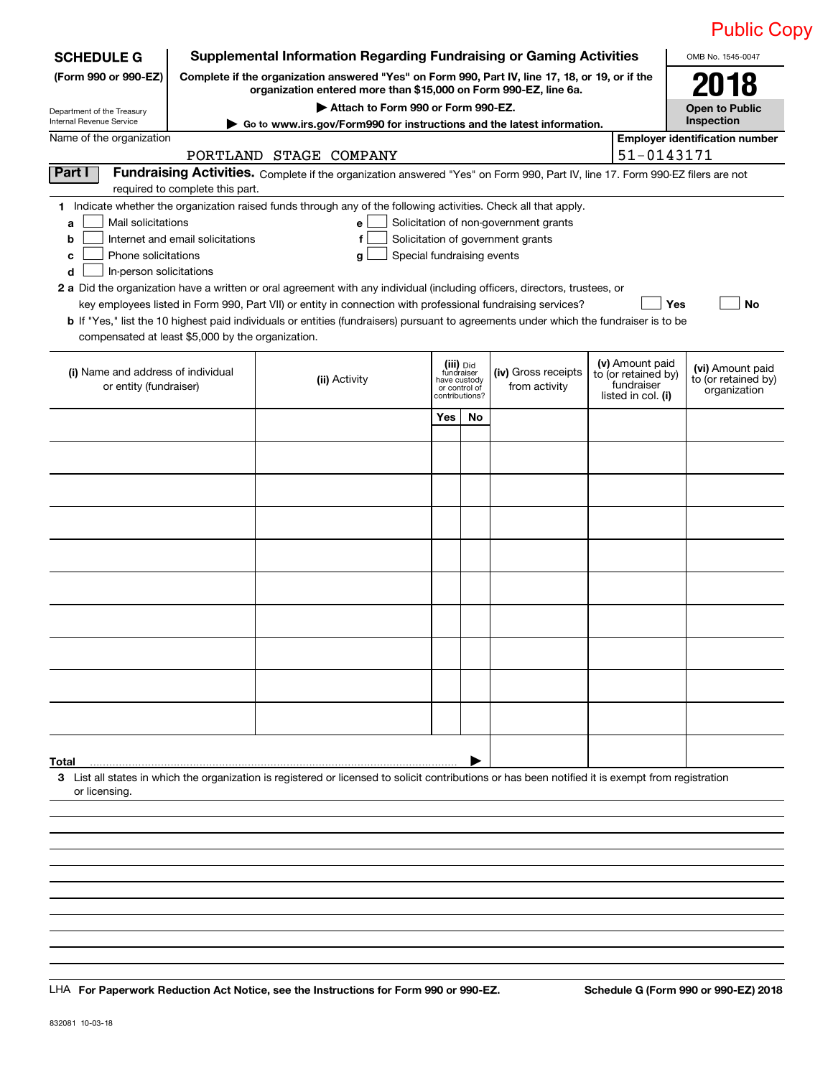|                                                                                                                                                                     |                                  |                                                                                                                                                                     |                            |                |                                       |                                   | <b>Public Copy</b>                    |
|---------------------------------------------------------------------------------------------------------------------------------------------------------------------|----------------------------------|---------------------------------------------------------------------------------------------------------------------------------------------------------------------|----------------------------|----------------|---------------------------------------|-----------------------------------|---------------------------------------|
| <b>SCHEDULE G</b>                                                                                                                                                   |                                  | <b>Supplemental Information Regarding Fundraising or Gaming Activities</b>                                                                                          |                            |                |                                       |                                   | OMB No. 1545-0047                     |
| (Form 990 or 990-EZ)                                                                                                                                                |                                  | Complete if the organization answered "Yes" on Form 990, Part IV, line 17, 18, or 19, or if the<br>organization entered more than \$15,000 on Form 990-EZ, line 6a. |                            |                |                                       |                                   | 2018                                  |
| Department of the Treasury<br>Internal Revenue Service                                                                                                              |                                  | Attach to Form 990 or Form 990-EZ.                                                                                                                                  |                            |                |                                       |                                   | <b>Open to Public</b><br>Inspection   |
| Name of the organization                                                                                                                                            |                                  | Go to www.irs.gov/Form990 for instructions and the latest information.                                                                                              |                            |                |                                       |                                   | <b>Employer identification number</b> |
|                                                                                                                                                                     |                                  | PORTLAND STAGE COMPANY                                                                                                                                              |                            |                |                                       | 51-0143171                        |                                       |
| Part I                                                                                                                                                              |                                  | Fundraising Activities. Complete if the organization answered "Yes" on Form 990, Part IV, line 17. Form 990-EZ filers are not                                       |                            |                |                                       |                                   |                                       |
| 1 Indicate whether the organization raised funds through any of the following activities. Check all that apply.                                                     | required to complete this part.  |                                                                                                                                                                     |                            |                |                                       |                                   |                                       |
| Mail solicitations<br>a                                                                                                                                             |                                  | е                                                                                                                                                                   |                            |                | Solicitation of non-government grants |                                   |                                       |
| b                                                                                                                                                                   | Internet and email solicitations | f                                                                                                                                                                   |                            |                | Solicitation of government grants     |                                   |                                       |
| Phone solicitations<br>C                                                                                                                                            |                                  | Special fundraising events<br>g                                                                                                                                     |                            |                |                                       |                                   |                                       |
| In-person solicitations<br>d<br>2 a Did the organization have a written or oral agreement with any individual (including officers, directors, trustees, or          |                                  |                                                                                                                                                                     |                            |                |                                       |                                   |                                       |
|                                                                                                                                                                     |                                  | key employees listed in Form 990, Part VII) or entity in connection with professional fundraising services?                                                         |                            |                |                                       | Yes                               | No                                    |
| <b>b</b> If "Yes," list the 10 highest paid individuals or entities (fundraisers) pursuant to agreements under which the fundraiser is to be                        |                                  |                                                                                                                                                                     |                            |                |                                       |                                   |                                       |
| compensated at least \$5,000 by the organization.                                                                                                                   |                                  |                                                                                                                                                                     |                            |                |                                       |                                   |                                       |
|                                                                                                                                                                     |                                  |                                                                                                                                                                     |                            | (iii) Did      |                                       | (v) Amount paid                   | (vi) Amount paid                      |
| (i) Name and address of individual<br>or entity (fundraiser)                                                                                                        |                                  | (ii) Activity                                                                                                                                                       | fundraiser<br>have custody | or control of  | (iv) Gross receipts<br>from activity  | to (or retained by)<br>fundraiser | to (or retained by)<br>organization   |
|                                                                                                                                                                     |                                  |                                                                                                                                                                     |                            | contributions? |                                       | listed in col. (i)                |                                       |
|                                                                                                                                                                     |                                  |                                                                                                                                                                     | Yes                        | No             |                                       |                                   |                                       |
|                                                                                                                                                                     |                                  |                                                                                                                                                                     |                            |                |                                       |                                   |                                       |
|                                                                                                                                                                     |                                  |                                                                                                                                                                     |                            |                |                                       |                                   |                                       |
|                                                                                                                                                                     |                                  |                                                                                                                                                                     |                            |                |                                       |                                   |                                       |
|                                                                                                                                                                     |                                  |                                                                                                                                                                     |                            |                |                                       |                                   |                                       |
|                                                                                                                                                                     |                                  |                                                                                                                                                                     |                            |                |                                       |                                   |                                       |
|                                                                                                                                                                     |                                  |                                                                                                                                                                     |                            |                |                                       |                                   |                                       |
|                                                                                                                                                                     |                                  |                                                                                                                                                                     |                            |                |                                       |                                   |                                       |
|                                                                                                                                                                     |                                  |                                                                                                                                                                     |                            |                |                                       |                                   |                                       |
|                                                                                                                                                                     |                                  |                                                                                                                                                                     |                            |                |                                       |                                   |                                       |
|                                                                                                                                                                     |                                  |                                                                                                                                                                     |                            |                |                                       |                                   |                                       |
|                                                                                                                                                                     |                                  |                                                                                                                                                                     |                            |                |                                       |                                   |                                       |
|                                                                                                                                                                     |                                  |                                                                                                                                                                     |                            |                |                                       |                                   |                                       |
|                                                                                                                                                                     |                                  |                                                                                                                                                                     |                            |                |                                       |                                   |                                       |
|                                                                                                                                                                     |                                  |                                                                                                                                                                     |                            |                |                                       |                                   |                                       |
|                                                                                                                                                                     |                                  |                                                                                                                                                                     |                            |                |                                       |                                   |                                       |
| Total                                                                                                                                                               |                                  |                                                                                                                                                                     |                            |                |                                       |                                   |                                       |
| 3 List all states in which the organization is registered or licensed to solicit contributions or has been notified it is exempt from registration<br>or licensing. |                                  |                                                                                                                                                                     |                            |                |                                       |                                   |                                       |
|                                                                                                                                                                     |                                  |                                                                                                                                                                     |                            |                |                                       |                                   |                                       |
|                                                                                                                                                                     |                                  |                                                                                                                                                                     |                            |                |                                       |                                   |                                       |
|                                                                                                                                                                     |                                  |                                                                                                                                                                     |                            |                |                                       |                                   |                                       |
|                                                                                                                                                                     |                                  |                                                                                                                                                                     |                            |                |                                       |                                   |                                       |

**For Paperwork Reduction Act Notice, see the Instructions for Form 990 or 990‐EZ. Schedule G (Form 990 or 990‐EZ) 2018** LHA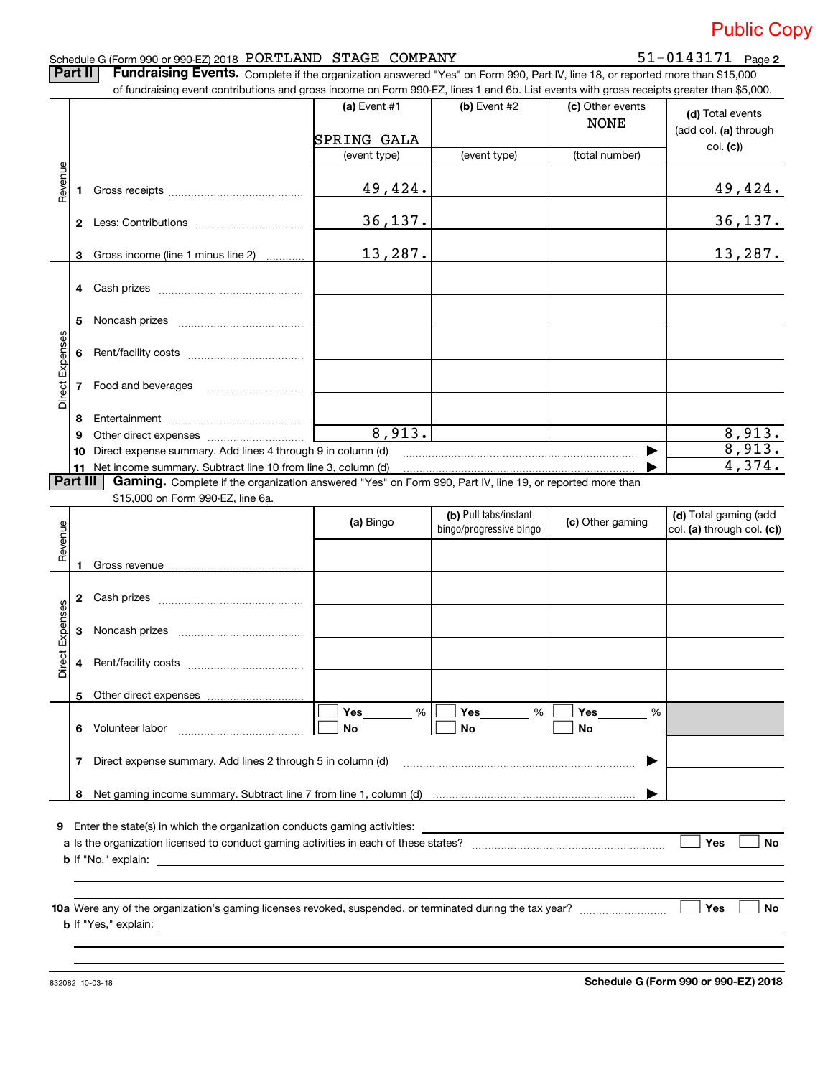### Schedule G (Form 990 or 990‐EZ) 2018  $\rm{PORTLAND}$   $\rm{STAGE}$   $\rm{COMPANY}$   $\rm{51-0143171}$   $\rm{Page}$

51-0143171 Page 2

Part II | Fundraising Events. Complete if the organization answered "Yes" on Form 990, Part IV, line 18, or reported more than \$15,000

|                 |          |                                                                                                                                                                             | (a) Event #1<br>SPRING GALA | (b) Event $#2$                                   | (c) Other events<br><b>NONE</b> | (d) Total events<br>(add col. (a) through           |
|-----------------|----------|-----------------------------------------------------------------------------------------------------------------------------------------------------------------------------|-----------------------------|--------------------------------------------------|---------------------------------|-----------------------------------------------------|
|                 |          |                                                                                                                                                                             | (event type)                | (event type)                                     | (total number)                  | col. (c))                                           |
|                 |          |                                                                                                                                                                             |                             |                                                  |                                 |                                                     |
| Revenue         |          |                                                                                                                                                                             | 49,424.                     |                                                  |                                 | 49,424.                                             |
|                 |          |                                                                                                                                                                             | 36, 137.                    |                                                  |                                 | <u>36,137.</u>                                      |
|                 |          | 3 Gross income (line 1 minus line 2)                                                                                                                                        | 13,287.                     |                                                  |                                 | 13,287.                                             |
|                 |          |                                                                                                                                                                             |                             |                                                  |                                 |                                                     |
|                 | 5        |                                                                                                                                                                             |                             |                                                  |                                 |                                                     |
|                 |          |                                                                                                                                                                             |                             |                                                  |                                 |                                                     |
| Direct Expenses |          |                                                                                                                                                                             |                             |                                                  |                                 |                                                     |
|                 | 8        |                                                                                                                                                                             |                             |                                                  |                                 |                                                     |
|                 | 9        |                                                                                                                                                                             | 8,913.                      |                                                  |                                 | 8,913.                                              |
|                 | 10       | Direct expense summary. Add lines 4 through 9 in column (d)                                                                                                                 |                             |                                                  | ▶                               | 8,913.<br>$\overline{4,374.}$                       |
|                 | Part III | 11 Net income summary. Subtract line 10 from line 3, column (d)<br>Gaming. Complete if the organization answered "Yes" on Form 990, Part IV, line 19, or reported more than |                             |                                                  |                                 |                                                     |
|                 |          | \$15,000 on Form 990-EZ, line 6a.                                                                                                                                           |                             |                                                  |                                 |                                                     |
|                 |          |                                                                                                                                                                             | (a) Bingo                   | (b) Pull tabs/instant<br>bingo/progressive bingo | (c) Other gaming                | (d) Total gaming (add<br>col. (a) through col. (c)) |
|                 |          |                                                                                                                                                                             |                             |                                                  |                                 |                                                     |
| Revenue         |          |                                                                                                                                                                             |                             |                                                  |                                 |                                                     |
|                 |          |                                                                                                                                                                             |                             |                                                  |                                 |                                                     |
|                 | 3        |                                                                                                                                                                             |                             |                                                  |                                 |                                                     |
| Direct Expenses |          |                                                                                                                                                                             |                             |                                                  |                                 |                                                     |
|                 |          | Other direct expenses                                                                                                                                                       |                             |                                                  |                                 |                                                     |
|                 |          | 6 Volunteer labor                                                                                                                                                           | %<br>Yes<br>No              | %<br>Yes<br>No                                   | <b>Yes</b><br>%<br>No           |                                                     |
|                 |          | 7 Direct expense summary. Add lines 2 through 5 in column (d)                                                                                                               |                             |                                                  |                                 |                                                     |
|                 |          |                                                                                                                                                                             |                             |                                                  |                                 |                                                     |
|                 |          |                                                                                                                                                                             |                             |                                                  |                                 |                                                     |
|                 |          |                                                                                                                                                                             |                             |                                                  |                                 | Yes<br>No                                           |
|                 |          |                                                                                                                                                                             |                             |                                                  |                                 |                                                     |
|                 |          |                                                                                                                                                                             |                             |                                                  |                                 | Yes<br>No                                           |

832082 10‐03‐18

**Schedule G (Form 990 or 990‐EZ) 2018**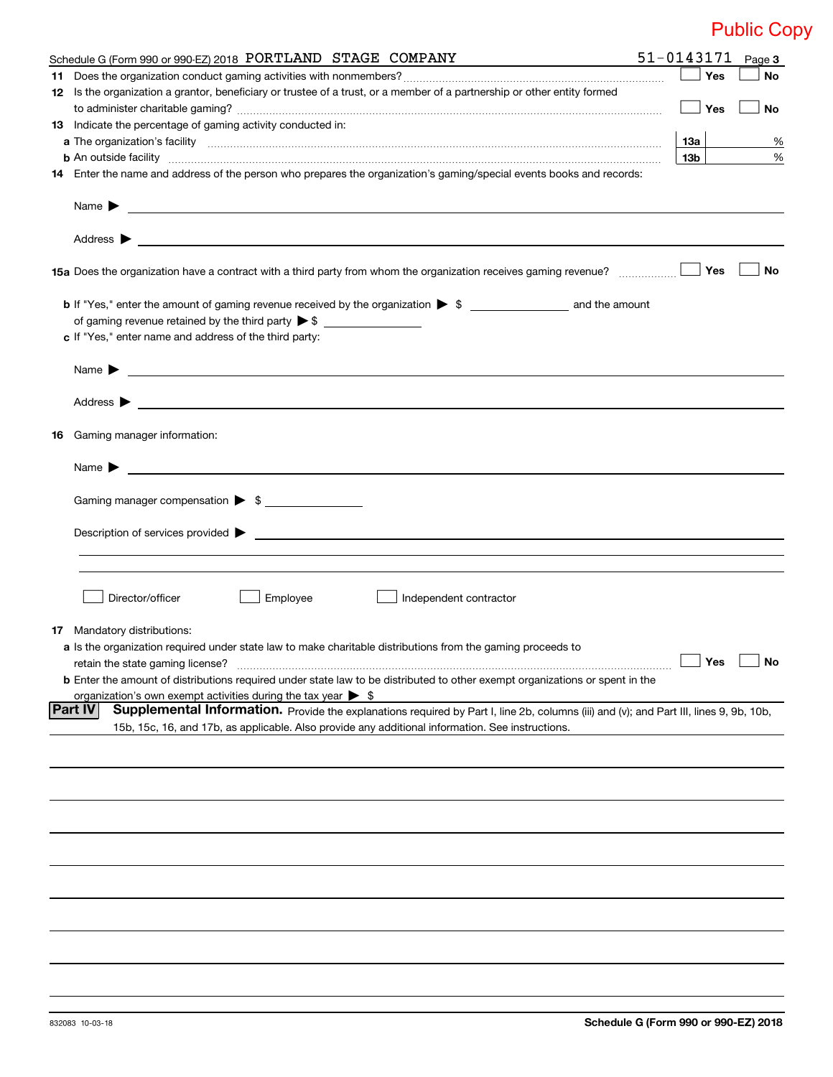| Yes<br>12 Is the organization a grantor, beneficiary or trustee of a trust, or a member of a partnership or other entity formed<br>Yes<br>13 Indicate the percentage of gaming activity conducted in:<br>13а<br>13b<br>14 Enter the name and address of the person who prepares the organization's gaming/special events books and records:<br>Address $\blacktriangleright$<br><u>some started and the started and the started and the started and the started and the started and the started and the started and the started and the started and the started and the started and the started and the started </u><br>Yes<br>c If "Yes," enter name and address of the third party:<br>Address $\blacktriangleright$<br><u> 1989 - Johann John Stone, meil in der Stone aus der Stone aus der Stone aus der Stone aus der Stone aus der S</u><br><b>16</b> Gaming manager information:<br>Name $\blacktriangleright$<br><u> 1989 - Johann Stoff, deutscher Stoffen und der Stoffen und der Stoffen und der Stoffen und der Stoffen und der</u><br>Gaming manager compensation > \$<br>Director/officer<br>Employee<br>Independent contractor<br>17 Mandatory distributions:<br>a Is the organization required under state law to make charitable distributions from the gaming proceeds to<br>$\Box$ Yes<br>retain the state gaming license?<br><b>b</b> Enter the amount of distributions required under state law to be distributed to other exempt organizations or spent in the<br>organization's own exempt activities during the tax year $\triangleright$ \$<br><b>Part IV</b><br>Supplemental Information. Provide the explanations required by Part I, line 2b, columns (iii) and (v); and Part III, lines 9, 9b, 10b,<br>15b, 15c, 16, and 17b, as applicable. Also provide any additional information. See instructions. | Schedule G (Form 990 or 990-EZ) 2018 PORTLAND STAGE COMPANY | 51-0143171 | Page 3    |
|---------------------------------------------------------------------------------------------------------------------------------------------------------------------------------------------------------------------------------------------------------------------------------------------------------------------------------------------------------------------------------------------------------------------------------------------------------------------------------------------------------------------------------------------------------------------------------------------------------------------------------------------------------------------------------------------------------------------------------------------------------------------------------------------------------------------------------------------------------------------------------------------------------------------------------------------------------------------------------------------------------------------------------------------------------------------------------------------------------------------------------------------------------------------------------------------------------------------------------------------------------------------------------------------------------------------------------------------------------------------------------------------------------------------------------------------------------------------------------------------------------------------------------------------------------------------------------------------------------------------------------------------------------------------------------------------------------------------------------------------------------------------------------------------------------------------------------------|-------------------------------------------------------------|------------|-----------|
|                                                                                                                                                                                                                                                                                                                                                                                                                                                                                                                                                                                                                                                                                                                                                                                                                                                                                                                                                                                                                                                                                                                                                                                                                                                                                                                                                                                                                                                                                                                                                                                                                                                                                                                                                                                                                                       |                                                             |            | No        |
|                                                                                                                                                                                                                                                                                                                                                                                                                                                                                                                                                                                                                                                                                                                                                                                                                                                                                                                                                                                                                                                                                                                                                                                                                                                                                                                                                                                                                                                                                                                                                                                                                                                                                                                                                                                                                                       |                                                             |            | No        |
|                                                                                                                                                                                                                                                                                                                                                                                                                                                                                                                                                                                                                                                                                                                                                                                                                                                                                                                                                                                                                                                                                                                                                                                                                                                                                                                                                                                                                                                                                                                                                                                                                                                                                                                                                                                                                                       |                                                             |            |           |
|                                                                                                                                                                                                                                                                                                                                                                                                                                                                                                                                                                                                                                                                                                                                                                                                                                                                                                                                                                                                                                                                                                                                                                                                                                                                                                                                                                                                                                                                                                                                                                                                                                                                                                                                                                                                                                       |                                                             |            | %         |
|                                                                                                                                                                                                                                                                                                                                                                                                                                                                                                                                                                                                                                                                                                                                                                                                                                                                                                                                                                                                                                                                                                                                                                                                                                                                                                                                                                                                                                                                                                                                                                                                                                                                                                                                                                                                                                       |                                                             |            | $\%$      |
|                                                                                                                                                                                                                                                                                                                                                                                                                                                                                                                                                                                                                                                                                                                                                                                                                                                                                                                                                                                                                                                                                                                                                                                                                                                                                                                                                                                                                                                                                                                                                                                                                                                                                                                                                                                                                                       |                                                             |            |           |
|                                                                                                                                                                                                                                                                                                                                                                                                                                                                                                                                                                                                                                                                                                                                                                                                                                                                                                                                                                                                                                                                                                                                                                                                                                                                                                                                                                                                                                                                                                                                                                                                                                                                                                                                                                                                                                       |                                                             |            |           |
|                                                                                                                                                                                                                                                                                                                                                                                                                                                                                                                                                                                                                                                                                                                                                                                                                                                                                                                                                                                                                                                                                                                                                                                                                                                                                                                                                                                                                                                                                                                                                                                                                                                                                                                                                                                                                                       |                                                             |            |           |
|                                                                                                                                                                                                                                                                                                                                                                                                                                                                                                                                                                                                                                                                                                                                                                                                                                                                                                                                                                                                                                                                                                                                                                                                                                                                                                                                                                                                                                                                                                                                                                                                                                                                                                                                                                                                                                       |                                                             |            | No        |
|                                                                                                                                                                                                                                                                                                                                                                                                                                                                                                                                                                                                                                                                                                                                                                                                                                                                                                                                                                                                                                                                                                                                                                                                                                                                                                                                                                                                                                                                                                                                                                                                                                                                                                                                                                                                                                       |                                                             |            |           |
|                                                                                                                                                                                                                                                                                                                                                                                                                                                                                                                                                                                                                                                                                                                                                                                                                                                                                                                                                                                                                                                                                                                                                                                                                                                                                                                                                                                                                                                                                                                                                                                                                                                                                                                                                                                                                                       |                                                             |            |           |
|                                                                                                                                                                                                                                                                                                                                                                                                                                                                                                                                                                                                                                                                                                                                                                                                                                                                                                                                                                                                                                                                                                                                                                                                                                                                                                                                                                                                                                                                                                                                                                                                                                                                                                                                                                                                                                       |                                                             |            |           |
|                                                                                                                                                                                                                                                                                                                                                                                                                                                                                                                                                                                                                                                                                                                                                                                                                                                                                                                                                                                                                                                                                                                                                                                                                                                                                                                                                                                                                                                                                                                                                                                                                                                                                                                                                                                                                                       |                                                             |            |           |
|                                                                                                                                                                                                                                                                                                                                                                                                                                                                                                                                                                                                                                                                                                                                                                                                                                                                                                                                                                                                                                                                                                                                                                                                                                                                                                                                                                                                                                                                                                                                                                                                                                                                                                                                                                                                                                       |                                                             |            |           |
|                                                                                                                                                                                                                                                                                                                                                                                                                                                                                                                                                                                                                                                                                                                                                                                                                                                                                                                                                                                                                                                                                                                                                                                                                                                                                                                                                                                                                                                                                                                                                                                                                                                                                                                                                                                                                                       |                                                             |            |           |
|                                                                                                                                                                                                                                                                                                                                                                                                                                                                                                                                                                                                                                                                                                                                                                                                                                                                                                                                                                                                                                                                                                                                                                                                                                                                                                                                                                                                                                                                                                                                                                                                                                                                                                                                                                                                                                       |                                                             |            |           |
|                                                                                                                                                                                                                                                                                                                                                                                                                                                                                                                                                                                                                                                                                                                                                                                                                                                                                                                                                                                                                                                                                                                                                                                                                                                                                                                                                                                                                                                                                                                                                                                                                                                                                                                                                                                                                                       |                                                             |            |           |
|                                                                                                                                                                                                                                                                                                                                                                                                                                                                                                                                                                                                                                                                                                                                                                                                                                                                                                                                                                                                                                                                                                                                                                                                                                                                                                                                                                                                                                                                                                                                                                                                                                                                                                                                                                                                                                       |                                                             |            |           |
|                                                                                                                                                                                                                                                                                                                                                                                                                                                                                                                                                                                                                                                                                                                                                                                                                                                                                                                                                                                                                                                                                                                                                                                                                                                                                                                                                                                                                                                                                                                                                                                                                                                                                                                                                                                                                                       |                                                             |            |           |
|                                                                                                                                                                                                                                                                                                                                                                                                                                                                                                                                                                                                                                                                                                                                                                                                                                                                                                                                                                                                                                                                                                                                                                                                                                                                                                                                                                                                                                                                                                                                                                                                                                                                                                                                                                                                                                       |                                                             |            |           |
|                                                                                                                                                                                                                                                                                                                                                                                                                                                                                                                                                                                                                                                                                                                                                                                                                                                                                                                                                                                                                                                                                                                                                                                                                                                                                                                                                                                                                                                                                                                                                                                                                                                                                                                                                                                                                                       |                                                             |            |           |
|                                                                                                                                                                                                                                                                                                                                                                                                                                                                                                                                                                                                                                                                                                                                                                                                                                                                                                                                                                                                                                                                                                                                                                                                                                                                                                                                                                                                                                                                                                                                                                                                                                                                                                                                                                                                                                       |                                                             |            |           |
|                                                                                                                                                                                                                                                                                                                                                                                                                                                                                                                                                                                                                                                                                                                                                                                                                                                                                                                                                                                                                                                                                                                                                                                                                                                                                                                                                                                                                                                                                                                                                                                                                                                                                                                                                                                                                                       |                                                             |            |           |
|                                                                                                                                                                                                                                                                                                                                                                                                                                                                                                                                                                                                                                                                                                                                                                                                                                                                                                                                                                                                                                                                                                                                                                                                                                                                                                                                                                                                                                                                                                                                                                                                                                                                                                                                                                                                                                       |                                                             |            |           |
|                                                                                                                                                                                                                                                                                                                                                                                                                                                                                                                                                                                                                                                                                                                                                                                                                                                                                                                                                                                                                                                                                                                                                                                                                                                                                                                                                                                                                                                                                                                                                                                                                                                                                                                                                                                                                                       |                                                             |            | $\Box$ No |
|                                                                                                                                                                                                                                                                                                                                                                                                                                                                                                                                                                                                                                                                                                                                                                                                                                                                                                                                                                                                                                                                                                                                                                                                                                                                                                                                                                                                                                                                                                                                                                                                                                                                                                                                                                                                                                       |                                                             |            |           |
|                                                                                                                                                                                                                                                                                                                                                                                                                                                                                                                                                                                                                                                                                                                                                                                                                                                                                                                                                                                                                                                                                                                                                                                                                                                                                                                                                                                                                                                                                                                                                                                                                                                                                                                                                                                                                                       |                                                             |            |           |
|                                                                                                                                                                                                                                                                                                                                                                                                                                                                                                                                                                                                                                                                                                                                                                                                                                                                                                                                                                                                                                                                                                                                                                                                                                                                                                                                                                                                                                                                                                                                                                                                                                                                                                                                                                                                                                       |                                                             |            |           |
|                                                                                                                                                                                                                                                                                                                                                                                                                                                                                                                                                                                                                                                                                                                                                                                                                                                                                                                                                                                                                                                                                                                                                                                                                                                                                                                                                                                                                                                                                                                                                                                                                                                                                                                                                                                                                                       |                                                             |            |           |
|                                                                                                                                                                                                                                                                                                                                                                                                                                                                                                                                                                                                                                                                                                                                                                                                                                                                                                                                                                                                                                                                                                                                                                                                                                                                                                                                                                                                                                                                                                                                                                                                                                                                                                                                                                                                                                       |                                                             |            |           |
|                                                                                                                                                                                                                                                                                                                                                                                                                                                                                                                                                                                                                                                                                                                                                                                                                                                                                                                                                                                                                                                                                                                                                                                                                                                                                                                                                                                                                                                                                                                                                                                                                                                                                                                                                                                                                                       |                                                             |            |           |
|                                                                                                                                                                                                                                                                                                                                                                                                                                                                                                                                                                                                                                                                                                                                                                                                                                                                                                                                                                                                                                                                                                                                                                                                                                                                                                                                                                                                                                                                                                                                                                                                                                                                                                                                                                                                                                       |                                                             |            |           |
|                                                                                                                                                                                                                                                                                                                                                                                                                                                                                                                                                                                                                                                                                                                                                                                                                                                                                                                                                                                                                                                                                                                                                                                                                                                                                                                                                                                                                                                                                                                                                                                                                                                                                                                                                                                                                                       |                                                             |            |           |
|                                                                                                                                                                                                                                                                                                                                                                                                                                                                                                                                                                                                                                                                                                                                                                                                                                                                                                                                                                                                                                                                                                                                                                                                                                                                                                                                                                                                                                                                                                                                                                                                                                                                                                                                                                                                                                       |                                                             |            |           |
|                                                                                                                                                                                                                                                                                                                                                                                                                                                                                                                                                                                                                                                                                                                                                                                                                                                                                                                                                                                                                                                                                                                                                                                                                                                                                                                                                                                                                                                                                                                                                                                                                                                                                                                                                                                                                                       |                                                             |            |           |
|                                                                                                                                                                                                                                                                                                                                                                                                                                                                                                                                                                                                                                                                                                                                                                                                                                                                                                                                                                                                                                                                                                                                                                                                                                                                                                                                                                                                                                                                                                                                                                                                                                                                                                                                                                                                                                       |                                                             |            |           |
|                                                                                                                                                                                                                                                                                                                                                                                                                                                                                                                                                                                                                                                                                                                                                                                                                                                                                                                                                                                                                                                                                                                                                                                                                                                                                                                                                                                                                                                                                                                                                                                                                                                                                                                                                                                                                                       |                                                             |            |           |
|                                                                                                                                                                                                                                                                                                                                                                                                                                                                                                                                                                                                                                                                                                                                                                                                                                                                                                                                                                                                                                                                                                                                                                                                                                                                                                                                                                                                                                                                                                                                                                                                                                                                                                                                                                                                                                       |                                                             |            |           |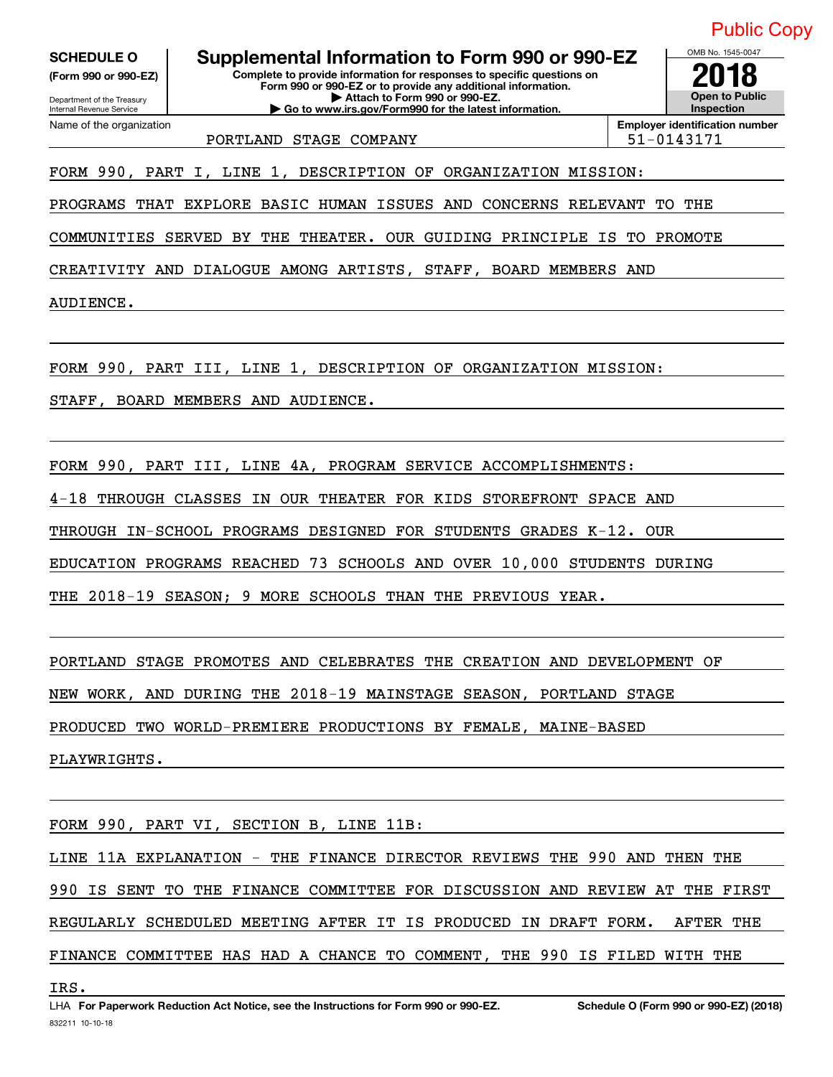**(Form 990 or 990‐EZ)**

Department of the Treasury Internal Revenue Service

Name of the organization

**Complete to provide information for responses to specific questions on Form 990 or 990‐EZ or to provide any additional information. | Attach to Form 990 or 990‐EZ. | Go to www.irs.gov/Form990 for the latest information. SCHEDULE O Supplemental Information to Form 990 or 990‐EZ 2018**

**Open to Public Inspection Employer identification number**

 $OMB$  No.

PORTLAND STAGE COMPANY  $\vert$  51-0143171

FORM 990, PART I, LINE 1, DESCRIPTION OF ORGANIZATION MISSION:

PROGRAMS THAT EXPLORE BASIC HUMAN ISSUES AND CONCERNS RELEVANT TO THE

COMMUNITIES SERVED BY THE THEATER. OUR GUIDING PRINCIPLE IS TO PROMOTE

CREATIVITY AND DIALOGUE AMONG ARTISTS, STAFF, BOARD MEMBERS AND

AUDIENCE.

FORM 990, PART III, LINE 1, DESCRIPTION OF ORGANIZATION MISSION:

STAFF, BOARD MEMBERS AND AUDIENCE.

FORM 990, PART III, LINE 4A, PROGRAM SERVICE ACCOMPLISHMENTS:

4‐18 THROUGH CLASSES IN OUR THEATER FOR KIDS STOREFRONT SPACE AND

THROUGH IN‐SCHOOL PROGRAMS DESIGNED FOR STUDENTS GRADES K‐12. OUR

EDUCATION PROGRAMS REACHED 73 SCHOOLS AND OVER 10,000 STUDENTS DURING

THE 2018-19 SEASON; 9 MORE SCHOOLS THAN THE PREVIOUS YEAR.

PORTLAND STAGE PROMOTES AND CELEBRATES THE CREATION AND DEVELOPMENT OF

NEW WORK, AND DURING THE 2018‐19 MAINSTAGE SEASON, PORTLAND STAGE

PRODUCED TWO WORLD‐PREMIERE PRODUCTIONS BY FEMALE, MAINE‐BASED

PLAYWRIGHTS.

FORM 990, PART VI, SECTION B, LINE 11B:

LINE 11A EXPLANATION ‐ THE FINANCE DIRECTOR REVIEWS THE 990 AND THEN THE 990 IS SENT TO THE FINANCE COMMITTEE FOR DISCUSSION AND REVIEW AT THE FIRST REGULARLY SCHEDULED MEETING AFTER IT IS PRODUCED IN DRAFT FORM. AFTER THE FINANCE COMMITTEE HAS HAD A CHANCE TO COMMENT, THE 990 IS FILED WITH THE

IRS.